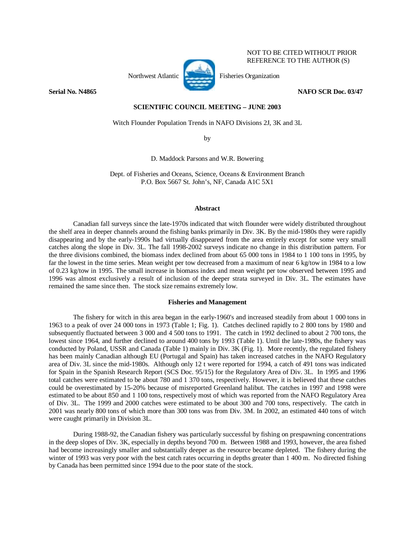

NOT TO BE CITED WITHOUT PRIOR REFERENCE TO THE AUTHOR (S)

**Serial No. N4865** NAFO SCR Doc. 03/47

## **SCIENTIFIC COUNCIL MEETING – JUNE 2003**

Witch Flounder Population Trends in NAFO Divisions 2J, 3K and 3L

by

D. Maddock Parsons and W.R. Bowering

Dept. of Fisheries and Oceans, Science, Oceans & Environment Branch P.O. Box 5667 St. John's, NF, Canada A1C 5X1

# **Abstract**

Canadian fall surveys since the late-1970s indicated that witch flounder were widely distributed throughout the shelf area in deeper channels around the fishing banks primarily in Div. 3K. By the mid-1980s they were rapidly disappearing and by the early-1990s had virtually disappeared from the area entirely except for some very small catches along the slope in Div. 3L. The fall 1998-2002 surveys indicate no change in this distribution pattern. For the three divisions combined, the biomass index declined from about 65 000 tons in 1984 to 1 100 tons in 1995, by far the lowest in the time series. Mean weight per tow decreased from a maximum of near 6 kg/tow in 1984 to a low of 0.23 kg/tow in 1995. The small increase in biomass index and mean weight per tow observed between 1995 and 1996 was almost exclusively a result of inclusion of the deeper strata surveyed in Div. 3L. The estimates have remained the same since then. The stock size remains extremely low.

## **Fisheries and Management**

 The fishery for witch in this area began in the early-1960's and increased steadily from about 1 000 tons in 1963 to a peak of over 24 000 tons in 1973 (Table 1; Fig. 1). Catches declined rapidly to 2 800 tons by 1980 and subsequently fluctuated between 3 000 and 4 500 tons to 1991. The catch in 1992 declined to about 2 700 tons, the lowest since 1964, and further declined to around 400 tons by 1993 (Table 1). Until the late-1980s, the fishery was conducted by Poland, USSR and Canada (Table 1) mainly in Div. 3K (Fig. 1). More recently, the regulated fishery has been mainly Canadian although EU (Portugal and Spain) has taken increased catches in the NAFO Regulatory area of Div. 3L since the mid-1980s. Although only 12 t were reported for 1994, a catch of 491 tons was indicated for Spain in the Spanish Research Report (SCS Doc. 95/15) for the Regulatory Area of Div. 3L. In 1995 and 1996 total catches were estimated to be about 780 and 1 370 tons, respectively. However, it is believed that these catches could be overestimated by 15-20% because of misreported Greenland halibut. The catches in 1997 and 1998 were estimated to be about 850 and 1 100 tons, respectively most of which was reported from the NAFO Regulatory Area of Div. 3L. The 1999 and 2000 catches were estimated to be about 300 and 700 tons, respectively. The catch in 2001 was nearly 800 tons of which more than 300 tons was from Div. 3M. In 2002, an estimated 440 tons of witch were caught primarily in Division 3L.

 During 1988-92, the Canadian fishery was particularly successful by fishing on prespawning concentrations in the deep slopes of Div. 3K, especially in depths beyond 700 m. Between 1988 and 1993, however, the area fished had become increasingly smaller and substantially deeper as the resource became depleted. The fishery during the winter of 1993 was very poor with the best catch rates occurring in depths greater than 1 400 m. No directed fishing by Canada has been permitted since 1994 due to the poor state of the stock.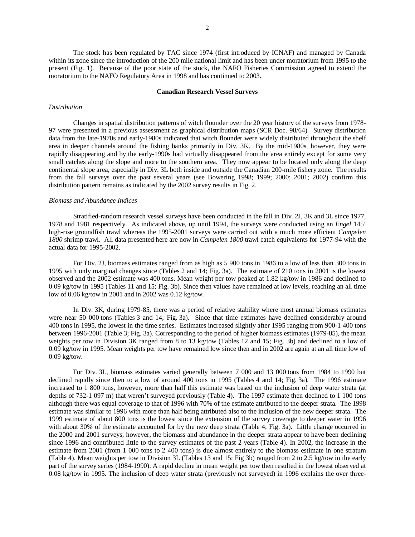The stock has been regulated by TAC since 1974 (first introduced by ICNAF) and managed by Canada within its zone since the introduction of the 200 mile national limit and has been under moratorium from 1995 to the present (Fig. 1). Because of the poor state of the stock, the NAFO Fisheries Commission agreed to extend the moratorium to the NAFO Regulatory Area in 1998 and has continued to 2003.

### **Canadian Research Vessel Surveys**

### *Distribution*

Changes in spatial distribution patterns of witch flounder over the 20 year history of the surveys from 1978- 97 were presented in a previous assessment as graphical distribution maps (SCR Doc. 98/64). Survey distribution data from the late-1970s and early-1980s indicated that witch flounder were widely distributed throughout the shelf area in deeper channels around the fishing banks primarily in Div. 3K. By the mid-1980s, however, they were rapidly disappearing and by the early-1990s had virtually disappeared from the area entirely except for some very small catches along the slope and more to the southern area. They now appear to be located only along the deep continental slope area, especially in Div. 3L both inside and outside the Canadian 200-mile fishery zone. The results from the fall surveys over the past several years (see Bowering 1998; 1999; 2000; 2001; 2002) confirm this distribution pattern remains as indicated by the 2002 survey results in Fig. 2.

# *Biomass and Abundance Indices*

 Stratified-random research vessel surveys have been conducted in the fall in Div. 2J, 3K and 3L since 1977, 1978 and 1981 respectively. As indicated above, up until 1994, the surveys were conducted using an *Engel* 145' high-rise groundfish trawl whereas the 1995-2001 surveys were carried out with a much more efficient *Campelen 1800* shrimp trawl. All data presented here are now in *Campelen 1800* trawl catch equivalents for 1977-94 with the actual data for 1995-2002.

For Div. 2J, biomass estimates ranged from as high as 5 900 tons in 1986 to a low of less than 300 tons in 1995 with only marginal changes since (Tables 2 and 14; Fig. 3a). The estimate of 210 tons in 2001 is the lowest observed and the 2002 estimate was 400 tons. Mean weight per tow peaked at 1.82 kg/tow in 1986 and declined to 0.09 kg/tow in 1995 (Tables 11 and 15; Fig. 3b). Since then values have remained at low levels, reaching an all time low of 0.06 kg/tow in 2001 and in 2002 was 0.12 kg/tow.

In Div. 3K, during 1979-85, there was a period of relative stability where most annual biomass estimates were near 50 000 tons (Tables 3 and 14; Fig. 3a). Since that time estimates have declined considerably around 400 tons in 1995, the lowest in the time series. Estimates increased slightly after 1995 ranging from 900-1 400 tons between 1996-2001 (Table 3; Fig. 3a). Corresponding to the period of higher biomass estimates (1979-85), the mean weights per tow in Division 3K ranged from 8 to 13 kg/tow (Tables 12 and 15; Fig. 3b) and declined to a low of 0.09 kg/tow in 1995. Mean weights per tow have remained low since then and in 2002 are again at an all time low of 0.09 kg/tow.

For Div. 3L, biomass estimates varied generally between 7 000 and 13 000 tons from 1984 to 1990 but declined rapidly since then to a low of around 400 tons in 1995 (Tables 4 and 14; Fig. 3a). The 1996 estimate increased to 1 800 tons, however, more than half this estimate was based on the inclusion of deep water strata (at depths of 732-1 097 m) that weren't surveyed previously (Table 4). The 1997 estimate then declined to 1 100 tons although there was equal coverage to that of 1996 with 70% of the estimate attributed to the deeper strata. The 1998 estimate was similar to 1996 with more than half being attributed also to the inclusion of the new deeper strata. The 1999 estimate of about 800 tons is the lowest since the extension of the survey coverage to deeper water in 1996 with about 30% of the estimate accounted for by the new deep strata (Table 4; Fig. 3a). Little change occurred in the 2000 and 2001 surveys, however, the biomass and abundance in the deeper strata appear to have been declining since 1996 and contributed little to the survey estimates of the past 2 years (Table 4). In 2002, the increase in the estimate from 2001 (from 1 000 tons to 2 400 tons) is due almost entirely to the biomass estimate in one stratum (Table 4). Mean weights per tow in Division 3L (Tables 13 and 15; Fig 3b) ranged from 2 to 2.5 kg/tow in the early part of the survey series (1984-1990). A rapid decline in mean weight per tow then resulted in the lowest observed at 0.08 kg/tow in 1995. The inclusion of deep water strata (previously not surveyed) in 1996 explains the over three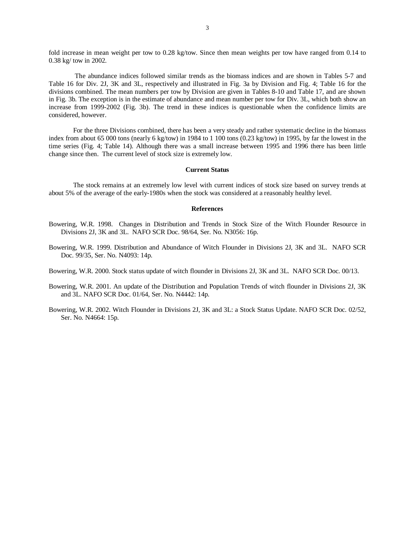fold increase in mean weight per tow to 0.28 kg/tow. Since then mean weights per tow have ranged from 0.14 to 0.38 kg/ tow in 2002.

 The abundance indices followed similar trends as the biomass indices and are shown in Tables 5-7 and Table 16 for Div. 2J, 3K and 3L, respectively and illustrated in Fig. 3a by Division and Fig. 4; Table 16 for the divisions combined. The mean numbers per tow by Division are given in Tables 8-10 and Table 17, and are shown in Fig. 3b. The exception is in the estimate of abundance and mean number per tow for Div. 3L, which both show an increase from 1999-2002 (Fig. 3b). The trend in these indices is questionable when the confidence limits are considered, however.

For the three Divisions combined, there has been a very steady and rather systematic decline in the biomass index from about 65 000 tons (nearly 6 kg/tow) in 1984 to 1 100 tons (0.23 kg/tow) in 1995, by far the lowest in the time series (Fig. 4; Table 14). Although there was a small increase between 1995 and 1996 there has been little change since then. The current level of stock size is extremely low.

#### **Current Status**

The stock remains at an extremely low level with current indices of stock size based on survey trends at about 5% of the average of the early-1980s when the stock was considered at a reasonably healthy level.

### **References**

- Bowering, W.R. 1998. Changes in Distribution and Trends in Stock Size of the Witch Flounder Resource in Divisions 2J, 3K and 3L. NAFO SCR Doc. 98/64, Ser. No. N3056: 16p.
- Bowering, W.R. 1999. Distribution and Abundance of Witch Flounder in Divisions 2J, 3K and 3L. NAFO SCR Doc. 99/35, Ser. No. N4093: 14p.

Bowering, W.R. 2000. Stock status update of witch flounder in Divisions 2J, 3K and 3L. NAFO SCR Doc. 00/13.

- Bowering, W.R. 2001. An update of the Distribution and Population Trends of witch flounder in Divisions 2J, 3K and 3L. NAFO SCR Doc. 01/64, Ser. No. N4442: 14p.
- Bowering, W.R. 2002. Witch Flounder in Divisions 2J, 3K and 3L: a Stock Status Update. NAFO SCR Doc. 02/52, Ser. No. N4664: 15p.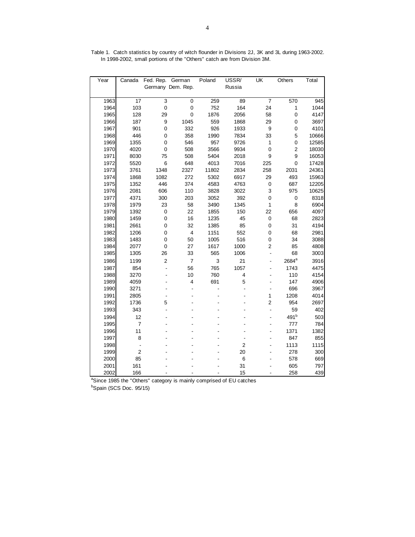| Year | Canada          | Fed. Rep.      | German                   | Poland | USSR/          | $\overline{\mathsf{U}}$ K | Others            | Total |
|------|-----------------|----------------|--------------------------|--------|----------------|---------------------------|-------------------|-------|
|      |                 |                | Germany Dem. Rep.        |        | Russia         |                           |                   |       |
|      |                 |                |                          |        |                |                           |                   |       |
| 1963 | $\overline{17}$ | 3              | $\mathbf 0$              | 259    | 89             | $\overline{7}$            | 570               | 945   |
| 1964 | 103             | $\overline{0}$ | $\mathbf 0$              | 752    | 164            | 24                        | $\mathbf{1}$      | 1044  |
| 1965 | 128             | 29             | $\mathbf 0$              | 1876   | 2056           | 58                        | $\mathbf 0$       | 4147  |
| 1966 | 187             | 9              | 1045                     | 559    | 1868           | 29                        | $\mathbf 0$       | 3697  |
| 1967 | 901             | $\mathbf 0$    | 332                      | 926    | 1933           | 9                         | $\mathbf 0$       | 4101  |
| 1968 | 446             | 0              | 358                      | 1990   | 7834           | 33                        | 5                 | 10666 |
| 1969 | 1355            | $\mathbf 0$    | 546                      | 957    | 9726           | $\mathbf{1}$              | $\mathbf 0$       | 12585 |
| 1970 | 4020            | $\mathbf 0$    | 508                      | 3566   | 9934           | $\mathbf 0$               | $\mathbf 2$       | 18030 |
| 1971 | 8030            | 75             | 508                      | 5404   | 2018           | 9                         | 9                 | 16053 |
| 1972 | 5520            | 6              | 648                      | 4013   | 7016           | 225                       | $\mathbf 0$       | 17428 |
| 1973 | 3761            | 1348           | 2327                     | 11802  | 2834           | 258                       | 2031              | 24361 |
| 1974 | 1868            | 1082           | 272                      | 5302   | 6917           | 29                        | 493               | 15963 |
| 1975 | 1352            | 446            | 374                      | 4583   | 4763           | 0                         | 687               | 12205 |
| 1976 | 2081            | 606            | 110                      | 3828   | 3022           | 3                         | 975               | 10625 |
| 1977 | 4371            | 300            | 203                      | 3052   | 392            | 0                         | $\pmb{0}$         | 8318  |
| 1978 | 1979            | 23             | 58                       | 3490   | 1345           | $\mathbf{1}$              | 8                 | 6904  |
| 1979 | 1392            | $\pmb{0}$      | 22                       | 1855   | 150            | 22                        | 656               | 4097  |
| 1980 | 1459            | $\pmb{0}$      | 16                       | 1235   | 45             | $\mathsf 0$               | 68                | 2823  |
| 1981 | 2661            | $\mathbf 0$    | 32                       | 1385   | 85             | 0                         | 31                | 4194  |
| 1982 | 1206            | 0              | $\overline{\mathbf{4}}$  | 1151   | 552            | 0                         | 68                | 2981  |
| 1983 | 1483            | $\mathbf 0$    | 50                       | 1005   | 516            | 0                         | 34                | 3088  |
| 1984 | 2077            | $\mathbf 0$    | 27                       | 1617   | 1000           | $\overline{c}$            | 85                | 4808  |
| 1985 | 1305            | 26             | 33                       | 565    | 1006           | $\blacksquare$            | 68                | 3003  |
| 1986 | 1199            | 2              | $\overline{\mathcal{I}}$ | 3      | 21             |                           | 2684 <sup>a</sup> | 3916  |
| 1987 | 854             | Ĭ.             | 56                       | 765    | 1057           |                           | 1743              | 4475  |
| 1988 | 3270            | $\overline{a}$ | 10                       | 760    | 4              | $\overline{a}$            | 110               | 4154  |
| 1989 | 4059            | $\overline{a}$ | 4                        | 691    | 5              | $\overline{a}$            | 147               | 4906  |
| 1990 | 3271            |                |                          |        | ÷,             |                           | 696               | 3967  |
| 1991 | 2805            |                |                          |        |                | 1                         | 1208              | 4014  |
| 1992 | 1736            | 5              |                          |        |                | $\overline{\mathbf{c}}$   | 954               | 2697  |
| 1993 | 343             |                |                          |        |                | $\overline{\phantom{a}}$  | 59                | 402   |
| 1994 | 12              |                |                          |        |                |                           | 491 <sup>b</sup>  | 503   |
| 1995 | $\overline{7}$  |                |                          |        |                |                           | 777               | 784   |
| 1996 | 11              |                |                          |        |                | $\overline{a}$            | 1371              | 1382  |
| 1997 | 8               |                |                          |        | $\frac{1}{2}$  | L,                        | 847               | 855   |
| 1998 | $\overline{a}$  |                |                          |        | $\overline{c}$ |                           | 1113              | 1115  |
| 1999 | $\overline{c}$  |                |                          |        | 20             |                           | 278               | 300   |
| 2000 | 85              |                |                          |        | 6              |                           | 578               | 669   |
| 2001 | 161             |                |                          |        | 31             |                           | 605               | 797   |
| 2002 | 166             |                |                          |        | 15             |                           | 258               | 439   |

Table 1. Catch statistics by country of witch flounder in Divisions 2J, 3K and 3L during 1963-2002. In 1998-2002, small portions of the "Others" catch are from Division 3M.

<sup>a</sup>Since 1985 the "Others" category is mainly comprised of EU catches

<sup>b</sup>Spain (SCS Doc. 95/15)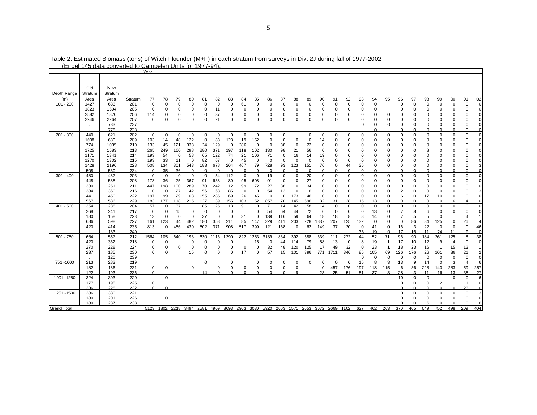|                    |                                             | <u>(Engel 145 data converted to Campelen Units for 1977-94)</u> |                                        |                                               |                                            |                                           |                                                        |                                                 |                                      |                                                                |                                        |                                                       |                                                                     |                                                                   |                                                                    |                                                              |                                                    |                                                                                           |                                                                |                                                                               |                                                         |                                                                  |                                                          |                                                             |                                                          |                                                                                 |                                                                                     |                                                                                       |
|--------------------|---------------------------------------------|-----------------------------------------------------------------|----------------------------------------|-----------------------------------------------|--------------------------------------------|-------------------------------------------|--------------------------------------------------------|-------------------------------------------------|--------------------------------------|----------------------------------------------------------------|----------------------------------------|-------------------------------------------------------|---------------------------------------------------------------------|-------------------------------------------------------------------|--------------------------------------------------------------------|--------------------------------------------------------------|----------------------------------------------------|-------------------------------------------------------------------------------------------|----------------------------------------------------------------|-------------------------------------------------------------------------------|---------------------------------------------------------|------------------------------------------------------------------|----------------------------------------------------------|-------------------------------------------------------------|----------------------------------------------------------|---------------------------------------------------------------------------------|-------------------------------------------------------------------------------------|---------------------------------------------------------------------------------------|
|                    |                                             |                                                                 |                                        | Year                                          |                                            |                                           |                                                        |                                                 |                                      |                                                                |                                        |                                                       |                                                                     |                                                                   |                                                                    |                                                              |                                                    |                                                                                           |                                                                |                                                                               |                                                         |                                                                  |                                                          |                                                             |                                                          |                                                                                 |                                                                                     |                                                                                       |
| Depth Range        | Old<br>Stratum                              | New<br>Stratum                                                  |                                        |                                               |                                            |                                           |                                                        |                                                 |                                      |                                                                |                                        |                                                       |                                                                     |                                                                   |                                                                    |                                                              |                                                    |                                                                                           |                                                                |                                                                               |                                                         |                                                                  |                                                          |                                                             |                                                          |                                                                                 |                                                                                     |                                                                                       |
| (m)                | Area                                        | Area                                                            | Stratum                                | 77                                            | 78                                         | 79                                        | 80                                                     | 81                                              | 82                                   | 83                                                             | 84                                     | 85                                                    | 86                                                                  | 87                                                                | 88                                                                 | 89                                                           | 90                                                 | 91                                                                                        | 92                                                             | 93                                                                            | 94                                                      | 95                                                               | 96                                                       | 97                                                          | 98                                                       | 99                                                                              | 00                                                                                  | 01<br>02                                                                              |
| $101 - 200$        | 1427<br>1823<br>2582<br>2246                | 633<br>1594<br>1870<br>2264<br>733<br>778                       | 201<br>205<br>206<br>207<br>237<br>238 | $\mathbf 0$<br>$\mathbf 0$<br>114<br>$\Omega$ | 0<br>$\Omega$<br>0<br>$\Omega$             | $\Omega$<br>$\Omega$<br>0<br>$\Omega$     | $\Omega$<br>$\Omega$<br>$\Omega$<br>$\Omega$           | $\Omega$<br>$\mathbf 0$<br>$\Omega$<br>$\Omega$ | $^{\circ}$<br>11<br>37<br>21         | $\Omega$<br>$\Omega$<br>$\Omega$<br>$\Omega$                   | 61<br>$\Omega$<br>$\Omega$<br>$\Omega$ | $\mathbf 0$<br>$\mathbf 0$<br>$\mathbf 0$<br>$\Omega$ | $\mathbf 0$<br>$\Omega$<br>$\Omega$<br>$\Omega$                     | $\Omega$<br>$\Omega$<br>0<br>$\Omega$                             | $\Omega$<br>$\Omega$<br>$\Omega$<br>$\Omega$                       | $\mathbf 0$<br>$\mathbf 0$<br>0<br>$\Omega$                  | $\Omega$<br>$\Omega$<br>0<br>$\Omega$              | $\mathbf 0$<br>$\Omega$<br>0<br>$\mathbf 0$                                               | $\Omega$<br>$\Omega$<br>$\Omega$<br>$\Omega$                   | $\mathbf 0$<br>$\Omega$<br>$\Omega$<br>$\mathbf 0$<br>$\Omega$                | $\mathbf 0$<br>$\Omega$<br>$\mathbf 0$<br>$\Omega$<br>∩ | 0<br>$\mathbf 0$<br>0                                            | $\Omega$<br>$\Omega$<br>$\mathbf 0$<br>$\Omega$          | 0<br>$\Omega$<br>$\Omega$<br>$\mathbf 0$<br>0<br>n          | 0<br>$\Omega$<br>$\Omega$<br>$\Omega$<br>n               | $\mathbf 0$<br>$\Omega$<br>$\Omega$<br>$\mathbf 0$<br>0<br>$\Omega$             | $\Omega$<br>$\Omega$<br>$\Omega$<br>$\Omega$<br>n                                   | 0<br>$\Omega$<br>0<br>$\Omega$<br>0<br>0<br>$\overline{0}$<br>$\Omega$                |
| $201 - 300$        | 440                                         | 621                                                             | 202                                    | $\mathbf 0$                                   | $\mathbf 0$                                | $\mathbf 0$                               | $\mathbf 0$                                            | 0                                               | $\mathbf 0$                          | $\mathbf 0$                                                    | $\mathbf 0$                            | 0                                                     | $\mathbf 0$                                                         | 0                                                                 |                                                                    | 0                                                            | 0                                                  | $\Omega$                                                                                  | $\Omega$                                                       | 0                                                                             | $\Omega$                                                | 0                                                                | 0                                                        | 0                                                           | $\Omega$                                                 | 0                                                                               | 0                                                                                   | 0                                                                                     |
|                    | 1608<br>774<br>1725<br>1171<br>1270<br>1428 | 680<br>1035<br>1583<br>1341<br>1302<br>2196                     | 209<br>210<br>213<br>214<br>215<br>228 | 103<br>133<br>265<br>193<br>193<br>508        | 14<br>45<br>249<br>54<br>33<br>134         | 48<br>121<br>160<br>$\Omega$<br>11<br>301 | 122<br>338<br>298<br>58<br>$\Omega$<br>543<br>$\Omega$ | $\mathbf 0$<br>24<br>280<br>65<br>82<br>183     | 83<br>129<br>371<br>122<br>67<br>678 | 123<br>$\mathbf 0$<br>197<br>74<br>$\Omega$<br>264<br>$\Omega$ | 19<br>286<br>118<br>21<br>45<br>467    | 152<br>$\mathbf 0$<br>102<br>106<br>$\Omega$<br>79    | $\mathbf 0$<br>$\Omega$<br>130<br>71<br>$\Omega$<br>728<br>$\Omega$ | $\mathbf 0$<br>38<br>98<br>$\Omega$<br>$\Omega$<br>93<br>$\Omega$ | $\mathbf 0$<br>$\Omega$<br>21<br>16<br>$\Omega$<br>123<br>$\Omega$ | $\mathbf 0$<br>22<br>56<br>14<br>$\Omega$<br>151<br>$\Omega$ | 14<br>$\Omega$<br>19<br>$\Omega$<br>76<br>$\Omega$ | $\mathbf 0$<br>$\Omega$<br>$\Omega$<br>$\mathbf 0$<br>$\Omega$<br>$\mathbf 0$<br>$\Omega$ | $\Omega$<br>$\Omega$<br>$\Omega$<br>$\Omega$<br>44<br>$\Omega$ | $\mathbf 0$<br>$\Omega$<br>$\Omega$<br>$\Omega$<br>$\Omega$<br>35<br>$\Omega$ | $\Omega$<br>$\Omega$                                    | $\mathbf 0$<br>0<br>$\Omega$<br>$\Omega$<br>$\Omega$<br>$\Omega$ | $\Omega$<br>$\Omega$<br>$\Omega$<br>$\Omega$<br>$\Omega$ | 0<br>0<br>$\Omega$<br>$\Omega$<br>$\Omega$<br>0<br>$\Omega$ | $\Omega$<br>$\Omega$<br>$\Omega$<br>$\Omega$<br>$\Omega$ | $\mathbf 0$<br>0<br>$\Omega$<br>$\Omega$<br>$\Omega$<br>$\mathbf 0$<br>$\Omega$ | $\mathbf 0$<br>$\Omega$<br>$\Omega$<br>$\Omega$<br>$\Omega$<br>$\Omega$<br>$\Omega$ | $\mathbf 0$<br>0<br>$\mathbf 0$<br>$\mathbf 0$<br>$\Omega$<br>$\mathbf 0$<br>$\Omega$ |
|                    | 508                                         | 530                                                             | 234<br>203                             | $\mathbf 0$                                   | 35<br>$\mathbf 0$                          | 36<br>$\Omega$                            | $\mathbf 0$                                            | $\mathbf 0$                                     | 54                                   | 112                                                            | $\mathbf 0$                            | $\mathbf 0$                                           | 19                                                                  | $\mathbf 0$                                                       | $\Omega$                                                           | 20                                                           | $\Omega$                                           | $\mathbf 0$                                                                               | $\Omega$                                                       | $\mathbf 0$                                                                   | $\Omega$                                                | $\Omega$                                                         | $\Omega$                                                 | $\Omega$                                                    | $\Omega$                                                 | $\Omega$                                                                        | $\Omega$                                                                            |                                                                                       |
| $301 - 400$        | 480<br>448<br>330<br>384<br>441<br>567      | 487<br>588<br>251<br>360<br>450<br>536                          | 208<br>211<br>216<br>222<br>229        | 178<br>447<br>$\Omega$<br>197<br>183          | 36<br>198<br>0<br>99<br>177                | 75<br>100<br>27<br>29<br>118              | 367<br>289<br>42<br>103<br>215                         | 91<br>70<br>56<br>155<br>127                    | 638<br>242<br>63<br>285<br>139       | 80<br>12<br>85<br>69<br>155                                    | 95<br>99<br>$\mathbf 0$<br>26<br>103   | 608<br>72<br>$\mathbf 0$<br>45<br>52                  | 91<br>27<br>54<br>$\mathbf 0$<br>857                                | $\Omega$<br>38<br>13<br>$\mathbf 0$<br>70                         | $\Omega$<br>$\Omega$<br>10<br>173<br>145                           | 27<br>34<br>16<br>46<br>596                                  | 0<br>$\Omega$<br>$\Omega$<br>$\Omega$<br>32        | $\Omega$<br>$\Omega$<br>$\mathbf 0$<br>10<br>31                                           | $\Omega$<br>$\Omega$<br>$\Omega$<br>28                         | $\Omega$<br>$\Omega$<br>$\mathbf 0$<br>$^{\circ}$<br>15                       | $\Omega$<br>13                                          | $\Omega$<br>$\Omega$<br>$\mathbf 0$<br>0<br>$\Omega$             | $\Omega$<br>$\Omega$<br>$\overline{2}$<br>6              | $\Omega$<br>$\Omega$<br>$\mathbf 0$<br>0<br>$\Omega$        | $\Omega$<br>$\Omega$<br>$\Omega$<br>17<br>$\Omega$       | $\Omega$<br>$\Omega$<br>$\Omega$<br>10<br>$\Omega$                              | $\Omega$<br>$\Omega$<br>$\Omega$                                                    | 0<br>$\mathbf 0$<br>$\mathbf 0$<br>$\mathbf 0$<br>0<br>Δ                              |
| $401 - 500$        | 354                                         | 288                                                             | 204                                    | 57                                            | 0                                          | 37                                        |                                                        | 85                                              | 125                                  | 13                                                             | 91                                     | $\pmb{0}$                                             | 71                                                                  | 14                                                                | 42                                                                 | 58                                                           | 14                                                 | $\mathbf 0$                                                                               | $\Omega$                                                       | $\Omega$                                                                      | 0                                                       | $\Omega$                                                         | $\mathbf 0$                                              | $\mathbf 0$                                                 | $\mathbf 0$                                              | $\mathbf 0$                                                                     | 0                                                                                   | $\mathsf 0$                                                                           |
|                    | 268<br>180<br>686<br>420                    | 241<br>158<br>598<br>414<br>133                                 | 217<br>223<br>227<br>235<br>240        | $\mathbf 0$<br>13<br>161<br>813               | $\mathbf 0$<br>$\Omega$<br>123<br>0        | 15<br>$\Omega$<br>44<br>456               | $\Omega$<br>$\mathbf 0$<br>482<br>430                  | $\Omega$<br>37<br>180<br>502                    | $\Omega$<br>358<br>371               | $\mathbf 0$<br>$\Omega$<br>211<br>908                          | 31<br>85<br>517                        | $\Omega$<br>$\Omega$<br>147<br>399                    | 54<br>139<br>329<br>121                                             | 64<br>116<br>411<br>168                                           | 44<br>59<br>203<br>$\mathbf 0$                                     | 72<br>64<br>228<br>62                                        | 6<br>18<br>1837<br>149                             | $\mathbf 0$<br>18<br>207<br>37                                                            | $\Omega$<br>8<br>125<br>20                                     | $\mathbf 0$<br>8<br>132<br>$\mathbf 0$<br>36                                  | 13<br>14<br>$\Omega$<br>41<br>19                        | $\Omega$<br>$\Omega$<br>$\mathbf 0$<br>0<br>$\Omega$             | $\mathbf 0$<br>16<br>17                                  | 8<br>5<br>86<br>3<br>16                                     | 6<br>5<br>84<br>22<br>11                                 | $\Omega$<br>$\mathbf 0$<br>125<br>0<br>24                                       | $\Omega$<br>0<br>0<br>11                                                            | $\mathbf 0$<br>$\overline{4}$<br>26<br>$\mathsf{O}\xspace$<br>46<br>$\Omega$          |
| $501 - 750$        | 664<br>420<br>270<br>237                    | 557<br>362<br>228<br>185<br>120                                 | 212<br>218<br>224<br>230<br>239        | 1564<br>$\Omega$<br>$\Omega$<br>$\Omega$      | 105<br>$\Omega$<br>$\Omega$<br>$\mathbf 0$ | 640<br>$\Omega$                           | 193<br>0<br>0<br>15                                    | 630<br>$\Omega$<br>$\Omega$                     | 1116<br>$\Omega$<br>$\Omega$         | 1390<br>$\mathbf 0$<br>$\mathbf 0$<br>$\Omega$                 | 822<br>0<br>17                         | 1253<br>15<br>$\Omega$<br>$\Omega$                    | 3139<br>$\mathbf 0$<br>32<br>57                                     | 834<br>44<br>48<br>15                                             | 392<br>114<br>120<br>101                                           | 588<br>79<br>125<br>396                                      | 639<br>58<br>17<br>771                             | 111<br>13<br>49<br>1711                                                                   | 272<br>0<br>32<br>346                                          | 44<br>8<br>$\Omega$<br>85<br>$\Omega$                                         | 52<br>19<br>23<br>105<br>$\Omega$                       | 71<br>-1<br>69<br>$\Omega$                                       | 96<br>17<br>18<br>126<br>$\Omega$                        | 90<br>10<br>23<br>176<br>$\Omega$                           | 184<br>12<br>16<br>26<br>$\Omega$                        | 261<br>9<br>1<br>161<br>$\Omega$                                                | 125<br>4<br>15<br>36<br>$\Omega$                                                    | 38<br>8<br>$\mathbf 0$<br>13<br>21<br>$\Omega$                                        |
| 751 - 1000         | 213                                         | 283                                                             | 219                                    |                                               |                                            |                                           |                                                        | $\mathbf 0$                                     |                                      | 0                                                              |                                        | 0                                                     | 0                                                                   | 0                                                                 | 0                                                                  | 0                                                            | $\Omega$                                           | $\mathbf 0$                                                                               | $\Omega$                                                       | 15                                                                            | 8                                                       | 3                                                                | 13                                                       | 9                                                           | 14                                                       | $\mathbf 0$                                                                     | 3                                                                                   | 4                                                                                     |
|                    | 182                                         | 186                                                             | 231                                    | 0                                             | 0                                          |                                           | $\mathbf 0$                                            |                                                 | $\Omega$                             | $\mathbf 0$                                                    | $\mathbf 0$                            | $\mathbf 0$                                           | $\Omega$                                                            | $\mathbf 0$                                                       | $\Omega$                                                           |                                                              | 0                                                  | 457                                                                                       | 176                                                            | 197                                                                           | 118                                                     | 115                                                              | 6                                                        | 36                                                          | 228                                                      | 143                                                                             | 283                                                                                 | 257<br>59                                                                             |
|                    | 122                                         | 193                                                             | 236                                    | $\Omega$                                      |                                            |                                           |                                                        | 14                                              | $\Omega$                             | $\Omega$                                                       | $\Omega$                               | $\Omega$                                              | $\Omega$                                                            | $\Omega$                                                          | a                                                                  |                                                              | 23                                                 | 25                                                                                        | 51                                                             | 51                                                                            | 37                                                      |                                                                  | 28                                                       | $\mathbf{z}$                                                | 11                                                       | 16                                                                              | 13                                                                                  | 38<br>27                                                                              |
| 1001 - 1250        | 324<br>177<br>236                           | 303<br>195<br>228                                               | 220<br>225<br>232                      | $\mathbf 0$<br>$\Omega$                       | $\mathbf 0$<br>$\Omega$                    |                                           |                                                        |                                                 |                                      |                                                                |                                        |                                                       |                                                                     |                                                                   |                                                                    |                                                              |                                                    |                                                                                           |                                                                |                                                                               |                                                         |                                                                  | 10<br>$\Omega$                                           | 0<br>0                                                      | $\mathbf 0$<br>$\mathbf 0$                               | $\overline{2}$<br>$\Omega$                                                      | $\Omega$                                                                            | 0<br>$\mathbf{1}$<br>$\Omega$<br>23                                                   |
| 1251 - 1500        | 286<br>180<br>180                           | 330<br>201<br>237                                               | 221<br>226<br>233                      |                                               | 0                                          |                                           |                                                        |                                                 |                                      |                                                                |                                        |                                                       |                                                                     |                                                                   |                                                                    |                                                              |                                                    |                                                                                           |                                                                |                                                                               |                                                         |                                                                  | $\Omega$<br>$\Omega$                                     | $\Omega$<br>$\Omega$<br>$\Omega$                            | $\Omega$<br>$\Omega$                                     | $\Omega$<br>$\Omega$<br>$\Omega$                                                | $\Omega$<br>$\Omega$                                                                | 0<br>$\mathbf 0$<br>$\Omega$                                                          |
| <b>Grand Total</b> |                                             |                                                                 |                                        |                                               | 5123 1302 2218 3494 2581                   |                                           |                                                        |                                                 |                                      |                                                                |                                        |                                                       | 4909 3693 2903 3030 5920 2063 1571 2653                             |                                                                   |                                                                    |                                                              |                                                    | 3672 2669 1102                                                                            |                                                                | 627                                                                           | 462                                                     | 263                                                              | 370                                                      | 465                                                         | 649                                                      | 752                                                                             | 498                                                                                 | 209<br>404                                                                            |

Table 2. Estimated Biomass (tons) of Witch Flounder (M+F) in each stratum from surveys in Div. 2J during fall of 1977-2002.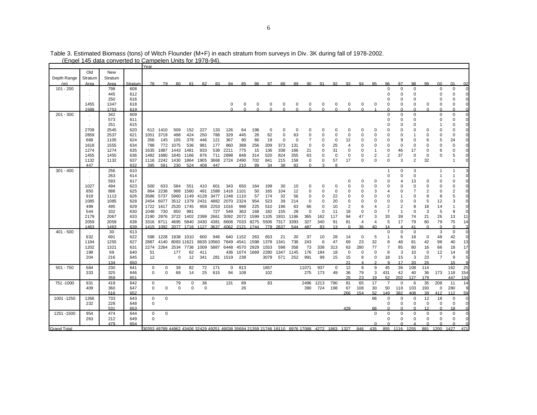|                    |                | <u>(Endel 145 data converted to Cambelen Units for 1978-94</u> |            | Year        |             |             |                |                                              |               |                   |               |                    |               |               |               |               |               |                                                                                             |               |               |                |                |                    |                      |                |                         |                |                |
|--------------------|----------------|----------------------------------------------------------------|------------|-------------|-------------|-------------|----------------|----------------------------------------------|---------------|-------------------|---------------|--------------------|---------------|---------------|---------------|---------------|---------------|---------------------------------------------------------------------------------------------|---------------|---------------|----------------|----------------|--------------------|----------------------|----------------|-------------------------|----------------|----------------|
|                    |                |                                                                |            |             |             |             |                |                                              |               |                   |               |                    |               |               |               |               |               |                                                                                             |               |               |                |                |                    |                      |                |                         |                |                |
| Depth Range        | Old<br>Stratum | New<br>Stratum                                                 |            |             |             |             |                |                                              |               |                   |               |                    |               |               |               |               |               |                                                                                             |               |               |                |                |                    |                      |                |                         |                |                |
| (m)                | Area           | Area                                                           | Stratum    | 78          | 79          | -80         | -81            | 82                                           | -83           | -84               | 85            | -86                | 87            | 88            | -89           | 90            | 91            | 92                                                                                          | 93            | 94            | 95             | 96             | 97                 | 98                   | 99             | n                       | $^{\circ}$     | 02             |
| 101 - 200          |                | 798                                                            | 608        |             |             |             |                |                                              |               |                   |               |                    |               |               |               |               |               |                                                                                             |               |               |                |                | $\Omega$           | $\Omega$             |                | $\Omega$                | 0              | $\Omega$       |
|                    |                | 445                                                            | 612        |             |             |             |                |                                              |               |                   |               |                    |               |               |               |               |               |                                                                                             |               |               |                |                | $\Omega$           | 0                    |                | O                       | $\Omega$       |                |
|                    | $\sim$         | 250                                                            | 616        |             |             |             |                |                                              |               |                   |               |                    |               |               |               |               |               |                                                                                             |               |               |                |                | 0                  | 0                    |                |                         | 0              |                |
|                    | 1455           | 1347                                                           |            |             |             |             |                |                                              |               |                   |               |                    |               |               |               |               |               |                                                                                             |               |               |                | O              | 0                  | 0                    | 0              | 0                       | $\mathbf 0$    |                |
|                    | 1588           | 1753                                                           | 618<br>619 |             |             |             |                |                                              |               | 0<br><sup>n</sup> | 0<br>$\Omega$ | 0<br>$\Omega$      | 0<br>$\Omega$ | 0<br>$\Omega$ | 0<br>$\Omega$ | 0<br>$\Omega$ | 0<br>$\Omega$ | 0<br>$\Omega$                                                                               | 0<br>$\Omega$ | 0<br>$\Omega$ | 0              |                | $\Omega$           | $\Omega$             | $\Omega$       | $\Omega$                | $\Omega$       |                |
| $201 - 300$        |                | 342                                                            | 609        |             |             |             |                |                                              |               |                   |               |                    |               |               |               |               |               |                                                                                             |               |               |                | $\Omega$       | $\mathbf 0$        | 0                    |                | $\mathbf 0$             | 0              | $\overline{0}$ |
|                    |                | 573                                                            | 611        |             |             |             |                |                                              |               |                   |               |                    |               |               |               |               |               |                                                                                             |               |               |                |                | $\Omega$           | $\Omega$             |                | $\Omega$                | $\Omega$       |                |
|                    | $\cdot$        | 251                                                            | 615        |             |             |             |                |                                              |               |                   |               |                    |               |               |               |               |               |                                                                                             |               |               |                |                | 0                  | $\Omega$             |                |                         | 0              |                |
|                    | 2709           | 2545                                                           | 620        |             | 612 1410    | 509         | 152            | 227                                          | 133           | 126               | 64            | 198                | $\mathbf 0$   | 0             | $\Omega$      |               | 0             | $\Omega$                                                                                    | U             | ŋ             | $\Omega$       |                | 0                  | $\Omega$             | $\Omega$       | $\Omega$                | $\Omega$       |                |
|                    | 2859           | 2537                                                           | 621        |             | 1051 3719   | 498         | 424            | 250                                          | 788           | 329               | 445           | 26                 | 62            | 0             | 63            |               |               | $\mathbf 0$                                                                                 | $\Omega$      | $\Omega$      | 0              |                | 0                  | 1                    | $\Omega$       | $\mathbf 0$             | $\mathbf 0$    |                |
|                    | 668            | 1105                                                           | 624        | 356         | 145         | 105         | 378            | 446                                          | 121           | 367               | 90            | 66                 | 19            | $\Omega$      | $\Omega$      | 7             | $\Omega$      | 0                                                                                           | 12            | O             | $\Omega$       |                | 9                  | $\Omega$             |                | 5                       | 24             |                |
|                    | 1618           | 1555                                                           | 634        | 788         | 772         | 1075        | 536            | 981                                          | 177           | 860               | 388           | 256                | 209           | 373           | 131           | $\mathbf 0$   | $\Omega$      | 25                                                                                          |               | O             | $\Omega$       | $\Omega$       | $\mathbf 0$        | 0                    | $\Omega$       | $\Omega$                | $\Omega$       |                |
|                    | 1274           | 1274                                                           | 635        | 1635        | 1887        | 1443        | 1481           | 833                                          | 538           | 2211              | 775           | 15                 | 136           | 338           | 166           | 21            | $\Omega$      | 31                                                                                          | $\Omega$      | O             | 1              | 0              | 46                 | 17                   | $\Omega$       | 6                       | 0              |                |
|                    | 1455           | 1455                                                           |            |             | 1680        | 1845 1166   |                | 876                                          | 711           | 2898              | 848           |                    | 520           | 824           | 355           | 63            | $\Omega$      |                                                                                             | $\Omega$      | $\Omega$      | $\overline{2}$ | $\overline{2}$ | 37                 | 0                    |                | 0                       | 5              |                |
|                    | 1132           | 1132                                                           | 636<br>637 | 1482        | 1116 2242   | 1430 1864   |                | 1905                                         |               | 3668 2724 2490    |               | 314<br>702         | 841           | 215           | 158           | $\mathbf 0$   | 0             | 0<br>57                                                                                     | 17            | $\Omega$      | $\Omega$       | $\Omega$       | 3                  | $\overline{2}$       | 0<br>32        |                         | -1             |                |
|                    | 447            |                                                                | 632        | 395         | 591         | 230         | 524            | 408                                          | 447           |                   | 210           | 89                 | 34            | 38            | 82            | $\Omega$      |               | $\mathsf{R}$                                                                                |               |               |                |                |                    |                      |                |                         |                |                |
| $301 - 400$        | $\cdot$        | 256                                                            | 610        |             |             |             |                |                                              |               |                   |               |                    |               |               |               |               |               |                                                                                             |               |               |                |                | 0                  | 3                    |                | -1                      | -1             |                |
|                    | $\blacksquare$ | 263                                                            | 614        |             |             |             |                |                                              |               |                   |               |                    |               |               |               |               |               |                                                                                             |               |               |                |                | $\Omega$           | 0                    |                |                         | -1             |                |
|                    |                | 593                                                            | 617        |             |             |             |                |                                              |               |                   |               |                    |               |               |               |               |               |                                                                                             |               |               | 0              |                | 4                  | 13                   | 0              | 0                       | 0              |                |
|                    | 1027           | 494                                                            | 623        | 500         | 633         | 584         | 551            | 410                                          | 601           | 343               | 650           | 164                | 199           | 30            | 10            | $\Omega$      | $\Omega$      | $\Omega$                                                                                    |               | $\Omega$      | 0              | $\Omega$       | 0                  | 0                    | $\Omega$       | $\Omega$                | 0              |                |
|                    | 850            | 888                                                            | 625        |             | 864 2238    |             | 988 1580       | 491                                          | 1588          | 1416              | 1101          | 50                 | 165           | 104           | 12            |               | $\Omega$      | $\mathbf 0$                                                                                 |               |               | 3              |                | 0                  | $\overline{7}$       | 2              | $\mathbf 0$             | $\overline{2}$ |                |
|                    | 919            | 1113                                                           | 626        |             | 3586 5737   |             | 5960 1149      | 4128                                         | 3477 1248     |                   | 1110          | 57                 | 174           | 32            | 56            | 0             | $\Omega$      | 22                                                                                          |               | O             | $\Omega$       |                |                    | $\Omega$             | 9              | 8                       | 5              |                |
|                    | 1085           | 1085                                                           | 628        |             | 2454 6077   |             | 3512 1379 2431 |                                              | 4882 2070     |                   | 2324          | 954                | 523           | 39            | 214           | 0             | 0             | 20                                                                                          | $\Omega$      | 0             | $\Omega$       | $\Omega$       | $\Omega$           | 0                    | 5              | 12                      | 3              |                |
|                    | 499            | 495                                                            | 629        | 1722        | 1617        | 2520 1745   |                |                                              | 958 2253 1016 |                   | 998           | 225                | 510           | 196           | 63            | 66            | $\Omega$      | 10                                                                                          | 2             | 6             | 4              | 2              | $\overline{2}$     | 8                    | 18             | 14                      | $\mathbf{1}$   |                |
|                    | 544            | 332                                                            | 630        | 1048        | 730         | 850         | 981            |                                              | 727           | 549               | 363           | 168                | 182           | 155           | 28            | 0             | 0             | 11                                                                                          | 18            | 0             | 0              | $\overline{7}$ | $\overline{1}$     | 0                    | 3              | 5                       | 8              |                |
|                    | 2179           | 2067                                                           | 633        |             | 2190 2876   |             |                | 3722 1402 2399 2661 3092 2072                |               |                   |               | 1599               | 1105          | 1931          | 1186          | 365           | 162           | 117                                                                                         | 94            | 47            | 3              | 33             | 39                 | 74                   | 21             | 26                      | 13             | 11             |
|                    | 2059           | 2059                                                           | 638        |             | 3316 8711   |             |                | 4695 5840 3430 4381 8608 7033 8275 5506 7317 |               |                   |               |                    |               |               | 3393          | 327           | 340           | 91                                                                                          | 81            | 4             | $\overline{4}$ | 5              | 17                 | 79                   | 60             | 79                      | 75             | 14             |
|                    | 1463           | 1463                                                           | 639        |             | 1415 1092   |             |                | 2077 1716 1127 3637 4062                     |               |                   | 2121          | 1744               | 779           | 2637          | 544           | 487           | 83            | 13                                                                                          | $\Omega$      | 36            | 40             | 14             | $\Delta$           | 41                   | $\Omega$       | $\Omega$                | $\Omega$       |                |
| 401 - 500          |                | 30                                                             | 613        |             |             |             |                |                                              |               |                   |               |                    |               |               |               |               |               |                                                                                             |               |               |                | 0              | $\mathbf 0$        | $\mathbf 0$          |                | 3                       | $\mathbf 0$    |                |
|                    | 632            | 691                                                            | 622        |             | 598 1228    | 1938 1010   |                | 600                                          | 946           |                   | 640 1152      | 263                | 653           | 21            | 20            | 37            | 10            | 28                                                                                          | 14            | 0             | 5              |                | 6                  | 18                   | 0              | 48                      | 42             |                |
|                    | 1184           | 1255                                                           | 627        |             | 2887 4140   | 8083 11621  |                | 8635 10560                                   |               | 7849              | 4541          | 1598               | 1378          | 1341          | 738           | 243           | 6             | 47                                                                                          | 69            | 23            | 32             | 8              | 48                 | 81                   | 42             | 98                      | 40             | 13             |
|                    | 1202           | 1321                                                           | 631        |             | 2274 2264   | 2534 7736   |                | 1009                                         | 5887 6448     |                   | 4570          | 2929               | 1553          | 598           | 358           | 73            | 338           | 313                                                                                         | 63            | 280           | 77             | $\overline{7}$ | 85                 | 80                   | 16             | 66                      | 18             | 17             |
|                    | 198            | 69                                                             | 640        | 51          |             | 177         | 62             | 411                                          |               |                   |               | 436 1074 1669 2280 |               | 1347          | 1145          | 176           | 184           | 18                                                                                          | $\mathbf 0$   | 0             | $\mathbf 0$    | 8              | 3                  | 10                   | $\mathbf 0$    | 12                      | 14             | $\overline{0}$ |
|                    | 204            | 216                                                            | 645        | 12          |             | $\mathbf 0$ | 12             | 341                                          |               | 281 1519          | 238           |                    | 3079          | 571           | 252           | 991           | 99            | 15                                                                                          | 15            | 8             | $\mathbf 0$    | 18             | 15                 | 3                    | 23             | $\overline{7}$          | 9              | 5 <sub>l</sub> |
|                    |                | 134                                                            | 650        |             |             |             |                |                                              |               |                   |               |                    |               |               |               |               |               |                                                                                             | 21            | $\Lambda$     | $\mathcal{L}$  | a              | 17                 | 20                   | 25             |                         | 15             | $\alpha$       |
| $501 - 750$        | 584            | 230                                                            | 641        | 0           | 0           | 39          | 82             | 72                                           | 171           | 0                 | 813           |                    | 1657          |               |               | 11071         | 937           | 0                                                                                           | 12            | 8             | 9              | 45             | 36                 | 108                  | 114            |                         | 162            | 25             |
|                    | 333            | 325                                                            | 646        | $\mathbf 0$ | $\mathbf 0$ | 68          | 14             | 25                                           | 615           | 94                | 108           |                    | 102           |               |               | 275           | 173           | 49                                                                                          | 36            | 79            | 3              | 431            | 42                 | 40                   | 36             | 173                     | 118            | 154            |
|                    |                | 359                                                            | 651        |             |             |             |                |                                              |               |                   |               |                    |               |               |               |               |               |                                                                                             | 25            | 23            | 19             | 52             | 202                | 127                  | 179            |                         | 447            | 134            |
| 751 - 1000         | 931            | 418                                                            | 642        | 0           |             | 79          | 0              | 36                                           |               | 131               | 89            |                    | 83            |               |               | 2496          | 1213          | 790                                                                                         | 81            | 65            | 17             | $\overline{7}$ | 0                  | 6                    | 35             | 208                     | 11             | 14             |
|                    | 409            | 360                                                            | 647        | $\mathbf 0$ | $\mathbf 0$ | $\mathbf 0$ | 0              | $\mathbf 0$                                  |               |                   | 26            |                    |               |               |               | 390           |               | 724 198                                                                                     | 67            | 108           | 30             | 50             | 118                | 103                  | 193            | $\mathbf 0$             | 280            | 9              |
|                    |                | 516                                                            | 652        |             |             |             |                |                                              |               |                   |               |                    |               |               |               |               |               |                                                                                             | 266           | 154           | 52             | 149            | 382                | 408                  | 39             | 412                     | 112            | 59             |
| 1001 - 1250        | 1266           | 733                                                            | 643        | 0           | $\mathbf 0$ |             |                |                                              |               |                   |               |                    |               |               |               |               |               |                                                                                             |               |               | 66             | 0              | $\mathbf 0$        | 0                    | 12             | 18                      | 0              | $\overline{0}$ |
|                    | 232            | 228                                                            | 648        | $\mathbf 0$ |             |             |                |                                              |               |                   |               |                    |               |               |               |               |               |                                                                                             |               |               |                | $\Omega$       | $\Omega$<br>$\cap$ | $\Omega$<br>$\Omega$ | $\Omega$       | $\mathbf 0$<br>$\Omega$ | $\mathbf 0$    | $\Omega$       |
|                    |                | 531                                                            | 653        | $\Omega$    | $\Omega$    |             |                |                                              |               |                   |               |                    |               |               |               |               |               |                                                                                             | 429           |               | 66<br>$\Omega$ | $\Omega$       | $\Omega$           | $\Omega$             | 12<br>$\Omega$ | $\Omega$                | 18<br>$\Omega$ |                |
| 1251 - 1500        | 954<br>263     | 474<br>212                                                     | 644<br>649 | $\mathbf 0$ |             |             |                |                                              |               |                   |               |                    |               |               |               |               |               |                                                                                             |               |               |                | $\Omega$       | 0                  | 0                    | 0              | $\mathbf 0$             | $\mathbf 0$    |                |
|                    |                | 479                                                            | 654        |             |             |             |                |                                              |               |                   |               |                    |               |               |               |               |               |                                                                                             |               |               |                |                |                    |                      |                |                         |                |                |
| <b>Grand Total</b> |                |                                                                |            |             |             |             |                |                                              |               |                   |               |                    |               |               |               |               |               | 30353 49789 44962 43406 32429 49251 49038 35694 21359 21746 18110 8976 17088 4272 1863 1327 |               | 846           | 435            |                |                    | 855 1116 1255        | 881            | 1200 1427               |                | 471            |
|                    |                |                                                                |            |             |             |             |                |                                              |               |                   |               |                    |               |               |               |               |               |                                                                                             |               |               |                |                |                    |                      |                |                         |                |                |

Table 3. Estimated Biomass (tons) of Witch Flounder (M+F) in each stratum from surveys in Div. 3K during fall of 1978-2002.

(Engel 145 data converted to Campelen Units for 1978-94).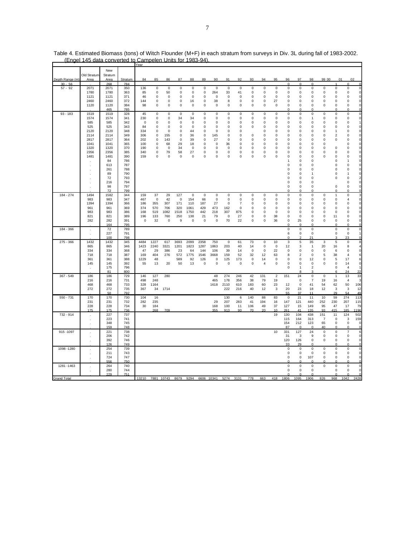|                    |             | New     |            |             |             |             |             |             |             |                   |             |                |             |                |                |             |                |                |                |                         |                     |                         |
|--------------------|-------------|---------|------------|-------------|-------------|-------------|-------------|-------------|-------------|-------------------|-------------|----------------|-------------|----------------|----------------|-------------|----------------|----------------|----------------|-------------------------|---------------------|-------------------------|
|                    | Old Stratum | Stratum |            |             |             |             |             |             |             |                   |             |                |             |                |                |             |                |                |                |                         |                     |                         |
| Depth Range (m)    | Area        | Area    | Stratum    | 84          | 85          | 86          | 87          | 88          | 89          | 90                | 91          | 92             | 93          | 94             | 95             | 96          | 97             | 98             | 99 00          |                         | 01                  | 02                      |
| $30 - 56$          |             | 268     | 784        |             |             |             |             |             |             |                   |             |                |             |                |                | 0           | $\mathbf 0$    | $\mathbf 0$    |                | 1                       | $\mathbf 0$         | $\Omega$                |
| $57 - 92$          | 2071        | 2071    | 350        | 136         | $\pmb{0}$   | $\mathsf 0$ | 0           | $\mathsf 0$ | $\mathsf 0$ | $\pmb{0}$         | $\mathbf 0$ | $\mathsf 0$    | $\mathbf 0$ | $\pmb{0}$      | 0              | 0           | 0              | 0              | 0              | $\mathsf 0$             | 0                   | $\mathbf 0$             |
|                    | 1780        | 1780    | 363        | 85          | $\pmb{0}$   | 50          | 0           | $\mathsf 0$ | $\mathsf 0$ | 264               | 33          | 41             | $\bf 0$     | $\pmb{0}$      | $\mathbf 0$    | 0           | 0              | $\mathbf 0$    | 0              | $\mathsf 0$             | $\mathsf 0$         | $\mathbf 0$             |
|                    | 1121        | 1121    | 371        | 46          | 0           | $\pmb{0}$   | 0           | $\mathsf 0$ | 0           | $\mathsf 0$       | $\mathsf 0$ | 0              | 0           | 0              | 0              | 0           | 0              | 0              | 0              | $\mathsf 0$             | $\mathsf 0$         | $\circ$                 |
|                    | 2460        | 2460    | 372        | 144         | $\Omega$    | $\mathsf 0$ | 0           | 16          | 0           |                   | 8           | $\mathsf 0$    | $\mathsf 0$ | $\Omega$       | 27             | 0           | 0              | $\pmb{0}$      | $\mathbf 0$    | $\mathsf 0$             | $\mathsf 0$         | $\circ$                 |
|                    | 1120        | 1120    | 384        | 98          | $\Omega$    | $\mathbf 0$ | $\mathbf 0$ | $\mathbf 0$ | $\mathbf 0$ | 38<br>$\mathbf 0$ | $\mathbf 0$ | $\mathbf 0$    | $\mathbf 0$ | $\mathbf 0$    | $\mathbf 0$    | 0           | $\mathbf 0$    | $\mathbf 0$    | $\mathbf 0$    | $\mathbf 0$             | $\mathbf 0$         | $\mathbf{0}$            |
|                    |             |         |            |             |             |             |             |             |             |                   |             |                |             |                |                |             | $\Omega$       |                |                |                         | $\Omega$            |                         |
|                    |             | 465     | 785        |             |             |             |             |             |             |                   |             |                |             |                |                | $\Omega$    |                | $\Omega$       |                | $\Omega$                |                     | $\circ$                 |
| $93 - 183$         | 1519        | 1519    | 328        | 45          | $\pmb{0}$   | $\mathsf 0$ | $\mathsf 0$ | $\mathsf 0$ | $\mathsf 0$ | $\mathsf 0$       | $\mathsf 0$ | $\mathsf 0$    | $\mathsf 0$ | $\mathbf 0$    | $\pmb{0}$      | 0           | 0              | $\mathsf 0$    | $\pmb{0}$      | $\mathsf 0$             | $\mathsf 0$         | $\mathbf 0$             |
|                    | 1574        | 1574    | 341        | 230         | $\Omega$    | $\mathsf 0$ | 34          | 34          | 0           | 0                 | $\mathsf 0$ | $\mathsf 0$    | $\bf 0$     | $\mathbf 0$    | $\mathbf 0$    | 0           | 0              | 1              | 0              | $\mathsf 0$             | $\mathsf 0$         | $\circ$                 |
|                    | 585         | 585     | 342        | $\mathsf 0$ | $\mathbf 0$ | $\pmb{0}$   | $\mathsf 0$ | $\mathbf 0$ | 0           | $\mathbf 0$       | $\mathsf 0$ | $\mathsf 0$    | $\mathsf 0$ | $\circ$        | $\pmb{0}$      | 0           | 0              | $\pmb{0}$      | 0              | $\mathsf 0$             | $\mathsf 0$         |                         |
|                    | 525         | 525     | 343        | 84          | $\Omega$    | 0           | 0           | 0           | 0           | $\mathsf 0$       | 0           | 0              | 0           | $\Omega$       | $\mathbf 0$    | 0           | 0              | 0              | 0              | $\mathsf 0$             | $\mathsf 0$         | $\Omega$                |
|                    | 2120        | 2120    | 348        | 334         | 0           | 0           | 0           | 44          | 0           | 0                 | 0           | 0              |             | 0              | 0              | 0           | 0              | 0              | 0              | 1                       | 0                   | 0                       |
|                    | 2114        | 2114    | 349        | 306         | 0           | 155         | 0           | 36          | 0           | 145               | 0           | 0              | 0           | $\mathbf 0$    | 0              | 0           | 0              | 0              | $\pmb{0}$      | $\overline{\mathbf{c}}$ | 0                   | $\mathbf 0$             |
|                    | 2817        | 2817    | 364        | 202         | 0           | 143         | 0           | 39          | 0           | 27                | 0           | 0              | 0           | 0              | 0              | 0           | 0              | 0              | 0              | 0                       | 0                   | $\Omega$                |
|                    | 1041        | 1041    | 365        | 100         | 0           | 68          | 29          | 18          | 0           | $\mathbf 0$       | 36          | 0              | $\mathbf 0$ | $\mathbf 0$    | 0              | 0           | 0              | 0              | 0              |                         | 0                   | $\Omega$                |
|                    | 1320        | 1320    | 370        | 190         | 0           | 0           | 34          | 0           | 0           | 0                 | 0           | 0              | 0           | 0              | 0              | 0           | 0              | 0              | 0              | 0                       | 0                   | $\Omega$                |
|                    | 2356        | 2356    | 385        | 340         | 0           | 79          | 58          | 27          | 0           | 0                 | 0           | 0              | 0           | 0              | 0              | 0           | 0              | 0              | 0              | 0                       | 0                   | $\Omega$                |
|                    | 1481        | 1481    | 390        | 159         | $\pmb{0}$   | $\pmb{0}$   | 0           | $\mathbf 0$ | 0           | $\pmb{0}$         | $\mathsf 0$ | 0              | $\mathbf 0$ | $\pmb{0}$      | $\mathbf 0$    | 0           | $\mathbf 0$    | 0              | $\mathbf 0$    | 0                       | $\pmb{0}$           | C                       |
|                    |             | 84      | 786        |             |             |             |             |             |             |                   |             |                |             |                |                | 1           | 0              | 0              |                | 0                       | 1                   | C                       |
|                    |             |         |            |             |             |             |             |             |             |                   |             |                |             |                |                |             |                |                |                |                         |                     |                         |
|                    |             | 613     | 787        |             |             |             |             |             |             |                   |             |                |             |                |                | 0           | $\mathbf 0$    | 0              |                | 0                       | $\mathsf 0$         | C                       |
|                    |             | 261     | 788        |             |             |             |             |             |             |                   |             |                |             |                |                | $\Omega$    | 0              | 0              |                | 0                       | 0                   |                         |
|                    |             | 89      | 790        |             |             |             |             |             |             |                   |             |                |             |                |                | 0           | 0              | 1              |                | 0                       | 1                   | $\epsilon$              |
|                    |             | 72      | 793        |             |             |             |             |             |             |                   |             |                |             |                |                | 0           | $\mathbf 0$    | $\pmb{0}$      |                | 0                       | $\mathsf 0$         |                         |
|                    |             | 216     | 794        |             |             |             |             |             |             |                   |             |                |             |                |                | 0           | 0              | 0              |                |                         | 0                   | $\mathsf{C}$            |
|                    |             | 98      | 797        |             |             |             |             |             |             |                   |             |                |             |                |                | 0           | 0              | 0              |                | $\mathsf 0$             | $\mathsf 0$         | $\mathsf{C}$            |
|                    |             | 72      | 799        |             |             |             |             |             |             |                   |             |                |             |                |                |             |                |                |                | $\Omega$                |                     |                         |
| 184 - 274          | 1494        | 1582    | 344        | 159         | 37          | 29          | 127         | $\mathbf 0$ | $\mathbf 0$ | $\mathbf 0$       | $\mathsf 0$ | $\mathbf 0$    | $\mathbf 0$ | $\mathbf 0$    | $\mathsf 0$    | 0           | $\mathsf 0$    | $\mathsf 0$    | $\mathsf 0$    | $\mathbf{1}$            | $\mathbf 0$         | $\overline{\mathbf{3}}$ |
|                    | 983         | 983     | 347        | 467         | $\mathbf 0$ | 42          | $\mathbf 0$ | 154         | 66          | $\mathbf 0$       | $\mathbf 0$ | $\mathbf 0$    | $\mathbf 0$ | $\mathbf 0$    | $\mathbf 0$    | 0           | $\mathbf 0$    | $\mathbf 0$    | $\mathbf 0$    | $\mathbf 0$             | $\overline{4}$      | $\mathbf 0$             |
|                    | 1394        | 1394    | 366        | 186         | 355         | 307         | 171         | 110         | 187         | 27                | $\mathbf 0$ | $\overline{7}$ | $\Omega$    | $\Omega$       | $\mathbf 0$    | 0           | $\mathbf 0$    | $\mathbf 0$    | 0              | $\mathbf 0$             | $\mathsf 0$         | $\Omega$                |
|                    | 961         | 961     | 369        | 374         | 570         | 706         | 320         | 1061        | 429         | 473               | 162         | $\mathsf 0$    | $\Omega$    | $\Omega$       | $\mathbf 0$    | 0           | $\mathsf 0$    | $\pmb{0}$      | $\mathbf 0$    | $\mathsf 0$             | $\mathsf 0$         | $\Omega$                |
|                    | 983         | 983     | 386        | 168         | 519         | 1082        | 1518        | 1750        | 442         | 218               | 307         | 875            | $\Omega$    | $\Omega$       | $\mathbf 0$    | 0           | $\mathbf 0$    | 0              | $\mathbf 0$    | $\mathsf 0$             | $\mathsf 0$         | $\mathbf 0$             |
|                    | 821         | 821     | 389        | 196         | 133         | 760         | 250         | 138         | 21          | 79                | 0           | 27             | 0           | $\mathbf 0$    | 38             | 0           | $\Omega$       | 0              | 0              | 11                      | 0                   | $\Omega$                |
|                    | 282         | 282     | 391        | $\Omega$    | 32          | $\mathbf 0$ | 9           | $\Omega$    | $\mathbf 0$ | $\mathbf 0$       | 70          | 22             | $\mathbf 0$ | $\mathbf 0$    | 36             | $\mathbf 0$ | 25             | 0              | 0              | $\mathbf 0$             | $\mathbf 0$         | $\Omega$                |
|                    |             | 164     | 795        |             |             |             |             |             |             |                   |             |                |             |                |                | O           | $\Omega$       | $\Omega$       |                | $\Omega$                | $\Omega$            | $\Omega$                |
| 184 - 366          | $\cdot$     | 72      | 789        |             |             |             |             |             |             |                   |             |                |             |                |                | 0           | 0              | $\pmb{0}$      |                | $\mathbf 0$             | 0                   | $\mathbf 0$             |
|                    |             | 227     | 791        |             |             |             |             |             |             |                   |             |                |             |                |                | 6           | 0              | 0              |                | 0                       | $\mathsf 0$         |                         |
|                    |             | 100     | <u>798</u> |             |             |             |             |             |             |                   |             |                |             |                |                | 0           |                | 21             |                | 3                       | 23                  | $\Omega$                |
| $275 - 366$        | 1432        | 1432    | 345        | 4484        | 1227        | 617         | 3693        | 2099        | 2358        | 750               | $\,0\,$     | 61             | 73          | $\pmb{0}$      | 10             | 3           | $\,$ 5 $\,$    | 35             | 3              | 5                       | $\mathbf 0$         | 8                       |
|                    | 865         | 865     | 346        | 1423        | 2240        | 3321        | 1201        | 1823        | 1287        | 1863              | 203         | 40             | 14          | 0              | 0              | 12          | 3              | $\mathbf{1}$   | 20             | 16                      | 8                   | 4                       |
|                    | 334         | 334     | 368        | 47          | 29          | 386         | 23          | 64          | 144         | 106               | 39          | 14             | $\mathbf 0$ | $\mathbf 0$    | 22             | $\pmb{0}$   | 0              | $\mathbf 0$    | $\pmb{0}$      | 6                       | $\mathbf 0$         | $\mathbf 0$             |
|                    | 718         | 718     | 387        | 169         | 404         | 276         | 572         | 1775        | 1546        | 3668              | 159         | 52             | 32          | 12             | 63             | 8           | $\overline{c}$ | $\mathbf 0$    | 5              | 38                      | 4                   | 6                       |
|                    | 361         | 361     | 388        | 1229        | 48          |             | 589         | 92          | 126         | $\mathbf 0$       | 125         | 173            | $\mathbf 0$ | 14             | $\pmb{0}$      | 0           | 0              | 12             | 0              | 5                       | 17                  | 6                       |
|                    | 145         | 145     | 392        | 55          | 13          | 20          | 50          | 13          | $\mathbf 0$ | $\mathbf 0$       | $\mathbf 0$ | $\mathbf 0$    | $\mathbf 0$ | $\overline{4}$ | $\mathbf 0$    | $\mathbf 0$ | $\mathbf 0$    | $\mathbf 0$    | $\mathbf 0$    | $\mathbf 0$             | 14                  | $\overline{0}$          |
|                    |             | 175     | 796        |             |             |             |             |             |             |                   |             |                |             |                |                | 0           | 1              | $\overline{2}$ |                | $\mathsf 0$             | $\overline{4}$      |                         |
|                    |             | 81      | 800        |             |             |             |             |             |             |                   |             |                |             |                |                |             |                |                |                | 6                       | 24                  | 22                      |
| $367 - 549$        | 186         | 186     | 729        | 146         | 127         | 280         |             |             |             | 48                | 274         | 246            | 42          | 131            | $\overline{2}$ | 151         | 24             | $\mathsf 0$    | $\pmb{0}$      | $\overline{1}$          | 13                  | 33                      |
|                    | 216         | 216     | 731        | 498         | 248         |             |             |             |             | 465               | 178         | 356            | 38          | 79             | 19             |             | $\pmb{0}$      | $\overline{7}$ | 19             | 16                      | $\overline{4}$      | 3                       |
|                    | 468         | 468     | 733        | 328         | 1164        |             |             |             |             | 1618              | 2110        | 610            | 183         | 60             | 23             | 12          | $\mathbf 0$    | 41             | 54             | 62                      | 50                  | 106                     |
|                    | 272         |         |            |             |             |             |             |             |             |                   |             |                |             |                |                |             |                |                |                |                         |                     |                         |
|                    |             | 272     | 735        | 367         | 34          | 1714        |             |             |             |                   | 222         | 216            | 40          | 12             | 3              | 20          | 23<br>37       | 18<br>11       | 12             | 3                       | 3<br>54             | 12                      |
|                    |             | 50      | 792        |             |             |             |             |             |             |                   |             |                |             |                |                | 55          |                |                |                | 29                      |                     | 49                      |
| $550 - 731$        | 170         | 170     | 730        | 104         | 16          |             |             |             |             |                   | 130         | 6              | 140         | 88             | 83             | $\pmb{0}$   | 21             | 11             | 10             | 59                      | 274                 | 113                     |
|                    | 231         | 231     | 732        | 282         | 235         |             |             |             |             | 29                | 207         | 283            | 41          | 194            | 16             | 147         | 121            | 440            | 252            | 230                     | 207                 | 115                     |
|                    | 228         | 228     | 734        | 30          | 184         |             |             |             |             | 168               | 100         | 11             | 106         | 49             | 37             | 127         | 15             | 149            | 95             | 47                      | 17                  | <b>79</b>               |
|                    | 175         | 175     | 736        |             | 268         | 709         |             |             |             | 355               | 913         | 90             | 70          | 20             | 10             | 261         | 41             | 135            | Q3             | 415                     | 185                 | 1196                    |
| 732 - 914          | $\cdot$     | 227     | 737        |             |             |             |             |             |             |                   |             |                |             |                | 19             | 130         | 104            | 438            | 151            | 11                      | 124                 | 502                     |
|                    | $\cdot$     | 223     | 741        |             |             |             |             |             |             |                   |             |                |             |                |                | 115         | 164            | 313            | $\overline{7}$ | 0                       | 3                   | 159                     |
|                    |             | 348     | 745        |             |             |             |             |             |             |                   |             |                |             |                |                | 154         | 212            | 123            | 65             | $\mathbf 0$             | $\mathbf 0$         | $\mathbf 0$             |
|                    |             | 159     | 748        |             |             |             |             |             |             |                   |             |                |             |                |                | 87          | $\Omega$       | O              | 40             | n                       | n                   | $\Omega$                |
| 915 - 1097         | $\cdot$     | 221     | 738        |             |             |             |             |             |             |                   |             |                |             |                | 10             | 331         | 127            | 24             | 0              | 0                       | 7                   | $6 \overline{6}$        |
|                    |             | 206     | 742        |             |             |             |             |             |             |                   |             |                |             |                |                | 31          | 3              | 9              | 0              | $\mathsf 0$             | $\mathbf 0$         | $\mathbf 0$             |
|                    |             | 392     | 746        |             |             |             |             |             |             |                   |             |                |             |                |                | 120         | 126            | $\mathsf 0$    | 0              | $\mathsf 0$             | $\mathsf 0$         | $\Omega$                |
|                    |             | 126     | 749        |             |             |             |             |             |             |                   |             |                |             |                |                | 33          | 29             | 0              |                | $\mathbf 0$             | 0                   | $\Omega$                |
| 1098 - 1280        |             | 254     | 739        |             |             |             |             |             |             |                   |             |                |             |                |                | $\mathbf 0$ | $\mathbf 0$    | $\mathbf 0$    | $\mathbf 0$    | $\mathbf 0$             | $\mathsf 0$         | $\mathbf{0}$            |
|                    |             | 211     | 743        |             |             |             |             |             |             |                   |             |                |             |                |                | 0           | 0              | 0              | 0              | 0                       | $\mathsf{O}\xspace$ | 0                       |
|                    |             | 724     | 747        |             |             |             |             |             |             |                   |             |                |             |                |                | 0           | $\mathbf 0$    | 107            | $\mathbf 0$    | $\mathbf 0$             | $\mathbf 0$         | $\Omega$                |
|                    |             | 556     | 750        |             |             |             |             |             |             |                   |             |                |             |                |                |             |                |                |                | $\mathbf 0$             |                     |                         |
| 1281 - 1463        |             | 264     | 740        |             |             |             |             |             |             |                   |             |                |             |                |                | $\mathsf 0$ | $\mathsf 0$    | $\mathsf 0$    | $\mathbf 0$    | $\mathsf 0$             | $\mathsf 0$         | $\overline{0}$          |
|                    |             | 280     | 744        |             |             |             |             |             |             |                   |             |                |             |                |                | 0           | $\mathbf 0$    | $\Omega$       |                | $\mathbf 0$             | $\mathbf 0$         | $\mathbf{C}$            |
|                    |             | 229     | 751        |             |             |             |             |             |             |                   |             |                |             |                |                |             |                |                |                | 0                       |                     |                         |
| <b>Grand Total</b> |             |         |            | 13210       | 7881        | 10743       | 8679        | 9294        | 6606        | 10341             | 5274        | 3131           | 778         | 663            | 418            | 1806        | 1095           | 1906           | 826            | 968                     | 1042                | 2428                    |

Table 4. Estimated Biomass (tons) of Witch Flounder (M+F) in each stratum from surveys in Div. 3L during fall of 1983-2002. (Engel 145 data converted to Campelen Units for 1983-94).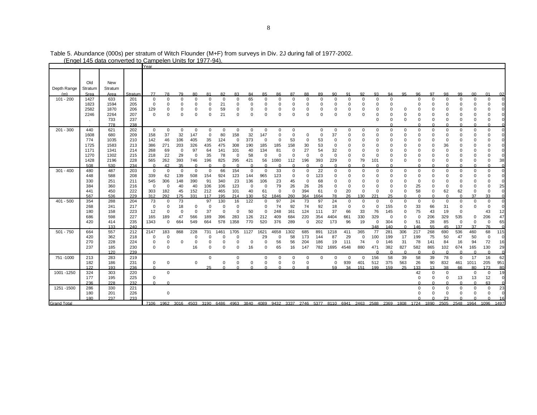|                    |              |              |            | Year        |                    |                |                   |                 |                    |                    |                |                 |                 |               |                |                |                |                  |               |                      |                |                      |                |                      |                   |                |                      |               |                   |
|--------------------|--------------|--------------|------------|-------------|--------------------|----------------|-------------------|-----------------|--------------------|--------------------|----------------|-----------------|-----------------|---------------|----------------|----------------|----------------|------------------|---------------|----------------------|----------------|----------------------|----------------|----------------------|-------------------|----------------|----------------------|---------------|-------------------|
|                    |              |              |            |             |                    |                |                   |                 |                    |                    |                |                 |                 |               |                |                |                |                  |               |                      |                |                      |                |                      |                   |                |                      |               |                   |
|                    | Old          | New          |            |             |                    |                |                   |                 |                    |                    |                |                 |                 |               |                |                |                |                  |               |                      |                |                      |                |                      |                   |                |                      |               |                   |
| Depth Range        | Stratum      | Stratum      |            |             |                    |                |                   |                 |                    |                    |                |                 |                 |               |                |                |                |                  |               |                      |                |                      |                |                      |                   |                |                      |               |                   |
|                    | Srea         | Area         | Stratum    | 77          | 78                 | 79             | 80                | 81              | 82                 | 83                 | 84             | 85              | 86              | 87            | 88             | 89             | 90             | 91               | 92            | 93                   | 94             | 95                   | 96             | 97                   | 98                | 99             | 0 <sub>0</sub>       | 01            | 02                |
| $101 - 200$        | 1427         | 633          | 201        | 0           | 0                  | $\Omega$       | 0                 | $\mathbf 0$     | $^{\circ}$         | $\mathbf 0$        | 65             | $\Omega$        | $\Omega$        | 0             | 0              | $\Omega$       | 0              | $\mathbf 0$      | 0             | $\Omega$             | $\mathbf 0$    |                      | $\Omega$       | $\Omega$             | $\mathbf 0$       | $\mathbf 0$    | $\overline{0}$       | 0             |                   |
|                    | 1823         | 1594         | 205        | $\mathbf 0$ | 0                  | $\Omega$       | 0                 | $\Omega$        | 21                 | 0                  | 0              | 0               | 0               | $\Omega$      | $\Omega$       | $\Omega$       | 0              | 0                | 0             | 0                    | 0              |                      | $\Omega$       | $\Omega$             | 0                 | O              | $\mathbf 0$          | $\mathbf 0$   |                   |
|                    | 2582         | 1870         | 206        | 129         | 0                  | 0              | 0                 | $\Omega$        | 59                 | 0                  | 0              | 0               | 0               | 0             | 0              | 0              | 0              | 0                | 0             | 0                    | 0              | $\Omega$             | $\Omega$       | $\Omega$             | 0                 | U              | 0                    | $\Omega$      |                   |
|                    | 2246         | 2264         | 207        | $\Omega$    | 0                  | $\Omega$       | $\Omega$          | $\Omega$        | 21                 | $\mathbf 0$        | $\Omega$       | $\Omega$        | $\Omega$        | $\Omega$      | $\Omega$       | $\Omega$       | $\Omega$       | $\Omega$         | 0             | 0                    | 0              | $\Omega$             | 0              | O                    | 0                 | $\Omega$       | 0                    | 0             |                   |
|                    |              | 733<br>778   | 237<br>238 |             |                    |                |                   |                 |                    |                    |                |                 |                 |               |                |                |                |                  |               | $\Omega$             | $\Omega$       | $\Omega$             | 0<br>$\Omega$  | $\Omega$             | 0<br>$\Omega$     | 0<br>$\Omega$  | 0<br>C               | 0             | 0                 |
| $201 - 300$        | 440          | 621          | 202        | $\mathbf 0$ | 0                  | $\mathbf 0$    | 0                 | $\mathsf 0$     | $\mathbf 0$        | 0                  | $\mathsf 0$    | $\mathbf 0$     | 0               | 0             |                | $\Omega$       | 0              | $\mathbf 0$      | $\mathbf 0$   | 0                    | 0              | $\Omega$             | 0              | $\Omega$             | $\mathbf 0$       | $\mathbf 0$    | 0                    | 0             | $\Omega$          |
|                    | 1608         | 680          | 209        | 158         | 37                 | 32             | 147               | $\mathbf 0$     | 80                 | 158                | 32             | 147             | $\Omega$        | $\pmb{0}$     | $\Omega$       | $\Omega$       | 37             | $\mathbf 0$      | 0             | $\Omega$             | 0              | O                    | $\Omega$       | $\Omega$             | 0                 | $\Omega$       | 0                    | $\Omega$      |                   |
|                    | 774          | 1035         | 210        | 142         | 46                 | 106            | 405               | 35              | 124                | 0                  | 373            | 0               | $\Omega$        | 53            | 0              | 53             | 0              | 0                | 0             | $\Omega$             | 0              | 0                    | 0              | 0                    | $\mathbf 0$       | 0              | 0                    | 0             |                   |
|                    | 1725         | 1583         | 213        | 386         | 271                | 203            | 326               | 435             | 475                | 308                | 190            | 185             | 185             | 158           | 30             | 53             | 0              | 0                | 0             | 0                    | 0              | 0                    | 0              | $\Omega$<br>$\Omega$ | 36                | 0<br>$\Omega$  | 0                    | $\mathbf 0$   |                   |
|                    | 1171<br>1270 | 1341<br>1302 | 214<br>215 | 268<br>218  | 69<br>22           | $\Omega$<br>29 | 97<br>$\mathbf 0$ | 64<br>35        | 141<br>78          | 101<br>$\mathbf 0$ | 40<br>58       | 134<br>$\Omega$ | 81<br>$\Omega$  | 0<br>$\Omega$ | 27<br>$\Omega$ | 54<br>$\Omega$ | 32<br>$\Omega$ | $\mathbf 0$<br>0 | $\Omega$<br>0 | $\Omega$<br>$\Omega$ | $\Omega$<br>0  | $\Omega$<br>$\Omega$ | $\Omega$<br>0  | 0                    | $\mathbf 0$<br>0  | 0              | 0<br>0               | $\Omega$<br>0 | $\mathbf 0$       |
|                    | 1428         | 2196         | 228        | 565         | 262                | 393            | 746               | 196             | 825                | 295                | 421            | 56              | 1080            | 112           | 196            | 393            | 229            | $\mathbf 0$      | 79            | 101                  | $\mathbf 0$    | $\Omega$             | 0              | $\Omega$             | $\mathbf 0$       | $\Omega$       | $\mathbf 0$          | 0             | 38                |
|                    | 508          | 530          | 234        | $\Omega$    | 42                 | 35             | $\Omega$          | $\Omega$        | $\Omega$           | $\cap$             | $\Omega$       | $\Omega$        | $\Omega$        | $\Omega$      | $\Omega$       | $\Omega$       | $\Omega$       | $\Omega$         | $\Omega$      |                      | $\Omega$       |                      | $\Omega$       |                      | $\Omega$          | $\Omega$       | $\Omega$             | O             | $\Omega$          |
| $301 - 400$        | 480          | 487          | 203        | 0           | 0                  | $\Omega$       | 0                 | 0               | 66                 | 154                | $\mathbf 0$    | 0               | 33              | 0             | 0              | 22             | 0              | 0                | 0             | 0                    | 0              | 0                    | 0              | $\Omega$             | 0                 | 0              | 0                    | 0             | $\Omega$          |
|                    | 448          | 588          | 208        | 339         | 62                 | 139            | 508               | 154             | 924                | 123                | 144            | 965             | 123             | 0             | $\Omega$       | 123            | 0              | 0                | 0             | 0                    | 0              | 0                    | $\Omega$       | 0                    | 0                 | O              | $\mathbf 0$          | $\Omega$      |                   |
|                    | 330          | 251          | 211        | 545         | 306                | 148            | 390               | 91              | 340                | 23                 | 136            | 106             | 23              | 45            | $\Omega$       | 68             | $\Omega$       | 0                | 0             | 0                    | 0              | 0                    | 0              | $\Omega$             | 0                 | 0              | 0                    | $\mathbf 0$   | $\Omega$          |
|                    | 384          | 360          | 216        | $\Omega$    | 0                  | 40             | 40                | 106             | 106                | 123                | $\overline{0}$ | $\Omega$        | 79              | 26            | 26             | 26             | $\Omega$       | $\mathbf 0$      | 0             | 0                    | 0              | $\Omega$             | 25             | $\Omega$             | $\mathbf 0$       | $\Omega$       | $\overline{0}$       | $\Omega$      | 25                |
|                    | 441<br>567   | 450<br>536   | 222<br>229 | 303<br>312  | 182<br>292         | 45<br>175      | 152<br>331        | 212<br>117      | 465<br>195         | 101<br>214         | 40<br>130      | 61<br>52        | $\Omega$<br>846 | 0<br>260      | 394<br>364     | 61<br>664      | 0<br>78        | 20<br>26         | 0<br>130      | $\Omega$<br>221      | $\Omega$<br>25 | $\Omega$<br>$\Omega$ | 58<br>$\Omega$ | $\Omega$<br>$\Omega$ | 62<br>$\Omega$    | 62<br>$\Omega$ | 0<br>37              | 0<br>33       | $\overline{0}$    |
| $401 - 500$        | 354          | 288          | 204        | 73          | 0                  | 73             |                   | 97              | 130                | 16                 | 122            | $\Omega$        | 97              | 24            | 73             | 97             | 24             | $\mathbf 0$      | $\mathbf 0$   | $\Omega$             | 0              | $\mathbf 0$          | $\mathbf 0$    | $\Omega$             | $\mathbf 0$       | $\mathbf 0$    | $\mathbf 0$          | 0             | $\Omega$          |
|                    | 268          | 241          | 217        | 0           | $\mathbf 0$        | 18             | 0                 | $\Omega$        | $^{\circ}$         | 0                  |                | 0               | 74              | 92            | 74             | 92             | 18             | $\mathbf 0$      | 0             | 0                    | 155            | 0                    | 33             | 66                   | 31                | $\mathbf 0$    | $\mathbf 0$          | $\Omega$      |                   |
|                    | 180          | 158          | 223        | 12          | 0                  | $\Omega$       | $\mathbf 0$       | 37              | $\mathbf 0$        | $\mathbf 0$        | 50             | $\Omega$        | 248             | 161           | 124            | 111            | 37             | 66               | 33            | 76                   | 145            | $\Omega$             | 75             | 43                   | 19                | 0              |                      | 43            | 12                |
|                    | 686          | 598          | 227        | 165         | 189                | 47             | 566               | 189             | 396                | 283                | 126            | 212             | 409             | 684           | 220            | 354            | 4404           | 661              | 330           | 329                  | $\mathbf 0$    | $\Omega$             | 0              | 206                  | 329               | 535            | 0                    | 206           | 47                |
|                    | 420          | 414          | 235        | 1343        | $\mathbf 0$        | 664            | 549               | 664             | 578                | 1358               | 770            | 520             | 376             | 289           | 0              | 202            | 173            | 96               | 19            | 0                    | 304            | 0                    | 51             | 28                   | 85                | $\mathbf 0$    | $\mathbf 0$          | $\mathbf 0$   | 65                |
|                    |              | 133          | 240        |             |                    |                |                   |                 |                    |                    |                |                 | 4658            |               |                |                |                |                  | 365           | 348                  | 140<br>281     | $\Omega$<br>306      | 146<br>217     | 55<br>268            | 45<br>690         | 137<br>536     | 37<br>460            | 76<br>68      | $\sqrt{ }$<br>115 |
| $501 - 750$        | 664<br>420   | 557<br>362   | 212<br>218 | 2147<br>0   | 183<br>$\mathbf 0$ | 868            | 228<br>$\Omega$   | 731<br>$\Omega$ | 1461<br>$^{\circ}$ | 1705<br>0          | 1127           | 1621<br>29      | $\mathbf 0$     | 1302<br>58    | 685<br>173     | 891<br>144     | 1218<br>87     | 411<br>29        | $\mathbf 0$   | 77<br>100            | 199            | 17                   | 199            | 75                   | 50                | 47             | 50                   | 0             | $\Omega$          |
|                    | 270          | 228          | 224        | 0           | 0                  | $\Omega$       | 0                 | $\Omega$        | 0                  | $\Omega$           | 0              | 0               | 56              | 56            | 204            | 186            | 19             | 111              | 74            | 0                    | 146            | 31                   | 78             | 141                  | 84                | 16             | 94                   | 72            | 16                |
|                    | 237          | 185          | 230        | 0           | 0                  |                | 16                | $\Omega$        | $\Omega$           | $\Omega$           | 16             | $\Omega$        | 65              | 16            | 147            | 782            | 1695           | 4548             | 880           | 471                  | 382            | 827                  | 582            | 865                  | 102               | 674            | 165                  | 130           | 29                |
|                    |              | 120          | 239        |             |                    |                |                   |                 |                    |                    |                |                 |                 |               |                |                |                |                  |               |                      | $\Omega$       | c                    | $\Omega$       |                      | $\Omega$          | $\cap$         | $\sqrt{ }$           |               | $\Omega$          |
| 751 - 1000         | 213          | 283          | 219        |             |                    |                |                   | 0               |                    | $\mathbf 0$        |                | 0               | 0               | 0             | 0              | 0              | $\Omega$       | $\mathbf 0$      | $\mathbf 0$   | 156                  | 58             | 39                   | 58             | 39                   | 78                | $\mathbf 0$    | 17                   | 16            | 62                |
|                    | 182          | 186          | 231        | 0           | 0                  |                | $\mathbf 0$       |                 | $\mathbf 0$        | $\Omega$           | $\overline{0}$ | $\Omega$        | $\Omega$        | $\mathbf 0$   | $\Omega$       |                | $\Omega$       | 939              | 401           | 512                  | 375            | 563                  | 26             | 90                   | 832               | 461            | 1011                 | 205           | 951               |
| 1001 - 1250        | 122<br>324   | 193<br>303   | 236<br>220 | $\Omega$    |                    |                |                   | 25              | $\Omega$           | $\cap$             | $\Omega$       |                 | $\Omega$        | $\Omega$      | 8              |                | 59             | 34               | 151           | 199                  | 159            | 25                   | 133            | 13<br>$\Omega$       | 38<br>$\mathbf 0$ | 66             | 80<br>$\overline{0}$ | 173           | 80<br>19          |
|                    | 177          | 195          | 225        | 0           | 0                  |                |                   |                 |                    |                    |                |                 |                 |               |                |                |                |                  |               |                      |                |                      | 42<br>0        | $\Omega$             | 0                 | 13             | 13                   | 0<br>12       | $\Omega$          |
|                    | 236          | 228          | 232        | $\Omega$    | $\Omega$           |                |                   |                 |                    |                    |                |                 |                 |               |                |                |                |                  |               |                      |                |                      | $\Omega$       |                      | $\Omega$          | $\Omega$       | $\Omega$             | 63            | C                 |
| 1251 - 1500        | 286          | 330          | 221        |             |                    |                |                   |                 |                    |                    |                |                 |                 |               |                |                |                |                  |               |                      |                |                      | 0              | $\Omega$             | 0                 | 0              | $\mathbf 0$          | 0             | 23                |
|                    | 180          | 201          | 226        |             | 0                  |                |                   |                 |                    |                    |                |                 |                 |               |                |                |                |                  |               |                      |                |                      | $\Omega$       | $\Omega$             | $\mathbf 0$       | $\Omega$       | $\Omega$             | $\Omega$      | $\Omega$          |
|                    | 180          | 237          | 233        |             |                    |                |                   |                 |                    |                    |                |                 |                 |               |                |                |                |                  |               |                      |                |                      | $\cap$         |                      | 23                |                |                      |               | 16                |
| <b>Grand Total</b> |              |              |            | 7106        | 1962               | 3016           | 4503              |                 | 3190 6486 4963     |                    |                | 3840 4089       | 9432            | 3337          | 2746 5377      |                |                | 8110 6941        | 2463          | 2588                 | 2369           | 1808                 | 1724           | 1890                 | 2505              | 2548           | 1964                 | 1096          | 1497              |

Table 5. Abundance (000s) per stratum of Witch Flounder (M+F) from surveys in Div. 2J during fall of 1977-2002. (Engel 145 data converted to Campelen Units for 1977-94).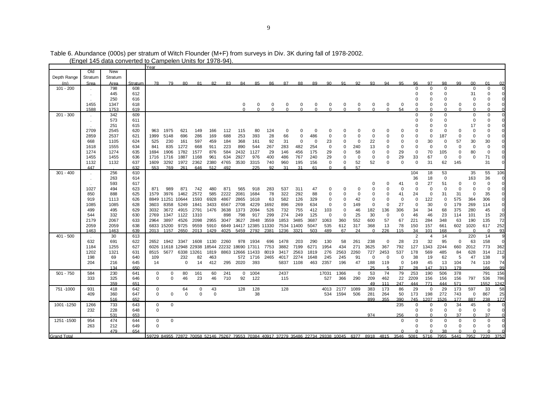| Old<br>New<br>Depth Range<br>Stratum<br>Stratum<br>99<br>Srea<br>97<br>98<br>0 <sup>0</sup><br>Stratum<br>78<br>79<br>87<br>88<br>89<br>90.<br>91<br>92<br>93<br>94<br>95<br>96<br>Area<br>80.<br>81<br>82<br>83<br>84<br>85<br>86<br>$101 - 200$<br>798<br>608<br>$\Omega$<br>$\Omega$<br>$\Omega$<br>$\mathbf 0$<br>445<br>612<br>$\Omega$<br>$\Omega$<br>31<br>$\Omega$<br>250<br>616<br>$\Omega$<br>$\Omega$<br>$\Omega$<br>$\Omega$<br>1455<br>1347<br>618<br>$\Omega$<br>0<br>0<br>0<br>0<br>0<br>0<br>0<br>$\Omega$<br>0<br>$\Omega$<br>$\Omega$<br>0<br>$\Omega$<br>$\Omega$<br>$\Omega$<br>0<br>1588<br>1753<br>619<br>$\Omega$<br>$\Omega$<br>54<br>$\Omega$<br>$\Omega$<br>$\Omega$<br>$\Omega$<br>$\Omega$<br>$\Omega$<br>$\Omega$<br>$\Omega$<br>$\Omega$<br>$\Omega$<br>$\Omega$<br>$\Omega$<br>$\Omega$<br>$\Omega$<br>$201 - 300$<br>$\mathbf 0$<br>0<br>342<br>609<br>0<br>$\mathbf 0$<br>573<br>611<br>$\Omega$<br>$\Omega$<br>0<br>$\Omega$<br>$\cdot$<br>615<br>17<br>251<br>0<br>$\Omega$<br>2709<br>620<br>1975<br>2545<br>963<br>621<br>149<br>166<br>112<br>115<br>80<br>124<br>0<br>$\Omega$<br>$\Omega$<br>$\Omega$<br>$\Omega$<br>0<br>$\Omega$<br>$\Omega$<br>0<br>0<br>0<br>0<br>0<br>0<br>286<br>688<br>253<br>393<br>28<br>66<br>$\mathbf 0$<br>2859<br>2537<br>621<br>1999<br>5148<br>696<br>169<br>$\Omega$<br>486<br>$\Omega$<br>$\Omega$<br>$\Omega$<br>$\Omega$<br>0<br>0<br>187<br>0<br>0<br>$\Omega$<br>668<br>624<br>525<br>230<br>597<br>368<br>31<br>23<br>22<br>$\mathbf 0$<br>30<br>30<br>1105<br>161<br>459<br>184<br>161<br>92<br>$\Omega$<br>$\mathbf 0$<br>$\Omega$<br>$\Omega$<br>57<br>0<br>0<br>0<br>634<br>835<br>668<br>223<br>890<br>544<br>267<br>283<br>0<br>0<br>0<br>0<br>1618<br>1555<br>841<br>1272<br>911<br>482<br>254<br>0<br>240<br>13<br>0<br>$\Omega$<br>$\Omega$<br>0<br>1906<br>584<br>2432<br>175<br>29<br>29<br>$\mathbf 0$<br>70<br>1274<br>1274<br>635<br>1694<br>1782<br>1577<br>876<br>1127<br>29<br>146<br>456<br>58<br>0<br>105<br>0<br>80<br>$\Omega$<br>$\Omega$<br>29<br>1455<br>1455<br>636<br>1716<br>1887<br>1168<br>961<br>634<br>2927<br>976<br>400<br>486<br>767<br>240<br>29<br>$\mathbf 0$<br>$\Omega$<br>33<br>67<br>$\Omega$<br>$\Omega$<br>0<br>1716<br>$\Omega$<br>$\Omega$<br>1132<br>1132<br>637<br>3292<br>2362<br>2380<br>4765<br>3530<br>3315<br>740<br>960<br>195<br>156<br>0<br>52<br>52<br>$\Omega$<br>$\Omega$<br>$\mathbf 0$<br>31<br>62<br>145<br>1609<br>1972<br>0<br>632<br>447<br>553<br>769<br>261<br>646<br>512<br>492<br>225<br>Q2<br>31<br>31<br>61<br>57<br>$\Omega$<br>$\epsilon$<br>$301 - 400$<br>256<br>610<br>104<br>18<br>53<br>35<br>263<br>36<br>18<br>$\mathbf 0$<br>163<br>614<br>$\cdot$<br>593<br>617<br>27<br>51<br>$\mathbf 0$<br>41<br>$^{\circ}$<br>$\Omega$<br>O<br>$\Omega$<br>537<br>$\mathbf 0$<br>$\mathbf 0$<br>1027<br>494<br>623<br>871<br>989<br>871<br>742<br>480<br>871<br>565<br>918<br>283<br>311<br>47<br>O<br>$\mathbf 0$<br>$\Omega$<br>$\Omega$<br>$\Omega$<br>0<br>∩<br>2572<br>3976<br>585<br>2222<br>2081<br>78<br>322<br>292<br>88<br>31<br>850<br>888<br>625<br>1579<br>1462<br>1684<br>$\Omega$<br>41<br>24<br>0<br>31<br>$\Omega$<br>$\Omega$<br>0<br>$\Omega$<br>0<br>919<br>11251 10644<br>1593<br>6928<br>4867<br>2865<br>582<br>$\mathbf 0$<br>$\Omega$<br>$\mathbf 0$<br>122<br>$\Omega$<br>575<br>1113<br>626<br>1618<br>63<br>126<br>329<br>42<br>$\Omega$<br>$\mathbf 0$<br>364<br>8849<br>$\Omega$<br>628<br>8358<br>5249<br>3433<br>2708<br>4229<br>1692<br>269<br>634<br>$\mathbf 0$<br>27<br>$\mathbf 0$<br>30<br>179<br>269<br>1085<br>1085<br>3603<br>1841<br>6567<br>896<br>$\mathbf 0$<br>149<br>$\Omega$<br>$\Omega$<br>$\Omega$<br>499<br>526<br>732<br>755<br>412<br>34<br>68<br>375<br>280<br>495<br>629<br>3032<br>3672<br>4915<br>2791<br>1476<br>3638<br>1373<br>2094<br>103<br>$\Omega$<br>46<br>182<br>136<br>306<br>34<br>332<br>798<br>299<br>274<br>249<br>125<br>$\mathbf 0$<br>25<br>30<br>46<br>46<br>23<br>101<br>544<br>630<br>2769<br>1347<br>1122<br>1310<br>898<br>917<br>$\Omega$<br>$\mathbf 0$<br>$\mathbf 0$<br>114<br>2179<br>2067<br>633<br>3897<br>4526<br>2955<br>3627<br>1853<br>3687<br>1063<br>360<br>552<br>600<br>57<br>67<br>221<br>284<br>348<br>63<br>190<br>2964<br>2098<br>3047<br>2848<br>3559<br>3485<br>2059<br>2059<br>638<br>9725<br>9559<br>5910<br>6849 14417 12385 11330<br>7534 11400<br>535<br>317<br>368<br>13<br>78<br>150<br>157<br>661<br>602<br>1020<br>6833 15200<br>5047<br>612<br>1463<br>2650<br>1236<br>503<br>489<br>67<br>24<br>226<br>168<br>1463<br>639<br>2013<br>1157<br>2013<br>1429<br>4025<br>5459<br>2792<br>2381<br>3321<br>$\Omega$<br>115<br>34<br>101<br>$\Omega$<br>$\Omega$<br>$\overline{2}$<br>$401 - 500$<br>30<br>613<br>14<br>220<br>4<br>23<br>632<br>622<br>290<br>130<br>58<br>238<br>0<br>28<br>32<br>95<br>63<br>691<br>2652<br>1942 3347<br>1608<br>1130<br>2260<br>978<br>1934<br>696<br>1478<br>203<br>261<br>0<br>271<br>792<br>3882<br>1954<br>434<br>3625<br>367<br>127<br>660<br>2012<br>1184<br>1255<br>627<br>6026 11618 12948 22938 18544 22232<br>18690 17311<br>7753<br>7199<br>6271<br>1343<br>2244<br>628<br>1202<br>1321<br>631<br>5677<br>6338 13261<br>1819<br>8863 12666 11433<br>3417<br>2563<br>1819<br>276<br>2563<br>2260<br>727<br>2453<br>537<br>178<br>569<br>485<br>84<br>8515<br>8019<br>198<br>640<br>232<br>82<br>463<br>572 1716<br>2465<br>4017<br>2274<br>1648<br>245<br>245<br>91<br>$\Omega$<br>$\mathbf 0$<br>38<br>19<br>62<br>-5<br>47<br>69<br>109<br>$\Omega$<br>74<br>216<br>645<br>0<br>295<br>2020<br>393<br>5837<br>1108<br>463<br>2357<br>196<br>47<br>188<br>119<br>0<br>149<br>45<br>13<br>104<br>204<br>14<br>14<br>412<br>37<br>28<br>147<br>313<br>179<br>134<br>650<br>25<br>$\sqrt{2}$<br>79<br>53<br>74<br>253<br>190<br>506<br>378<br>$501 - 750$<br>584<br>230<br>641<br>0<br>80<br>161<br>60<br>241<br>$\mathbf{0}$<br>1004<br>2437<br>17031<br>1366<br>0<br>0<br>$\mathbf 0$<br>46<br>23<br>46<br>290<br>209<br>22<br>2209<br>156<br>156<br>797<br>333<br>325<br>646<br>$\Omega$<br>710<br>92<br>122<br>527<br>366<br>462<br>156<br>115<br>247<br>571<br>359<br>651<br>49<br>444<br>771<br>444<br>111<br>1089<br>383<br>173<br>86<br>29<br>29<br>173<br>597<br>751 - 1000<br>931<br>418<br>642<br>0<br>64<br>0<br>43<br>128<br>128<br>128<br>4013<br>2177<br>$\mathbf 0$<br>$\mathbf 0$<br>$\mathbf 0$<br>$\mathbf 0$<br>1594<br>506<br>281<br>264<br>50<br>173<br>198<br>272<br>743<br>409<br>360<br>647<br>$\Omega$<br>$\Omega$<br>38<br>534<br>$\mathbf 0$<br>652<br>516<br>899<br>355<br>390<br>745<br>1207<br>1526<br>177<br>887<br>733<br>$\mathbf 0$<br>235<br>34<br>45<br>1001 - 1250<br>1266<br>643<br>0<br>0<br>0<br>$\Omega$ |     | בווסטו ודט טמונו טטוויטונט |     | Year     |  | <u>oampoion on its ion is ro</u> |  |  |  |  |  |  |  |             |   |             |             |             |                |
|----------------------------------------------------------------------------------------------------------------------------------------------------------------------------------------------------------------------------------------------------------------------------------------------------------------------------------------------------------------------------------------------------------------------------------------------------------------------------------------------------------------------------------------------------------------------------------------------------------------------------------------------------------------------------------------------------------------------------------------------------------------------------------------------------------------------------------------------------------------------------------------------------------------------------------------------------------------------------------------------------------------------------------------------------------------------------------------------------------------------------------------------------------------------------------------------------------------------------------------------------------------------------------------------------------------------------------------------------------------------------------------------------------------------------------------------------------------------------------------------------------------------------------------------------------------------------------------------------------------------------------------------------------------------------------------------------------------------------------------------------------------------------------------------------------------------------------------------------------------------------------------------------------------------------------------------------------------------------------------------------------------------------------------------------------------------------------------------------------------------------------------------------------------------------------------------------------------------------------------------------------------------------------------------------------------------------------------------------------------------------------------------------------------------------------------------------------------------------------------------------------------------------------------------------------------------------------------------------------------------------------------------------------------------------------------------------------------------------------------------------------------------------------------------------------------------------------------------------------------------------------------------------------------------------------------------------------------------------------------------------------------------------------------------------------------------------------------------------------------------------------------------------------------------------------------------------------------------------------------------------------------------------------------------------------------------------------------------------------------------------------------------------------------------------------------------------------------------------------------------------------------------------------------------------------------------------------------------------------------------------------------------------------------------------------------------------------------------------------------------------------------------------------------------------------------------------------------------------------------------------------------------------------------------------------------------------------------------------------------------------------------------------------------------------------------------------------------------------------------------------------------------------------------------------------------------------------------------------------------------------------------------------------------------------------------------------------------------------------------------------------------------------------------------------------------------------------------------------------------------------------------------------------------------------------------------------------------------------------------------------------------------------------------------------------------------------------------------------------------------------------------------------------------------------------------------------------------------------------------------------------------------------------------------------------------------------------------------------------------------------------------------------------------------------------------------------------------------------------------------------------------------------------------------------------------------------------------------------------------------------------------------------------------------------------------------------------------------------------------------------------------------------------------------------------------------------------------------------------------------------------------------------------------------------------------------------------------------------------------------------------------------------------------------------------------------------------------------------------------------------------------------------------------------------------------------------------------------------------------------------------------------------------------------------------------------------------------------------------------------------------------------------------------------------------------------------------------------------------------------------------------------------------------------------------------------------------------------------------------------------------------------------------------------------------------------------------------------------------------------------------------------------------------------------------------------------------------------------------------------------------------------------------------------------------------------------------------------------------------------------------------------------------------------------------------------------------------------------------------------------------|-----|----------------------------|-----|----------|--|----------------------------------|--|--|--|--|--|--|--|-------------|---|-------------|-------------|-------------|----------------|
|                                                                                                                                                                                                                                                                                                                                                                                                                                                                                                                                                                                                                                                                                                                                                                                                                                                                                                                                                                                                                                                                                                                                                                                                                                                                                                                                                                                                                                                                                                                                                                                                                                                                                                                                                                                                                                                                                                                                                                                                                                                                                                                                                                                                                                                                                                                                                                                                                                                                                                                                                                                                                                                                                                                                                                                                                                                                                                                                                                                                                                                                                                                                                                                                                                                                                                                                                                                                                                                                                                                                                                                                                                                                                                                                                                                                                                                                                                                                                                                                                                                                                                                                                                                                                                                                                                                                                                                                                                                                                                                                                                                                                                                                                                                                                                                                                                                                                                                                                                                                                                                                                                                                                                                                                                                                                                                                                                                                                                                                                                                                                                                                                                                                                                                                                                                                                                                                                                                                                                                                                                                                                                                                                                                                                                                                                                                                                                                                                                                                                                                                                                                                                                                                                                                                                          |     |                            |     |          |  |                                  |  |  |  |  |  |  |  |             |   |             |             |             |                |
|                                                                                                                                                                                                                                                                                                                                                                                                                                                                                                                                                                                                                                                                                                                                                                                                                                                                                                                                                                                                                                                                                                                                                                                                                                                                                                                                                                                                                                                                                                                                                                                                                                                                                                                                                                                                                                                                                                                                                                                                                                                                                                                                                                                                                                                                                                                                                                                                                                                                                                                                                                                                                                                                                                                                                                                                                                                                                                                                                                                                                                                                                                                                                                                                                                                                                                                                                                                                                                                                                                                                                                                                                                                                                                                                                                                                                                                                                                                                                                                                                                                                                                                                                                                                                                                                                                                                                                                                                                                                                                                                                                                                                                                                                                                                                                                                                                                                                                                                                                                                                                                                                                                                                                                                                                                                                                                                                                                                                                                                                                                                                                                                                                                                                                                                                                                                                                                                                                                                                                                                                                                                                                                                                                                                                                                                                                                                                                                                                                                                                                                                                                                                                                                                                                                                                          |     |                            |     |          |  |                                  |  |  |  |  |  |  |  |             |   |             |             |             |                |
|                                                                                                                                                                                                                                                                                                                                                                                                                                                                                                                                                                                                                                                                                                                                                                                                                                                                                                                                                                                                                                                                                                                                                                                                                                                                                                                                                                                                                                                                                                                                                                                                                                                                                                                                                                                                                                                                                                                                                                                                                                                                                                                                                                                                                                                                                                                                                                                                                                                                                                                                                                                                                                                                                                                                                                                                                                                                                                                                                                                                                                                                                                                                                                                                                                                                                                                                                                                                                                                                                                                                                                                                                                                                                                                                                                                                                                                                                                                                                                                                                                                                                                                                                                                                                                                                                                                                                                                                                                                                                                                                                                                                                                                                                                                                                                                                                                                                                                                                                                                                                                                                                                                                                                                                                                                                                                                                                                                                                                                                                                                                                                                                                                                                                                                                                                                                                                                                                                                                                                                                                                                                                                                                                                                                                                                                                                                                                                                                                                                                                                                                                                                                                                                                                                                                                          |     |                            |     |          |  |                                  |  |  |  |  |  |  |  |             |   |             |             | 01          | 0 <sup>2</sup> |
|                                                                                                                                                                                                                                                                                                                                                                                                                                                                                                                                                                                                                                                                                                                                                                                                                                                                                                                                                                                                                                                                                                                                                                                                                                                                                                                                                                                                                                                                                                                                                                                                                                                                                                                                                                                                                                                                                                                                                                                                                                                                                                                                                                                                                                                                                                                                                                                                                                                                                                                                                                                                                                                                                                                                                                                                                                                                                                                                                                                                                                                                                                                                                                                                                                                                                                                                                                                                                                                                                                                                                                                                                                                                                                                                                                                                                                                                                                                                                                                                                                                                                                                                                                                                                                                                                                                                                                                                                                                                                                                                                                                                                                                                                                                                                                                                                                                                                                                                                                                                                                                                                                                                                                                                                                                                                                                                                                                                                                                                                                                                                                                                                                                                                                                                                                                                                                                                                                                                                                                                                                                                                                                                                                                                                                                                                                                                                                                                                                                                                                                                                                                                                                                                                                                                                          |     |                            |     |          |  |                                  |  |  |  |  |  |  |  |             |   |             |             | $\mathbf 0$ |                |
|                                                                                                                                                                                                                                                                                                                                                                                                                                                                                                                                                                                                                                                                                                                                                                                                                                                                                                                                                                                                                                                                                                                                                                                                                                                                                                                                                                                                                                                                                                                                                                                                                                                                                                                                                                                                                                                                                                                                                                                                                                                                                                                                                                                                                                                                                                                                                                                                                                                                                                                                                                                                                                                                                                                                                                                                                                                                                                                                                                                                                                                                                                                                                                                                                                                                                                                                                                                                                                                                                                                                                                                                                                                                                                                                                                                                                                                                                                                                                                                                                                                                                                                                                                                                                                                                                                                                                                                                                                                                                                                                                                                                                                                                                                                                                                                                                                                                                                                                                                                                                                                                                                                                                                                                                                                                                                                                                                                                                                                                                                                                                                                                                                                                                                                                                                                                                                                                                                                                                                                                                                                                                                                                                                                                                                                                                                                                                                                                                                                                                                                                                                                                                                                                                                                                                          |     |                            |     |          |  |                                  |  |  |  |  |  |  |  |             |   |             |             | $\Omega$    |                |
|                                                                                                                                                                                                                                                                                                                                                                                                                                                                                                                                                                                                                                                                                                                                                                                                                                                                                                                                                                                                                                                                                                                                                                                                                                                                                                                                                                                                                                                                                                                                                                                                                                                                                                                                                                                                                                                                                                                                                                                                                                                                                                                                                                                                                                                                                                                                                                                                                                                                                                                                                                                                                                                                                                                                                                                                                                                                                                                                                                                                                                                                                                                                                                                                                                                                                                                                                                                                                                                                                                                                                                                                                                                                                                                                                                                                                                                                                                                                                                                                                                                                                                                                                                                                                                                                                                                                                                                                                                                                                                                                                                                                                                                                                                                                                                                                                                                                                                                                                                                                                                                                                                                                                                                                                                                                                                                                                                                                                                                                                                                                                                                                                                                                                                                                                                                                                                                                                                                                                                                                                                                                                                                                                                                                                                                                                                                                                                                                                                                                                                                                                                                                                                                                                                                                                          |     |                            |     |          |  |                                  |  |  |  |  |  |  |  |             |   |             |             | $\Omega$    |                |
|                                                                                                                                                                                                                                                                                                                                                                                                                                                                                                                                                                                                                                                                                                                                                                                                                                                                                                                                                                                                                                                                                                                                                                                                                                                                                                                                                                                                                                                                                                                                                                                                                                                                                                                                                                                                                                                                                                                                                                                                                                                                                                                                                                                                                                                                                                                                                                                                                                                                                                                                                                                                                                                                                                                                                                                                                                                                                                                                                                                                                                                                                                                                                                                                                                                                                                                                                                                                                                                                                                                                                                                                                                                                                                                                                                                                                                                                                                                                                                                                                                                                                                                                                                                                                                                                                                                                                                                                                                                                                                                                                                                                                                                                                                                                                                                                                                                                                                                                                                                                                                                                                                                                                                                                                                                                                                                                                                                                                                                                                                                                                                                                                                                                                                                                                                                                                                                                                                                                                                                                                                                                                                                                                                                                                                                                                                                                                                                                                                                                                                                                                                                                                                                                                                                                                          |     |                            |     |          |  |                                  |  |  |  |  |  |  |  |             |   |             |             | 0           |                |
|                                                                                                                                                                                                                                                                                                                                                                                                                                                                                                                                                                                                                                                                                                                                                                                                                                                                                                                                                                                                                                                                                                                                                                                                                                                                                                                                                                                                                                                                                                                                                                                                                                                                                                                                                                                                                                                                                                                                                                                                                                                                                                                                                                                                                                                                                                                                                                                                                                                                                                                                                                                                                                                                                                                                                                                                                                                                                                                                                                                                                                                                                                                                                                                                                                                                                                                                                                                                                                                                                                                                                                                                                                                                                                                                                                                                                                                                                                                                                                                                                                                                                                                                                                                                                                                                                                                                                                                                                                                                                                                                                                                                                                                                                                                                                                                                                                                                                                                                                                                                                                                                                                                                                                                                                                                                                                                                                                                                                                                                                                                                                                                                                                                                                                                                                                                                                                                                                                                                                                                                                                                                                                                                                                                                                                                                                                                                                                                                                                                                                                                                                                                                                                                                                                                                                          |     |                            |     |          |  |                                  |  |  |  |  |  |  |  |             |   |             |             | $\Omega$    |                |
|                                                                                                                                                                                                                                                                                                                                                                                                                                                                                                                                                                                                                                                                                                                                                                                                                                                                                                                                                                                                                                                                                                                                                                                                                                                                                                                                                                                                                                                                                                                                                                                                                                                                                                                                                                                                                                                                                                                                                                                                                                                                                                                                                                                                                                                                                                                                                                                                                                                                                                                                                                                                                                                                                                                                                                                                                                                                                                                                                                                                                                                                                                                                                                                                                                                                                                                                                                                                                                                                                                                                                                                                                                                                                                                                                                                                                                                                                                                                                                                                                                                                                                                                                                                                                                                                                                                                                                                                                                                                                                                                                                                                                                                                                                                                                                                                                                                                                                                                                                                                                                                                                                                                                                                                                                                                                                                                                                                                                                                                                                                                                                                                                                                                                                                                                                                                                                                                                                                                                                                                                                                                                                                                                                                                                                                                                                                                                                                                                                                                                                                                                                                                                                                                                                                                                          |     |                            |     |          |  |                                  |  |  |  |  |  |  |  |             |   |             |             | 0           |                |
|                                                                                                                                                                                                                                                                                                                                                                                                                                                                                                                                                                                                                                                                                                                                                                                                                                                                                                                                                                                                                                                                                                                                                                                                                                                                                                                                                                                                                                                                                                                                                                                                                                                                                                                                                                                                                                                                                                                                                                                                                                                                                                                                                                                                                                                                                                                                                                                                                                                                                                                                                                                                                                                                                                                                                                                                                                                                                                                                                                                                                                                                                                                                                                                                                                                                                                                                                                                                                                                                                                                                                                                                                                                                                                                                                                                                                                                                                                                                                                                                                                                                                                                                                                                                                                                                                                                                                                                                                                                                                                                                                                                                                                                                                                                                                                                                                                                                                                                                                                                                                                                                                                                                                                                                                                                                                                                                                                                                                                                                                                                                                                                                                                                                                                                                                                                                                                                                                                                                                                                                                                                                                                                                                                                                                                                                                                                                                                                                                                                                                                                                                                                                                                                                                                                                                          |     |                            |     |          |  |                                  |  |  |  |  |  |  |  |             |   |             |             | $\Omega$    |                |
|                                                                                                                                                                                                                                                                                                                                                                                                                                                                                                                                                                                                                                                                                                                                                                                                                                                                                                                                                                                                                                                                                                                                                                                                                                                                                                                                                                                                                                                                                                                                                                                                                                                                                                                                                                                                                                                                                                                                                                                                                                                                                                                                                                                                                                                                                                                                                                                                                                                                                                                                                                                                                                                                                                                                                                                                                                                                                                                                                                                                                                                                                                                                                                                                                                                                                                                                                                                                                                                                                                                                                                                                                                                                                                                                                                                                                                                                                                                                                                                                                                                                                                                                                                                                                                                                                                                                                                                                                                                                                                                                                                                                                                                                                                                                                                                                                                                                                                                                                                                                                                                                                                                                                                                                                                                                                                                                                                                                                                                                                                                                                                                                                                                                                                                                                                                                                                                                                                                                                                                                                                                                                                                                                                                                                                                                                                                                                                                                                                                                                                                                                                                                                                                                                                                                                          |     |                            |     |          |  |                                  |  |  |  |  |  |  |  |             |   |             |             | $\Omega$    |                |
|                                                                                                                                                                                                                                                                                                                                                                                                                                                                                                                                                                                                                                                                                                                                                                                                                                                                                                                                                                                                                                                                                                                                                                                                                                                                                                                                                                                                                                                                                                                                                                                                                                                                                                                                                                                                                                                                                                                                                                                                                                                                                                                                                                                                                                                                                                                                                                                                                                                                                                                                                                                                                                                                                                                                                                                                                                                                                                                                                                                                                                                                                                                                                                                                                                                                                                                                                                                                                                                                                                                                                                                                                                                                                                                                                                                                                                                                                                                                                                                                                                                                                                                                                                                                                                                                                                                                                                                                                                                                                                                                                                                                                                                                                                                                                                                                                                                                                                                                                                                                                                                                                                                                                                                                                                                                                                                                                                                                                                                                                                                                                                                                                                                                                                                                                                                                                                                                                                                                                                                                                                                                                                                                                                                                                                                                                                                                                                                                                                                                                                                                                                                                                                                                                                                                                          |     |                            |     |          |  |                                  |  |  |  |  |  |  |  |             |   |             |             | $\Omega$    |                |
|                                                                                                                                                                                                                                                                                                                                                                                                                                                                                                                                                                                                                                                                                                                                                                                                                                                                                                                                                                                                                                                                                                                                                                                                                                                                                                                                                                                                                                                                                                                                                                                                                                                                                                                                                                                                                                                                                                                                                                                                                                                                                                                                                                                                                                                                                                                                                                                                                                                                                                                                                                                                                                                                                                                                                                                                                                                                                                                                                                                                                                                                                                                                                                                                                                                                                                                                                                                                                                                                                                                                                                                                                                                                                                                                                                                                                                                                                                                                                                                                                                                                                                                                                                                                                                                                                                                                                                                                                                                                                                                                                                                                                                                                                                                                                                                                                                                                                                                                                                                                                                                                                                                                                                                                                                                                                                                                                                                                                                                                                                                                                                                                                                                                                                                                                                                                                                                                                                                                                                                                                                                                                                                                                                                                                                                                                                                                                                                                                                                                                                                                                                                                                                                                                                                                                          |     |                            |     |          |  |                                  |  |  |  |  |  |  |  |             |   |             |             | 0           |                |
|                                                                                                                                                                                                                                                                                                                                                                                                                                                                                                                                                                                                                                                                                                                                                                                                                                                                                                                                                                                                                                                                                                                                                                                                                                                                                                                                                                                                                                                                                                                                                                                                                                                                                                                                                                                                                                                                                                                                                                                                                                                                                                                                                                                                                                                                                                                                                                                                                                                                                                                                                                                                                                                                                                                                                                                                                                                                                                                                                                                                                                                                                                                                                                                                                                                                                                                                                                                                                                                                                                                                                                                                                                                                                                                                                                                                                                                                                                                                                                                                                                                                                                                                                                                                                                                                                                                                                                                                                                                                                                                                                                                                                                                                                                                                                                                                                                                                                                                                                                                                                                                                                                                                                                                                                                                                                                                                                                                                                                                                                                                                                                                                                                                                                                                                                                                                                                                                                                                                                                                                                                                                                                                                                                                                                                                                                                                                                                                                                                                                                                                                                                                                                                                                                                                                                          |     |                            |     |          |  |                                  |  |  |  |  |  |  |  |             |   |             |             | 30          |                |
|                                                                                                                                                                                                                                                                                                                                                                                                                                                                                                                                                                                                                                                                                                                                                                                                                                                                                                                                                                                                                                                                                                                                                                                                                                                                                                                                                                                                                                                                                                                                                                                                                                                                                                                                                                                                                                                                                                                                                                                                                                                                                                                                                                                                                                                                                                                                                                                                                                                                                                                                                                                                                                                                                                                                                                                                                                                                                                                                                                                                                                                                                                                                                                                                                                                                                                                                                                                                                                                                                                                                                                                                                                                                                                                                                                                                                                                                                                                                                                                                                                                                                                                                                                                                                                                                                                                                                                                                                                                                                                                                                                                                                                                                                                                                                                                                                                                                                                                                                                                                                                                                                                                                                                                                                                                                                                                                                                                                                                                                                                                                                                                                                                                                                                                                                                                                                                                                                                                                                                                                                                                                                                                                                                                                                                                                                                                                                                                                                                                                                                                                                                                                                                                                                                                                                          |     |                            |     |          |  |                                  |  |  |  |  |  |  |  |             |   |             |             | 0           |                |
|                                                                                                                                                                                                                                                                                                                                                                                                                                                                                                                                                                                                                                                                                                                                                                                                                                                                                                                                                                                                                                                                                                                                                                                                                                                                                                                                                                                                                                                                                                                                                                                                                                                                                                                                                                                                                                                                                                                                                                                                                                                                                                                                                                                                                                                                                                                                                                                                                                                                                                                                                                                                                                                                                                                                                                                                                                                                                                                                                                                                                                                                                                                                                                                                                                                                                                                                                                                                                                                                                                                                                                                                                                                                                                                                                                                                                                                                                                                                                                                                                                                                                                                                                                                                                                                                                                                                                                                                                                                                                                                                                                                                                                                                                                                                                                                                                                                                                                                                                                                                                                                                                                                                                                                                                                                                                                                                                                                                                                                                                                                                                                                                                                                                                                                                                                                                                                                                                                                                                                                                                                                                                                                                                                                                                                                                                                                                                                                                                                                                                                                                                                                                                                                                                                                                                          |     |                            |     |          |  |                                  |  |  |  |  |  |  |  |             |   |             |             | $\mathbf 0$ |                |
|                                                                                                                                                                                                                                                                                                                                                                                                                                                                                                                                                                                                                                                                                                                                                                                                                                                                                                                                                                                                                                                                                                                                                                                                                                                                                                                                                                                                                                                                                                                                                                                                                                                                                                                                                                                                                                                                                                                                                                                                                                                                                                                                                                                                                                                                                                                                                                                                                                                                                                                                                                                                                                                                                                                                                                                                                                                                                                                                                                                                                                                                                                                                                                                                                                                                                                                                                                                                                                                                                                                                                                                                                                                                                                                                                                                                                                                                                                                                                                                                                                                                                                                                                                                                                                                                                                                                                                                                                                                                                                                                                                                                                                                                                                                                                                                                                                                                                                                                                                                                                                                                                                                                                                                                                                                                                                                                                                                                                                                                                                                                                                                                                                                                                                                                                                                                                                                                                                                                                                                                                                                                                                                                                                                                                                                                                                                                                                                                                                                                                                                                                                                                                                                                                                                                                          |     |                            |     |          |  |                                  |  |  |  |  |  |  |  |             |   |             |             | 71          |                |
|                                                                                                                                                                                                                                                                                                                                                                                                                                                                                                                                                                                                                                                                                                                                                                                                                                                                                                                                                                                                                                                                                                                                                                                                                                                                                                                                                                                                                                                                                                                                                                                                                                                                                                                                                                                                                                                                                                                                                                                                                                                                                                                                                                                                                                                                                                                                                                                                                                                                                                                                                                                                                                                                                                                                                                                                                                                                                                                                                                                                                                                                                                                                                                                                                                                                                                                                                                                                                                                                                                                                                                                                                                                                                                                                                                                                                                                                                                                                                                                                                                                                                                                                                                                                                                                                                                                                                                                                                                                                                                                                                                                                                                                                                                                                                                                                                                                                                                                                                                                                                                                                                                                                                                                                                                                                                                                                                                                                                                                                                                                                                                                                                                                                                                                                                                                                                                                                                                                                                                                                                                                                                                                                                                                                                                                                                                                                                                                                                                                                                                                                                                                                                                                                                                                                                          |     |                            |     |          |  |                                  |  |  |  |  |  |  |  |             |   |             |             | 31          |                |
|                                                                                                                                                                                                                                                                                                                                                                                                                                                                                                                                                                                                                                                                                                                                                                                                                                                                                                                                                                                                                                                                                                                                                                                                                                                                                                                                                                                                                                                                                                                                                                                                                                                                                                                                                                                                                                                                                                                                                                                                                                                                                                                                                                                                                                                                                                                                                                                                                                                                                                                                                                                                                                                                                                                                                                                                                                                                                                                                                                                                                                                                                                                                                                                                                                                                                                                                                                                                                                                                                                                                                                                                                                                                                                                                                                                                                                                                                                                                                                                                                                                                                                                                                                                                                                                                                                                                                                                                                                                                                                                                                                                                                                                                                                                                                                                                                                                                                                                                                                                                                                                                                                                                                                                                                                                                                                                                                                                                                                                                                                                                                                                                                                                                                                                                                                                                                                                                                                                                                                                                                                                                                                                                                                                                                                                                                                                                                                                                                                                                                                                                                                                                                                                                                                                                                          |     |                            |     |          |  |                                  |  |  |  |  |  |  |  |             |   |             |             |             |                |
|                                                                                                                                                                                                                                                                                                                                                                                                                                                                                                                                                                                                                                                                                                                                                                                                                                                                                                                                                                                                                                                                                                                                                                                                                                                                                                                                                                                                                                                                                                                                                                                                                                                                                                                                                                                                                                                                                                                                                                                                                                                                                                                                                                                                                                                                                                                                                                                                                                                                                                                                                                                                                                                                                                                                                                                                                                                                                                                                                                                                                                                                                                                                                                                                                                                                                                                                                                                                                                                                                                                                                                                                                                                                                                                                                                                                                                                                                                                                                                                                                                                                                                                                                                                                                                                                                                                                                                                                                                                                                                                                                                                                                                                                                                                                                                                                                                                                                                                                                                                                                                                                                                                                                                                                                                                                                                                                                                                                                                                                                                                                                                                                                                                                                                                                                                                                                                                                                                                                                                                                                                                                                                                                                                                                                                                                                                                                                                                                                                                                                                                                                                                                                                                                                                                                                          |     |                            |     |          |  |                                  |  |  |  |  |  |  |  |             |   |             |             | 55          | 106            |
|                                                                                                                                                                                                                                                                                                                                                                                                                                                                                                                                                                                                                                                                                                                                                                                                                                                                                                                                                                                                                                                                                                                                                                                                                                                                                                                                                                                                                                                                                                                                                                                                                                                                                                                                                                                                                                                                                                                                                                                                                                                                                                                                                                                                                                                                                                                                                                                                                                                                                                                                                                                                                                                                                                                                                                                                                                                                                                                                                                                                                                                                                                                                                                                                                                                                                                                                                                                                                                                                                                                                                                                                                                                                                                                                                                                                                                                                                                                                                                                                                                                                                                                                                                                                                                                                                                                                                                                                                                                                                                                                                                                                                                                                                                                                                                                                                                                                                                                                                                                                                                                                                                                                                                                                                                                                                                                                                                                                                                                                                                                                                                                                                                                                                                                                                                                                                                                                                                                                                                                                                                                                                                                                                                                                                                                                                                                                                                                                                                                                                                                                                                                                                                                                                                                                                          |     |                            |     |          |  |                                  |  |  |  |  |  |  |  |             |   |             |             | 36          |                |
|                                                                                                                                                                                                                                                                                                                                                                                                                                                                                                                                                                                                                                                                                                                                                                                                                                                                                                                                                                                                                                                                                                                                                                                                                                                                                                                                                                                                                                                                                                                                                                                                                                                                                                                                                                                                                                                                                                                                                                                                                                                                                                                                                                                                                                                                                                                                                                                                                                                                                                                                                                                                                                                                                                                                                                                                                                                                                                                                                                                                                                                                                                                                                                                                                                                                                                                                                                                                                                                                                                                                                                                                                                                                                                                                                                                                                                                                                                                                                                                                                                                                                                                                                                                                                                                                                                                                                                                                                                                                                                                                                                                                                                                                                                                                                                                                                                                                                                                                                                                                                                                                                                                                                                                                                                                                                                                                                                                                                                                                                                                                                                                                                                                                                                                                                                                                                                                                                                                                                                                                                                                                                                                                                                                                                                                                                                                                                                                                                                                                                                                                                                                                                                                                                                                                                          |     |                            |     |          |  |                                  |  |  |  |  |  |  |  |             |   |             |             | $\mathbf 0$ |                |
|                                                                                                                                                                                                                                                                                                                                                                                                                                                                                                                                                                                                                                                                                                                                                                                                                                                                                                                                                                                                                                                                                                                                                                                                                                                                                                                                                                                                                                                                                                                                                                                                                                                                                                                                                                                                                                                                                                                                                                                                                                                                                                                                                                                                                                                                                                                                                                                                                                                                                                                                                                                                                                                                                                                                                                                                                                                                                                                                                                                                                                                                                                                                                                                                                                                                                                                                                                                                                                                                                                                                                                                                                                                                                                                                                                                                                                                                                                                                                                                                                                                                                                                                                                                                                                                                                                                                                                                                                                                                                                                                                                                                                                                                                                                                                                                                                                                                                                                                                                                                                                                                                                                                                                                                                                                                                                                                                                                                                                                                                                                                                                                                                                                                                                                                                                                                                                                                                                                                                                                                                                                                                                                                                                                                                                                                                                                                                                                                                                                                                                                                                                                                                                                                                                                                                          |     |                            |     |          |  |                                  |  |  |  |  |  |  |  |             |   |             |             | $\mathbf 0$ |                |
|                                                                                                                                                                                                                                                                                                                                                                                                                                                                                                                                                                                                                                                                                                                                                                                                                                                                                                                                                                                                                                                                                                                                                                                                                                                                                                                                                                                                                                                                                                                                                                                                                                                                                                                                                                                                                                                                                                                                                                                                                                                                                                                                                                                                                                                                                                                                                                                                                                                                                                                                                                                                                                                                                                                                                                                                                                                                                                                                                                                                                                                                                                                                                                                                                                                                                                                                                                                                                                                                                                                                                                                                                                                                                                                                                                                                                                                                                                                                                                                                                                                                                                                                                                                                                                                                                                                                                                                                                                                                                                                                                                                                                                                                                                                                                                                                                                                                                                                                                                                                                                                                                                                                                                                                                                                                                                                                                                                                                                                                                                                                                                                                                                                                                                                                                                                                                                                                                                                                                                                                                                                                                                                                                                                                                                                                                                                                                                                                                                                                                                                                                                                                                                                                                                                                                          |     |                            |     |          |  |                                  |  |  |  |  |  |  |  |             |   |             |             | 35          |                |
|                                                                                                                                                                                                                                                                                                                                                                                                                                                                                                                                                                                                                                                                                                                                                                                                                                                                                                                                                                                                                                                                                                                                                                                                                                                                                                                                                                                                                                                                                                                                                                                                                                                                                                                                                                                                                                                                                                                                                                                                                                                                                                                                                                                                                                                                                                                                                                                                                                                                                                                                                                                                                                                                                                                                                                                                                                                                                                                                                                                                                                                                                                                                                                                                                                                                                                                                                                                                                                                                                                                                                                                                                                                                                                                                                                                                                                                                                                                                                                                                                                                                                                                                                                                                                                                                                                                                                                                                                                                                                                                                                                                                                                                                                                                                                                                                                                                                                                                                                                                                                                                                                                                                                                                                                                                                                                                                                                                                                                                                                                                                                                                                                                                                                                                                                                                                                                                                                                                                                                                                                                                                                                                                                                                                                                                                                                                                                                                                                                                                                                                                                                                                                                                                                                                                                          |     |                            |     |          |  |                                  |  |  |  |  |  |  |  |             |   |             |             | 306         |                |
|                                                                                                                                                                                                                                                                                                                                                                                                                                                                                                                                                                                                                                                                                                                                                                                                                                                                                                                                                                                                                                                                                                                                                                                                                                                                                                                                                                                                                                                                                                                                                                                                                                                                                                                                                                                                                                                                                                                                                                                                                                                                                                                                                                                                                                                                                                                                                                                                                                                                                                                                                                                                                                                                                                                                                                                                                                                                                                                                                                                                                                                                                                                                                                                                                                                                                                                                                                                                                                                                                                                                                                                                                                                                                                                                                                                                                                                                                                                                                                                                                                                                                                                                                                                                                                                                                                                                                                                                                                                                                                                                                                                                                                                                                                                                                                                                                                                                                                                                                                                                                                                                                                                                                                                                                                                                                                                                                                                                                                                                                                                                                                                                                                                                                                                                                                                                                                                                                                                                                                                                                                                                                                                                                                                                                                                                                                                                                                                                                                                                                                                                                                                                                                                                                                                                                          |     |                            |     |          |  |                                  |  |  |  |  |  |  |  |             |   |             |             | 114         |                |
|                                                                                                                                                                                                                                                                                                                                                                                                                                                                                                                                                                                                                                                                                                                                                                                                                                                                                                                                                                                                                                                                                                                                                                                                                                                                                                                                                                                                                                                                                                                                                                                                                                                                                                                                                                                                                                                                                                                                                                                                                                                                                                                                                                                                                                                                                                                                                                                                                                                                                                                                                                                                                                                                                                                                                                                                                                                                                                                                                                                                                                                                                                                                                                                                                                                                                                                                                                                                                                                                                                                                                                                                                                                                                                                                                                                                                                                                                                                                                                                                                                                                                                                                                                                                                                                                                                                                                                                                                                                                                                                                                                                                                                                                                                                                                                                                                                                                                                                                                                                                                                                                                                                                                                                                                                                                                                                                                                                                                                                                                                                                                                                                                                                                                                                                                                                                                                                                                                                                                                                                                                                                                                                                                                                                                                                                                                                                                                                                                                                                                                                                                                                                                                                                                                                                                          |     |                            |     |          |  |                                  |  |  |  |  |  |  |  |             |   |             |             | 45          |                |
|                                                                                                                                                                                                                                                                                                                                                                                                                                                                                                                                                                                                                                                                                                                                                                                                                                                                                                                                                                                                                                                                                                                                                                                                                                                                                                                                                                                                                                                                                                                                                                                                                                                                                                                                                                                                                                                                                                                                                                                                                                                                                                                                                                                                                                                                                                                                                                                                                                                                                                                                                                                                                                                                                                                                                                                                                                                                                                                                                                                                                                                                                                                                                                                                                                                                                                                                                                                                                                                                                                                                                                                                                                                                                                                                                                                                                                                                                                                                                                                                                                                                                                                                                                                                                                                                                                                                                                                                                                                                                                                                                                                                                                                                                                                                                                                                                                                                                                                                                                                                                                                                                                                                                                                                                                                                                                                                                                                                                                                                                                                                                                                                                                                                                                                                                                                                                                                                                                                                                                                                                                                                                                                                                                                                                                                                                                                                                                                                                                                                                                                                                                                                                                                                                                                                                          |     |                            |     |          |  |                                  |  |  |  |  |  |  |  |             |   |             |             | 15          | 20             |
|                                                                                                                                                                                                                                                                                                                                                                                                                                                                                                                                                                                                                                                                                                                                                                                                                                                                                                                                                                                                                                                                                                                                                                                                                                                                                                                                                                                                                                                                                                                                                                                                                                                                                                                                                                                                                                                                                                                                                                                                                                                                                                                                                                                                                                                                                                                                                                                                                                                                                                                                                                                                                                                                                                                                                                                                                                                                                                                                                                                                                                                                                                                                                                                                                                                                                                                                                                                                                                                                                                                                                                                                                                                                                                                                                                                                                                                                                                                                                                                                                                                                                                                                                                                                                                                                                                                                                                                                                                                                                                                                                                                                                                                                                                                                                                                                                                                                                                                                                                                                                                                                                                                                                                                                                                                                                                                                                                                                                                                                                                                                                                                                                                                                                                                                                                                                                                                                                                                                                                                                                                                                                                                                                                                                                                                                                                                                                                                                                                                                                                                                                                                                                                                                                                                                                          |     |                            |     |          |  |                                  |  |  |  |  |  |  |  |             |   |             |             | 135         | 72             |
|                                                                                                                                                                                                                                                                                                                                                                                                                                                                                                                                                                                                                                                                                                                                                                                                                                                                                                                                                                                                                                                                                                                                                                                                                                                                                                                                                                                                                                                                                                                                                                                                                                                                                                                                                                                                                                                                                                                                                                                                                                                                                                                                                                                                                                                                                                                                                                                                                                                                                                                                                                                                                                                                                                                                                                                                                                                                                                                                                                                                                                                                                                                                                                                                                                                                                                                                                                                                                                                                                                                                                                                                                                                                                                                                                                                                                                                                                                                                                                                                                                                                                                                                                                                                                                                                                                                                                                                                                                                                                                                                                                                                                                                                                                                                                                                                                                                                                                                                                                                                                                                                                                                                                                                                                                                                                                                                                                                                                                                                                                                                                                                                                                                                                                                                                                                                                                                                                                                                                                                                                                                                                                                                                                                                                                                                                                                                                                                                                                                                                                                                                                                                                                                                                                                                                          |     |                            |     |          |  |                                  |  |  |  |  |  |  |  |             |   |             |             | 617         | 252            |
|                                                                                                                                                                                                                                                                                                                                                                                                                                                                                                                                                                                                                                                                                                                                                                                                                                                                                                                                                                                                                                                                                                                                                                                                                                                                                                                                                                                                                                                                                                                                                                                                                                                                                                                                                                                                                                                                                                                                                                                                                                                                                                                                                                                                                                                                                                                                                                                                                                                                                                                                                                                                                                                                                                                                                                                                                                                                                                                                                                                                                                                                                                                                                                                                                                                                                                                                                                                                                                                                                                                                                                                                                                                                                                                                                                                                                                                                                                                                                                                                                                                                                                                                                                                                                                                                                                                                                                                                                                                                                                                                                                                                                                                                                                                                                                                                                                                                                                                                                                                                                                                                                                                                                                                                                                                                                                                                                                                                                                                                                                                                                                                                                                                                                                                                                                                                                                                                                                                                                                                                                                                                                                                                                                                                                                                                                                                                                                                                                                                                                                                                                                                                                                                                                                                                                          |     |                            |     |          |  |                                  |  |  |  |  |  |  |  |             |   |             |             | $\Omega$    |                |
|                                                                                                                                                                                                                                                                                                                                                                                                                                                                                                                                                                                                                                                                                                                                                                                                                                                                                                                                                                                                                                                                                                                                                                                                                                                                                                                                                                                                                                                                                                                                                                                                                                                                                                                                                                                                                                                                                                                                                                                                                                                                                                                                                                                                                                                                                                                                                                                                                                                                                                                                                                                                                                                                                                                                                                                                                                                                                                                                                                                                                                                                                                                                                                                                                                                                                                                                                                                                                                                                                                                                                                                                                                                                                                                                                                                                                                                                                                                                                                                                                                                                                                                                                                                                                                                                                                                                                                                                                                                                                                                                                                                                                                                                                                                                                                                                                                                                                                                                                                                                                                                                                                                                                                                                                                                                                                                                                                                                                                                                                                                                                                                                                                                                                                                                                                                                                                                                                                                                                                                                                                                                                                                                                                                                                                                                                                                                                                                                                                                                                                                                                                                                                                                                                                                                                          |     |                            |     |          |  |                                  |  |  |  |  |  |  |  |             |   |             |             | 14          | $\frac{93}{9}$ |
|                                                                                                                                                                                                                                                                                                                                                                                                                                                                                                                                                                                                                                                                                                                                                                                                                                                                                                                                                                                                                                                                                                                                                                                                                                                                                                                                                                                                                                                                                                                                                                                                                                                                                                                                                                                                                                                                                                                                                                                                                                                                                                                                                                                                                                                                                                                                                                                                                                                                                                                                                                                                                                                                                                                                                                                                                                                                                                                                                                                                                                                                                                                                                                                                                                                                                                                                                                                                                                                                                                                                                                                                                                                                                                                                                                                                                                                                                                                                                                                                                                                                                                                                                                                                                                                                                                                                                                                                                                                                                                                                                                                                                                                                                                                                                                                                                                                                                                                                                                                                                                                                                                                                                                                                                                                                                                                                                                                                                                                                                                                                                                                                                                                                                                                                                                                                                                                                                                                                                                                                                                                                                                                                                                                                                                                                                                                                                                                                                                                                                                                                                                                                                                                                                                                                                          |     |                            |     |          |  |                                  |  |  |  |  |  |  |  |             |   |             |             | 158         |                |
|                                                                                                                                                                                                                                                                                                                                                                                                                                                                                                                                                                                                                                                                                                                                                                                                                                                                                                                                                                                                                                                                                                                                                                                                                                                                                                                                                                                                                                                                                                                                                                                                                                                                                                                                                                                                                                                                                                                                                                                                                                                                                                                                                                                                                                                                                                                                                                                                                                                                                                                                                                                                                                                                                                                                                                                                                                                                                                                                                                                                                                                                                                                                                                                                                                                                                                                                                                                                                                                                                                                                                                                                                                                                                                                                                                                                                                                                                                                                                                                                                                                                                                                                                                                                                                                                                                                                                                                                                                                                                                                                                                                                                                                                                                                                                                                                                                                                                                                                                                                                                                                                                                                                                                                                                                                                                                                                                                                                                                                                                                                                                                                                                                                                                                                                                                                                                                                                                                                                                                                                                                                                                                                                                                                                                                                                                                                                                                                                                                                                                                                                                                                                                                                                                                                                                          |     |                            |     |          |  |                                  |  |  |  |  |  |  |  |             |   |             |             | 773         | 362            |
|                                                                                                                                                                                                                                                                                                                                                                                                                                                                                                                                                                                                                                                                                                                                                                                                                                                                                                                                                                                                                                                                                                                                                                                                                                                                                                                                                                                                                                                                                                                                                                                                                                                                                                                                                                                                                                                                                                                                                                                                                                                                                                                                                                                                                                                                                                                                                                                                                                                                                                                                                                                                                                                                                                                                                                                                                                                                                                                                                                                                                                                                                                                                                                                                                                                                                                                                                                                                                                                                                                                                                                                                                                                                                                                                                                                                                                                                                                                                                                                                                                                                                                                                                                                                                                                                                                                                                                                                                                                                                                                                                                                                                                                                                                                                                                                                                                                                                                                                                                                                                                                                                                                                                                                                                                                                                                                                                                                                                                                                                                                                                                                                                                                                                                                                                                                                                                                                                                                                                                                                                                                                                                                                                                                                                                                                                                                                                                                                                                                                                                                                                                                                                                                                                                                                                          |     |                            |     |          |  |                                  |  |  |  |  |  |  |  |             |   |             |             | 314         | 212            |
|                                                                                                                                                                                                                                                                                                                                                                                                                                                                                                                                                                                                                                                                                                                                                                                                                                                                                                                                                                                                                                                                                                                                                                                                                                                                                                                                                                                                                                                                                                                                                                                                                                                                                                                                                                                                                                                                                                                                                                                                                                                                                                                                                                                                                                                                                                                                                                                                                                                                                                                                                                                                                                                                                                                                                                                                                                                                                                                                                                                                                                                                                                                                                                                                                                                                                                                                                                                                                                                                                                                                                                                                                                                                                                                                                                                                                                                                                                                                                                                                                                                                                                                                                                                                                                                                                                                                                                                                                                                                                                                                                                                                                                                                                                                                                                                                                                                                                                                                                                                                                                                                                                                                                                                                                                                                                                                                                                                                                                                                                                                                                                                                                                                                                                                                                                                                                                                                                                                                                                                                                                                                                                                                                                                                                                                                                                                                                                                                                                                                                                                                                                                                                                                                                                                                                          |     |                            |     |          |  |                                  |  |  |  |  |  |  |  |             |   |             |             | 138         | g              |
|                                                                                                                                                                                                                                                                                                                                                                                                                                                                                                                                                                                                                                                                                                                                                                                                                                                                                                                                                                                                                                                                                                                                                                                                                                                                                                                                                                                                                                                                                                                                                                                                                                                                                                                                                                                                                                                                                                                                                                                                                                                                                                                                                                                                                                                                                                                                                                                                                                                                                                                                                                                                                                                                                                                                                                                                                                                                                                                                                                                                                                                                                                                                                                                                                                                                                                                                                                                                                                                                                                                                                                                                                                                                                                                                                                                                                                                                                                                                                                                                                                                                                                                                                                                                                                                                                                                                                                                                                                                                                                                                                                                                                                                                                                                                                                                                                                                                                                                                                                                                                                                                                                                                                                                                                                                                                                                                                                                                                                                                                                                                                                                                                                                                                                                                                                                                                                                                                                                                                                                                                                                                                                                                                                                                                                                                                                                                                                                                                                                                                                                                                                                                                                                                                                                                                          |     |                            |     |          |  |                                  |  |  |  |  |  |  |  |             |   |             |             | 110         | 74             |
|                                                                                                                                                                                                                                                                                                                                                                                                                                                                                                                                                                                                                                                                                                                                                                                                                                                                                                                                                                                                                                                                                                                                                                                                                                                                                                                                                                                                                                                                                                                                                                                                                                                                                                                                                                                                                                                                                                                                                                                                                                                                                                                                                                                                                                                                                                                                                                                                                                                                                                                                                                                                                                                                                                                                                                                                                                                                                                                                                                                                                                                                                                                                                                                                                                                                                                                                                                                                                                                                                                                                                                                                                                                                                                                                                                                                                                                                                                                                                                                                                                                                                                                                                                                                                                                                                                                                                                                                                                                                                                                                                                                                                                                                                                                                                                                                                                                                                                                                                                                                                                                                                                                                                                                                                                                                                                                                                                                                                                                                                                                                                                                                                                                                                                                                                                                                                                                                                                                                                                                                                                                                                                                                                                                                                                                                                                                                                                                                                                                                                                                                                                                                                                                                                                                                                          |     |                            |     |          |  |                                  |  |  |  |  |  |  |  |             |   |             |             | 166         | 99             |
|                                                                                                                                                                                                                                                                                                                                                                                                                                                                                                                                                                                                                                                                                                                                                                                                                                                                                                                                                                                                                                                                                                                                                                                                                                                                                                                                                                                                                                                                                                                                                                                                                                                                                                                                                                                                                                                                                                                                                                                                                                                                                                                                                                                                                                                                                                                                                                                                                                                                                                                                                                                                                                                                                                                                                                                                                                                                                                                                                                                                                                                                                                                                                                                                                                                                                                                                                                                                                                                                                                                                                                                                                                                                                                                                                                                                                                                                                                                                                                                                                                                                                                                                                                                                                                                                                                                                                                                                                                                                                                                                                                                                                                                                                                                                                                                                                                                                                                                                                                                                                                                                                                                                                                                                                                                                                                                                                                                                                                                                                                                                                                                                                                                                                                                                                                                                                                                                                                                                                                                                                                                                                                                                                                                                                                                                                                                                                                                                                                                                                                                                                                                                                                                                                                                                                          |     |                            |     |          |  |                                  |  |  |  |  |  |  |  |             |   |             |             | 791         | 156            |
|                                                                                                                                                                                                                                                                                                                                                                                                                                                                                                                                                                                                                                                                                                                                                                                                                                                                                                                                                                                                                                                                                                                                                                                                                                                                                                                                                                                                                                                                                                                                                                                                                                                                                                                                                                                                                                                                                                                                                                                                                                                                                                                                                                                                                                                                                                                                                                                                                                                                                                                                                                                                                                                                                                                                                                                                                                                                                                                                                                                                                                                                                                                                                                                                                                                                                                                                                                                                                                                                                                                                                                                                                                                                                                                                                                                                                                                                                                                                                                                                                                                                                                                                                                                                                                                                                                                                                                                                                                                                                                                                                                                                                                                                                                                                                                                                                                                                                                                                                                                                                                                                                                                                                                                                                                                                                                                                                                                                                                                                                                                                                                                                                                                                                                                                                                                                                                                                                                                                                                                                                                                                                                                                                                                                                                                                                                                                                                                                                                                                                                                                                                                                                                                                                                                                                          |     |                            |     |          |  |                                  |  |  |  |  |  |  |  |             |   |             |             | 536         | 786            |
|                                                                                                                                                                                                                                                                                                                                                                                                                                                                                                                                                                                                                                                                                                                                                                                                                                                                                                                                                                                                                                                                                                                                                                                                                                                                                                                                                                                                                                                                                                                                                                                                                                                                                                                                                                                                                                                                                                                                                                                                                                                                                                                                                                                                                                                                                                                                                                                                                                                                                                                                                                                                                                                                                                                                                                                                                                                                                                                                                                                                                                                                                                                                                                                                                                                                                                                                                                                                                                                                                                                                                                                                                                                                                                                                                                                                                                                                                                                                                                                                                                                                                                                                                                                                                                                                                                                                                                                                                                                                                                                                                                                                                                                                                                                                                                                                                                                                                                                                                                                                                                                                                                                                                                                                                                                                                                                                                                                                                                                                                                                                                                                                                                                                                                                                                                                                                                                                                                                                                                                                                                                                                                                                                                                                                                                                                                                                                                                                                                                                                                                                                                                                                                                                                                                                                          |     |                            |     |          |  |                                  |  |  |  |  |  |  |  |             |   |             |             | 1552        | 1242           |
|                                                                                                                                                                                                                                                                                                                                                                                                                                                                                                                                                                                                                                                                                                                                                                                                                                                                                                                                                                                                                                                                                                                                                                                                                                                                                                                                                                                                                                                                                                                                                                                                                                                                                                                                                                                                                                                                                                                                                                                                                                                                                                                                                                                                                                                                                                                                                                                                                                                                                                                                                                                                                                                                                                                                                                                                                                                                                                                                                                                                                                                                                                                                                                                                                                                                                                                                                                                                                                                                                                                                                                                                                                                                                                                                                                                                                                                                                                                                                                                                                                                                                                                                                                                                                                                                                                                                                                                                                                                                                                                                                                                                                                                                                                                                                                                                                                                                                                                                                                                                                                                                                                                                                                                                                                                                                                                                                                                                                                                                                                                                                                                                                                                                                                                                                                                                                                                                                                                                                                                                                                                                                                                                                                                                                                                                                                                                                                                                                                                                                                                                                                                                                                                                                                                                                          |     |                            |     |          |  |                                  |  |  |  |  |  |  |  |             |   |             |             | 33          | 58             |
|                                                                                                                                                                                                                                                                                                                                                                                                                                                                                                                                                                                                                                                                                                                                                                                                                                                                                                                                                                                                                                                                                                                                                                                                                                                                                                                                                                                                                                                                                                                                                                                                                                                                                                                                                                                                                                                                                                                                                                                                                                                                                                                                                                                                                                                                                                                                                                                                                                                                                                                                                                                                                                                                                                                                                                                                                                                                                                                                                                                                                                                                                                                                                                                                                                                                                                                                                                                                                                                                                                                                                                                                                                                                                                                                                                                                                                                                                                                                                                                                                                                                                                                                                                                                                                                                                                                                                                                                                                                                                                                                                                                                                                                                                                                                                                                                                                                                                                                                                                                                                                                                                                                                                                                                                                                                                                                                                                                                                                                                                                                                                                                                                                                                                                                                                                                                                                                                                                                                                                                                                                                                                                                                                                                                                                                                                                                                                                                                                                                                                                                                                                                                                                                                                                                                                          |     |                            |     |          |  |                                  |  |  |  |  |  |  |  |             |   |             |             | 867         | 25             |
|                                                                                                                                                                                                                                                                                                                                                                                                                                                                                                                                                                                                                                                                                                                                                                                                                                                                                                                                                                                                                                                                                                                                                                                                                                                                                                                                                                                                                                                                                                                                                                                                                                                                                                                                                                                                                                                                                                                                                                                                                                                                                                                                                                                                                                                                                                                                                                                                                                                                                                                                                                                                                                                                                                                                                                                                                                                                                                                                                                                                                                                                                                                                                                                                                                                                                                                                                                                                                                                                                                                                                                                                                                                                                                                                                                                                                                                                                                                                                                                                                                                                                                                                                                                                                                                                                                                                                                                                                                                                                                                                                                                                                                                                                                                                                                                                                                                                                                                                                                                                                                                                                                                                                                                                                                                                                                                                                                                                                                                                                                                                                                                                                                                                                                                                                                                                                                                                                                                                                                                                                                                                                                                                                                                                                                                                                                                                                                                                                                                                                                                                                                                                                                                                                                                                                          |     |                            |     |          |  |                                  |  |  |  |  |  |  |  |             |   |             |             | 238         | 177            |
|                                                                                                                                                                                                                                                                                                                                                                                                                                                                                                                                                                                                                                                                                                                                                                                                                                                                                                                                                                                                                                                                                                                                                                                                                                                                                                                                                                                                                                                                                                                                                                                                                                                                                                                                                                                                                                                                                                                                                                                                                                                                                                                                                                                                                                                                                                                                                                                                                                                                                                                                                                                                                                                                                                                                                                                                                                                                                                                                                                                                                                                                                                                                                                                                                                                                                                                                                                                                                                                                                                                                                                                                                                                                                                                                                                                                                                                                                                                                                                                                                                                                                                                                                                                                                                                                                                                                                                                                                                                                                                                                                                                                                                                                                                                                                                                                                                                                                                                                                                                                                                                                                                                                                                                                                                                                                                                                                                                                                                                                                                                                                                                                                                                                                                                                                                                                                                                                                                                                                                                                                                                                                                                                                                                                                                                                                                                                                                                                                                                                                                                                                                                                                                                                                                                                                          |     |                            |     |          |  |                                  |  |  |  |  |  |  |  |             |   |             |             | 0           | $\Omega$       |
| $\Omega$                                                                                                                                                                                                                                                                                                                                                                                                                                                                                                                                                                                                                                                                                                                                                                                                                                                                                                                                                                                                                                                                                                                                                                                                                                                                                                                                                                                                                                                                                                                                                                                                                                                                                                                                                                                                                                                                                                                                                                                                                                                                                                                                                                                                                                                                                                                                                                                                                                                                                                                                                                                                                                                                                                                                                                                                                                                                                                                                                                                                                                                                                                                                                                                                                                                                                                                                                                                                                                                                                                                                                                                                                                                                                                                                                                                                                                                                                                                                                                                                                                                                                                                                                                                                                                                                                                                                                                                                                                                                                                                                                                                                                                                                                                                                                                                                                                                                                                                                                                                                                                                                                                                                                                                                                                                                                                                                                                                                                                                                                                                                                                                                                                                                                                                                                                                                                                                                                                                                                                                                                                                                                                                                                                                                                                                                                                                                                                                                                                                                                                                                                                                                                                                                                                                                                 | 232 | 228                        | 648 | $\Omega$ |  |                                  |  |  |  |  |  |  |  | $\mathbf 0$ | 0 | $\mathbf 0$ | $\mathbf 0$ | 0           |                |
| 531<br>37<br>653<br>974<br>256<br>$\Omega$<br>$\Omega$<br>$\Omega$<br>$\Omega$                                                                                                                                                                                                                                                                                                                                                                                                                                                                                                                                                                                                                                                                                                                                                                                                                                                                                                                                                                                                                                                                                                                                                                                                                                                                                                                                                                                                                                                                                                                                                                                                                                                                                                                                                                                                                                                                                                                                                                                                                                                                                                                                                                                                                                                                                                                                                                                                                                                                                                                                                                                                                                                                                                                                                                                                                                                                                                                                                                                                                                                                                                                                                                                                                                                                                                                                                                                                                                                                                                                                                                                                                                                                                                                                                                                                                                                                                                                                                                                                                                                                                                                                                                                                                                                                                                                                                                                                                                                                                                                                                                                                                                                                                                                                                                                                                                                                                                                                                                                                                                                                                                                                                                                                                                                                                                                                                                                                                                                                                                                                                                                                                                                                                                                                                                                                                                                                                                                                                                                                                                                                                                                                                                                                                                                                                                                                                                                                                                                                                                                                                                                                                                                                           |     |                            |     |          |  |                                  |  |  |  |  |  |  |  |             |   |             |             | 37          |                |
| 1251 - 1500<br>954<br>474<br>644<br>$\mathbf 0$<br>$\mathbf 0$<br>0<br>$\Omega$<br>$\Omega$<br>$\Omega$<br>$\Omega$<br>$\Omega$                                                                                                                                                                                                                                                                                                                                                                                                                                                                                                                                                                                                                                                                                                                                                                                                                                                                                                                                                                                                                                                                                                                                                                                                                                                                                                                                                                                                                                                                                                                                                                                                                                                                                                                                                                                                                                                                                                                                                                                                                                                                                                                                                                                                                                                                                                                                                                                                                                                                                                                                                                                                                                                                                                                                                                                                                                                                                                                                                                                                                                                                                                                                                                                                                                                                                                                                                                                                                                                                                                                                                                                                                                                                                                                                                                                                                                                                                                                                                                                                                                                                                                                                                                                                                                                                                                                                                                                                                                                                                                                                                                                                                                                                                                                                                                                                                                                                                                                                                                                                                                                                                                                                                                                                                                                                                                                                                                                                                                                                                                                                                                                                                                                                                                                                                                                                                                                                                                                                                                                                                                                                                                                                                                                                                                                                                                                                                                                                                                                                                                                                                                                                                          |     |                            |     |          |  |                                  |  |  |  |  |  |  |  |             |   |             |             | 0           |                |
| 212<br>649<br>$\Omega$<br>263<br>$\Omega$<br>$\Omega$<br>$\Omega$<br>$\Omega$<br>$\Omega$                                                                                                                                                                                                                                                                                                                                                                                                                                                                                                                                                                                                                                                                                                                                                                                                                                                                                                                                                                                                                                                                                                                                                                                                                                                                                                                                                                                                                                                                                                                                                                                                                                                                                                                                                                                                                                                                                                                                                                                                                                                                                                                                                                                                                                                                                                                                                                                                                                                                                                                                                                                                                                                                                                                                                                                                                                                                                                                                                                                                                                                                                                                                                                                                                                                                                                                                                                                                                                                                                                                                                                                                                                                                                                                                                                                                                                                                                                                                                                                                                                                                                                                                                                                                                                                                                                                                                                                                                                                                                                                                                                                                                                                                                                                                                                                                                                                                                                                                                                                                                                                                                                                                                                                                                                                                                                                                                                                                                                                                                                                                                                                                                                                                                                                                                                                                                                                                                                                                                                                                                                                                                                                                                                                                                                                                                                                                                                                                                                                                                                                                                                                                                                                                |     |                            |     |          |  |                                  |  |  |  |  |  |  |  |             |   |             |             | $\Omega$    |                |
| 479<br>654<br>38                                                                                                                                                                                                                                                                                                                                                                                                                                                                                                                                                                                                                                                                                                                                                                                                                                                                                                                                                                                                                                                                                                                                                                                                                                                                                                                                                                                                                                                                                                                                                                                                                                                                                                                                                                                                                                                                                                                                                                                                                                                                                                                                                                                                                                                                                                                                                                                                                                                                                                                                                                                                                                                                                                                                                                                                                                                                                                                                                                                                                                                                                                                                                                                                                                                                                                                                                                                                                                                                                                                                                                                                                                                                                                                                                                                                                                                                                                                                                                                                                                                                                                                                                                                                                                                                                                                                                                                                                                                                                                                                                                                                                                                                                                                                                                                                                                                                                                                                                                                                                                                                                                                                                                                                                                                                                                                                                                                                                                                                                                                                                                                                                                                                                                                                                                                                                                                                                                                                                                                                                                                                                                                                                                                                                                                                                                                                                                                                                                                                                                                                                                                                                                                                                                                                         |     |                            |     |          |  |                                  |  |  |  |  |  |  |  |             |   |             |             |             |                |
| <b>Grand Total</b><br>59729 84955 72872 70058 52146 75267 79553 70384 40917 37279 35486 22734 29338 10045<br>8918<br>4815<br>3546<br>5081<br>7952<br>6377<br>5716<br>7955<br>5441                                                                                                                                                                                                                                                                                                                                                                                                                                                                                                                                                                                                                                                                                                                                                                                                                                                                                                                                                                                                                                                                                                                                                                                                                                                                                                                                                                                                                                                                                                                                                                                                                                                                                                                                                                                                                                                                                                                                                                                                                                                                                                                                                                                                                                                                                                                                                                                                                                                                                                                                                                                                                                                                                                                                                                                                                                                                                                                                                                                                                                                                                                                                                                                                                                                                                                                                                                                                                                                                                                                                                                                                                                                                                                                                                                                                                                                                                                                                                                                                                                                                                                                                                                                                                                                                                                                                                                                                                                                                                                                                                                                                                                                                                                                                                                                                                                                                                                                                                                                                                                                                                                                                                                                                                                                                                                                                                                                                                                                                                                                                                                                                                                                                                                                                                                                                                                                                                                                                                                                                                                                                                                                                                                                                                                                                                                                                                                                                                                                                                                                                                                        |     |                            |     |          |  |                                  |  |  |  |  |  |  |  |             |   |             |             | 7220        | 3752           |

Table 6. Abundance (000s) per stratum of Witch Flounder (M+F) from surveys in Div. 3K during fall of 1978-2002. (Engel 145 data converted to Campelen Units for 1978-94).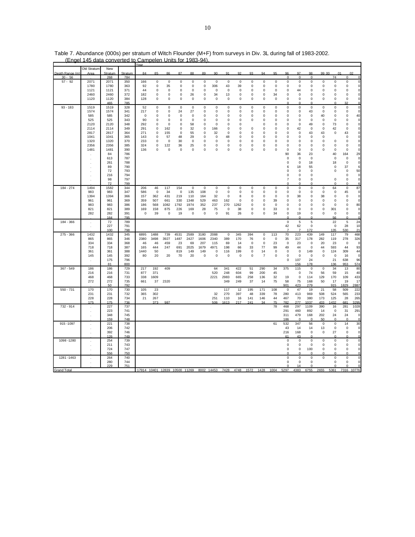|                             |             | New            |                | Year                          |             |             |             |             |             |             |             |                     |             |             |             |                |             |                     |             |             |             |                             |
|-----------------------------|-------------|----------------|----------------|-------------------------------|-------------|-------------|-------------|-------------|-------------|-------------|-------------|---------------------|-------------|-------------|-------------|----------------|-------------|---------------------|-------------|-------------|-------------|-----------------------------|
|                             | Old Stratum |                |                | 84                            | 85          | 86          | 87          | 88          | 89          | 90          | 91          | 92                  | 93          | 94          | 95          | 96             | 97          | 98                  | 99 00       |             | 01          | 02                          |
| Depth Range (m<br>$30 - 56$ | Area        | Stratum<br>268 | Stratum<br>784 |                               |             |             |             |             |             |             |             |                     |             |             |             | $\Omega$       | $\Omega$    | $\Omega$            |             | 74          | $\Omega$    | $\mathcal{C}_{\mathcal{C}}$ |
| $57 - 92$                   | 2071        | 2071           | 350            |                               | $\mathbf 0$ | $\mathbf 0$ | $\pmb{0}$   | 0           | $\mathbf 0$ | $\mathbf 0$ | $\mathbf 0$ | $\mathbf 0$         | $\mathbf 0$ | $\mathbf 0$ | 0           | $\mathsf 0$    | $\pmb{0}$   | $\mathbf 0$         | $\mathbf 0$ | $\mathsf 0$ | $\Omega$    | $\Omega$                    |
|                             |             |                |                | 166                           |             |             |             |             |             |             |             |                     |             |             |             |                |             |                     |             |             | $\Omega$    |                             |
|                             | 1780        | 1780           | 363            | 92                            | 0           | 35          | 0           | 0           | 0           | 306         | 43          | 39                  | 0           | 0           | 0           | 0              | 0           | 0                   | 0           | 0           |             |                             |
|                             | 1121        | 1121           | 371            | 44                            | 0           | 0           | 0           | 0           | 0           | $\mathbf 0$ | 0           | 0                   | 0           | 0           | 0           | 0              | 44          | 0                   | 0           | 0           | 0           |                             |
|                             | 2460        | 2460           | 372            | 182                           | 0           | 0           | 0           | 26          | 0           | 34          | 13          | 0                   | 0           | $\mathbf 0$ | 34          | 0              | 0           | 0                   | 0           | 0           | 0           | C                           |
|                             | 1120        | 1120           | 384            | 128                           | 0           | $\bf 0$     | 0           | 0           | 0           | $\mathbf 0$ | 0           | 0                   | 0           | 0           | $\pmb{0}$   | 0              | $\pmb{0}$   | $\mathsf 0$         | $\mathbf 0$ | $\mathsf 0$ | 0           | $\mathsf{C}$                |
|                             |             | 465            | 785            |                               |             |             |             |             |             |             |             |                     |             |             |             |                |             | O                   |             | $\Omega$    | 32          | $\epsilon$                  |
| $93 - 183$                  | 1519        | 1519           | 328            | 52                            | $\mathbf 0$ | $\mathsf 0$ | $\mathbf 0$ | $\mathsf 0$ | $\mathbf 0$ | $\mathbf 0$ | $\mathsf 0$ | $\mathsf{O}\xspace$ | $\mathsf 0$ | $\mathsf 0$ | $\mathsf 0$ | $\mathsf 0$    | $\mathbf 0$ | $\mathsf{O}\xspace$ | $\mathbf 0$ | $\mathsf 0$ | $\mathbf 0$ | $\mathbf 0$                 |
|                             | 1574        | 1574           | 341            | 217                           | $\mathbf 0$ | $\mathsf 0$ | 24          | 27          | $\bf 0$     | $\mathbf 0$ | 0           | $\mathsf{O}\xspace$ | $\mathsf 0$ | $\mathbf 0$ | $\pmb{0}$   | 0              | $\pmb{0}$   | 43                  | $\mathbf 0$ | $\mathsf 0$ | $\pmb{0}$   | $\mathbf 0$                 |
|                             | 585         | 585            | 342            | 0                             | 0           | 0           | 0           | 0           | 0           | $\mathbf 0$ | 0           | 0                   | 0           | 0           | $\pmb{0}$   | 0              | 0           | 0                   | 40          | 0           | 0           | 40                          |
|                             | 525         | 525            | 343            | 90                            | 0           | 0           | 0           | 0           | 0           | $\mathbf 0$ | 0           | 0                   | 0           | 0           | $\pmb{0}$   | 0              | 0           | 0                   | 0           | 0           | 0           | $\pmb{0}$                   |
|                             | 2120        | 2120           | 348            | 292                           | 0           | 0           | 0           | 58          | 0           | $\mathbf 0$ | 0           | 0                   |             | 0           | $\pmb{0}$   | 0              | 0           | 49                  | 0           | 73          | 0           | $\pmb{0}$                   |
|                             | 2114        | 2114           | 349            | 291                           | $\Omega$    | 162         | $\pmb{0}$   | 32          | 0           | 166         | 0           | 0                   | $\mathbf 0$ | $\mathbf 0$ | 0           | 0              | 42          | $\mathbf 0$         | $\mathbf 0$ | 42          | $\pmb{0}$   | $\mathbf 0$                 |
|                             | 2817        | 2817           | 364            | 271                           | $\mathbf 0$ | 155         | $\mathbf 0$ | 55          | $\mathbf 0$ | 32          | $\mathbf 0$ | $\mathbf 0$         | $\mathbf 0$ | $\mathbf 0$ | $\mathbf 0$ | $\mathbf 0$    | $\mathbf 0$ | 43                  | 43          | $\mathsf 0$ | 43          | $\mathbf 0$                 |
|                             | 1041        | 1041           | 365            | 143                           | 0           | 57          | 48          | 29          | 0           | $\mathbf 0$ | 48          | 0                   | 0           | 0           | 0           | 0              | 0           | 0                   | 0           |             | 0           | $\mathbf 0$                 |
|                             | 1320        | 1320           | 370            | 233                           | $\Omega$    | $\mathbf 0$ | 30          | $\mathsf 0$ | 0           | $\pmb{0}$   | 0           | 0                   | 0           | 0           | 0           | $\mathsf 0$    | 0           | 0                   | 0           | $\mathsf 0$ | 0           | $\pmb{0}$                   |
|                             |             |                |                |                               |             |             |             |             |             |             |             |                     |             |             |             |                |             |                     |             |             |             |                             |
|                             | 2356        | 2356           | 385            | 324                           | 0           | 122         | 36          | 25          | 0           | $\pmb{0}$   | 0           | 0                   | 0           | 0           | $\pmb{0}$   | $\mathsf 0$    | 0           | 0                   | 0           | 0           | 0           | $\pmb{0}$                   |
|                             | 1481        | 1481           | 390            | 136                           | $\Omega$    | $\mathbf 0$ | $\pmb{0}$   | $\mathsf 0$ | 0           | $\mathbf 0$ | 0           | 0                   | 0           | $\mathbf 0$ | $\pmb{0}$   | 0              | 0           | 0                   | 0           | $\mathsf 0$ | $\Omega$    | $\mathbf 0$                 |
|                             |             | 84             | 786            |                               |             |             |             |             |             |             |             |                     |             |             |             | 90             | 36          | 23                  |             | 40          | 164         | 29                          |
|                             |             | 613            | 787            |                               |             |             |             |             |             |             |             |                     |             |             |             | $\bf 0$        | $\pmb{0}$   | $\mathbf 0$         |             | $\mathsf 0$ | $\pmb{0}$   | $\circ$                     |
|                             |             | 261            | 788            |                               |             |             |             |             |             |             |             |                     |             |             |             | 0              | 0           | 18                  |             | 18          | 0           | $\mathsf{C}$                |
|                             |             | 89             | 790            |                               |             |             |             |             |             |             |             |                     |             |             |             | 6              | 18          | 55                  |             | 0           | 37          | 6                           |
|                             |             | 72             | 793            |                               |             |             |             |             |             |             |             |                     |             |             |             | $\mathbf 0$    | $\mathbf 0$ | $\mathbf 0$         |             | $\mathsf 0$ | $\mathbf 0$ | 50                          |
|                             |             | 216            | 794            |                               |             |             |             |             |             |             |             |                     |             |             |             | $\mathbf 0$    | $\mathbf 0$ | $\mathbf 0$         |             |             | $\mathbf 0$ | $\circ$                     |
|                             |             | 98             | 797            |                               |             |             |             |             |             |             |             |                     |             |             |             | $\overline{7}$ | $\mathbf 0$ | $\mathbf 0$         |             | $\mathbf 0$ | 0           | $\circ$                     |
|                             |             | 72             | <b>799</b>     |                               |             |             |             |             |             |             |             |                     |             |             |             | $\Omega$       | O           | $\Omega$            |             | $\Omega$    | O           | $\epsilon$                  |
| 184 - 274                   | 1494        | 1582           | 344            | 206                           | 46          | 117         | 154         | 0           | 0           | 0           | 0           | 0                   | 0           | 0           | 0           | 0              | 0           | 0                   | 0           | 64          | 0           | 87                          |
|                             | 983         | 983            | 347            | 586                           | 0           | 34          | 0           | 135         | 108         | 0           | 0           | 0                   | 0           | 0           | 0           | 0              | 0           | 0                   | 0           | 0           | 45          | 0                           |
|                             | 1394        | 1394           | 366            | 157                           | 362         | 431         | 219         | 110         | 164         | 32          | 0           | 8                   | $\Omega$    | 0           | $\pmb{0}$   | 0              | 38          | 0                   | 38          | $\mathsf 0$ | 0           | $\mathsf{C}$                |
|                             |             |                |                |                               |             |             |             |             |             |             |             |                     |             |             |             |                |             |                     |             |             |             |                             |
|                             | 961         | 961            | 369            | 359                           | 507         | 661         | 330         | 1348        | 529         | 463         | 162         | $\mathbf 0$         | $\mathbf 0$ | $\mathbf 0$ | 39          | $\mathbf 0$    | $\mathbf 0$ | $\mathbf 0$         | $\mathbf 0$ | $\mathbf 0$ | 0           | $\overline{0}$              |
|                             | 983         | 983            | 386            | 186                           | 568         | 1082        | 1792        | 1974        | 352         | 237         | 270         | 1262                | $\Omega$    | $\Omega$    | $\pmb{0}$   | 0              | $\pmb{0}$   | $\pmb{0}$           | 0           | $\mathsf 0$ | 0           | 80                          |
|                             | 821         | 821            | 389            | 169                           | 158         | 875         | 226         | 169         | 28          | 75          | 0           | 38                  | 0           | $\mathbf 0$ | 33          | 0              | 0           | 0                   | 0           | 301         | 0           | $\pmb{0}$                   |
|                             | 282         | 282            | 391            | 0                             | 39          | 0           | 19          | 0           | 0           | $\mathbf 0$ | 91          | 26                  | 0           | 0           | 34          | $\mathsf 0$    | 19          | $\mathbf 0$         | 0           | 0           | 0           | $\mathbf 0$                 |
|                             |             | 164            | <b>705</b>     |                               |             |             |             |             |             |             |             |                     |             |             |             | C              | $\Omega$    | O                   |             | 56          |             |                             |
| 184 - 366                   | $\cdot$     | 72             | 789            |                               |             |             |             |             |             |             |             |                     |             |             |             | $\mathsf 0$    | 5           | 5                   |             | 22          | 5           | 24                          |
|                             | J.          | 227            | 791            |                               |             |             |             |             |             |             |             |                     |             |             |             | 42             | 62          | $\mathbf 0$         |             | $\mathsf 0$ | 28          | 10                          |
|                             |             | 100            | 798            |                               |             |             |             |             |             |             |             |                     |             |             |             |                |             | 172                 |             | 135         | 530         | 21                          |
| $275 - 366$                 | 1432        | 1432           | 345            | 6895                          | 1488        | 739         | 4531        | 2589        | 3180        | 2088        | 0           | 345                 | 394         | 0           | 113         | 70             | 223         | 439                 | 149         | 117         | 79          | 468                         |
|                             | 865         | 865            | 346            | 2380                          | 3498        | 3927        | 1487        | 2427        | 1606        | 2340        | 389         | 170                 | 76          | $\mathbf 0$ | 0           | 35             | 317         | 178                 | 282         | 119         | 278         | 326                         |
|                             | 334         | 334            | 368            | 46                            | 46          | 459         | 23          | 69          | 207         | 115         | 69          | 14                  | $\mathbf 0$ | $\mathbf 0$ | 23          | $\mathbf 0$    | 23          | $\mathbf 0$         | 20          | 23          | $\Omega$    | $\mathbf 0$                 |
|                             | 718         | 718            | 387            | 165                           | 444         | 247         | 691         | 2025        | 1679        | 4971        | 198         | 66                  | 33          | 77          | 99          | 49             | 44          | $\mathbf 0$         | 44          | 593         | 44          | 93                          |
|                             | 361         | 361            | 388            | 1440                          | 50          |             | 819         | 149         | 149         | $\mathbf 0$ | 116         | 199                 | 0           | 14          | $\pmb{0}$   | $\mathsf 0$    | $\mathbf 0$ | 149                 | $\mathbf 0$ | 124         | 309         | 44                          |
|                             | 145         | 145            | 392            | 80                            | 20          | 20          | 70          | 20          | 0           | $\mathbf 0$ | 0           | 0                   | 0           | 7           | 0           | 0              | 0           | $\mathbf 0$         | 0           | $\mathbf 0$ | 16          | $\circ$                     |
|                             |             | 175            | 796            |                               |             |             |             |             |             |             |             |                     |             |             |             | 0              | 107         | 24                  |             | 21          | 638         | 96                          |
|                             |             | 81             | 800            |                               |             |             |             |             |             |             |             |                     |             |             |             |                | 156         | 178                 |             | 136         | 953         | 574                         |
|                             |             |                |                |                               |             |             |             |             |             |             |             | 422                 |             | 290         |             |                |             |                     |             |             |             |                             |
| $367 - 549$                 | 186         | 186            | 729            | 217                           | 192         | 409         |             |             |             | 64          | 341         |                     | 51          |             | 34          | 375            | 115         | $\mathbf 0$         | $\mathbf 0$ | 34          | 13          | 80                          |
|                             | 216         | 216            | 731            | 877                           | 371         |             |             |             |             | 520         | 248         | 604                 | 99          | 200         | 45          |                | $\mathbf 0$ | 74                  | 56          | 59          | 15          | 40                          |
|                             | 468         | 468            | 733            | 338                           | 1609        |             |             |             |             | 2221        | 2983        | 665                 | 258         | 136         | 32          | 19             | $\pmb{0}$   | 114                 | 129         | 170         | 109         | 433                         |
|                             | 272         | 272            | 735            | 661                           | 37          | 2320        |             |             |             |             | 349         | 249                 | 37          | 14          | 75          | 58             | 75          | 168                 | 50          | 17          | 19          | 17                          |
|                             |             | 50             | 792            |                               |             |             |             |             |             |             |             |                     |             |             |             | 901            | 423         | 279                 |             | 915         | 1829        | 2887                        |
| $550 - 731$                 | 170         | 170            | 730            | 105                           | 23          |             |             |             |             |             | 117         | 12                  | 195         | 171         | 108         | 0              | 47          | 19                  | 21          | 58          | 509         | 222                         |
|                             | 231         | 231            | 732            | 365                           | 302         |             |             |             |             | 32          | 270         | 397                 | 48          | 339         | 78          | 280            | 413         | 969                 | 508         | 524         | 565         | 233                         |
|                             | 228         | 228            | 734            | 21                            | 267         |             |             |             |             | 251         | 110         | 16                  | 141         | 146         | 44          | 467            | 70          | 380                 | 173         | 125         | 28          | 265                         |
|                             | 175         | 175            | 736            |                               | 373         | 987         |             |             |             | 506         | 1613        | 217                 | 241         | 34          | 75          | 782            | 277         | 1037                | 433         | 432         | 681         | 3295                        |
| 732 - 914                   |             | 227            | 737            |                               |             |             |             |             |             |             |             |                     |             |             | 78          | 468            | 297         | 1109                | 390         | 16          | 281         | 1028                        |
|                             |             | 223            | 741            |                               |             |             |             |             |             |             |             |                     |             |             |             | 291            | 460         | 892                 | 14          | $\mathbf 0$ | 31          | 291                         |
|                             |             | 348            | 745            |                               |             |             |             |             |             |             |             |                     |             |             |             | 311            | 479         | 168                 | 202         | 24          | 24          | $\mathbf 0$                 |
|                             |             | 159            | 748            |                               |             |             |             |             |             |             |             |                     |             |             |             | 186            | n           | $\Omega$            | 50          | $\Omega$    | n           | $\mathsf{C}$                |
| 915-1097                    |             | 221            | 738            |                               |             |             |             |             |             |             |             |                     |             |             | 61          | 532            | 347         | 56                  | $\pmb{0}$   | $\mathbf 0$ | 14          | 30                          |
|                             | $\cdot$     | 206            | 742            |                               |             |             |             |             |             |             |             |                     |             |             |             | 43             | 14          | 14                  | 13          | 0           | 0           | $\pmb{0}$                   |
|                             |             | 392            | 746            |                               |             |             |             |             |             |             |             |                     |             |             |             | 216            | 168         | $\mathbf 0$         | 0           | 27          | 0           | $\mathbf 0$                 |
|                             |             |                |                |                               |             |             |             |             |             |             |             |                     |             |             |             |                |             |                     |             | $\Omega$    |             |                             |
|                             |             | 126            | 749            |                               |             |             |             |             |             |             |             |                     |             |             |             | 61             | 43          | $\Omega$            |             |             |             | $\mathbf 0$                 |
| 1098-1280                   |             | 254            | 739            |                               |             |             |             |             |             |             |             |                     |             |             |             | $\mathsf 0$    | $\pmb{0}$   | $\mathbf 0$         | $\pmb{0}$   | $\mathsf 0$ | 0           | $\mathbf 0$                 |
|                             |             | 211            | 743            |                               |             |             |             |             |             |             |             |                     |             |             |             | 0              | $\Omega$    | $\Omega$            | 0           | 0           | 0           | $\mathbf 0$                 |
|                             |             | 724            | 747            |                               |             |             |             |             |             |             |             |                     |             |             |             | $\mathsf 0$    | $\mathbf 0$ | 100                 | 0           | 0           | 0           | $\mathsf{C}$                |
|                             |             | 556            | 750            |                               |             |             |             |             |             |             |             |                     |             |             |             | n              | n           |                     |             | ŋ           |             | C                           |
| 1281-1463                   | $\cdot$     | 264            | 740            |                               |             |             |             |             |             |             |             |                     |             |             |             | 0              | 0           | $\mathbf 0$         | 0           | 0           | 0           | 0                           |
|                             |             | 280            | 744            |                               |             |             |             |             |             |             |             |                     |             |             |             | 0              | 0           | 0                   |             | 0           | 0           | $\epsilon$                  |
|                             |             | 229            | 751            |                               |             |             |             |             |             |             |             |                     |             |             |             | O              | 14          | $\Omega$            |             | $\Omega$    |             |                             |
| <b>Grand Total</b>          |             |                |                | 17914 10401 12839 10500 11269 |             |             |             |             | 8002 14453  |             | 7428        | 4748                | 1572        | 1428        | 1004        | 5297           | 4383        | 6755                | 2655        | 5361        | 7316        | 10776                       |

Table 7. Abundance (000s) per stratum of Witch Flounder (M+F) from surveys in Div. 3L during fall of 1983-2002. (Engel 145 data converted to Campelen Units for 1983-94).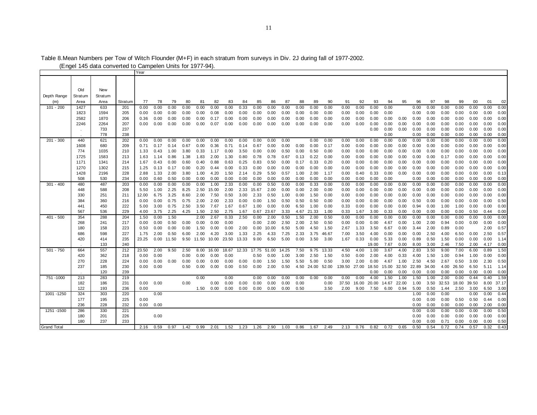|                    |            |            |            | Year         |              |              |              |              |              |              |              |              |               |              |              |               |              |              |              |              |              |              |              |              |              |              |              |              |              |
|--------------------|------------|------------|------------|--------------|--------------|--------------|--------------|--------------|--------------|--------------|--------------|--------------|---------------|--------------|--------------|---------------|--------------|--------------|--------------|--------------|--------------|--------------|--------------|--------------|--------------|--------------|--------------|--------------|--------------|
|                    |            |            |            |              |              |              |              |              |              |              |              |              |               |              |              |               |              |              |              |              |              |              |              |              |              |              |              |              |              |
|                    |            |            |            |              |              |              |              |              |              |              |              |              |               |              |              |               |              |              |              |              |              |              |              |              |              |              |              |              |              |
|                    | Old        | New        |            |              |              |              |              |              |              |              |              |              |               |              |              |               |              |              |              |              |              |              |              |              |              |              |              |              |              |
| Depth Range        | Stratum    | Stratum    |            |              |              |              |              |              |              |              |              |              |               |              |              |               |              |              |              |              |              |              |              |              |              |              |              |              |              |
| (m)                | Area       | Area       | Stratum    | 77           | 78           | 79           | 80           | 81           | 82           | 83           | 84           | 85           | 86            | 87           | 88           | 89            | 90           | 91           | 92           | 93           | 94           | 95           | 96           | 97           | 98           | 99           | 00           | 01           | 02           |
| $101 - 200$        | 1427       | 633        | 201        | 0.00         | 0.00         | 0.00         | 0.00         | 0.00         | 0.00         | 0.00         | 0.33         | 0.00         | 0.00          | 0.00         | 0.00         | 0.00          | 0.00         | 0.00         | 0.00         | 0.00         | 0.00         |              | 0.00         | 0.00         | 0.00         | 0.00         | 0.00         | 0.00         | 0.00         |
|                    | 1823       | 1594       | 205        | 0.00         | 0.00         | 0.00         | 0.00         | 0.00         | 0.08         | 0.00         | 0.00         | 0.00         | 0.00          | 0.00         | 0.00         | 0.00          | 0.00         | 0.00         | 0.00         | 0.00         | 0.00         |              | 0.00         | 0.00         | 0.00         | 0.00         | 0.00         | 0.00         | 0.00         |
|                    | 2582       | 1870       | 206        | 0.36         | 0.00         | 0.00         | 0.00         | 0.00         | 0.17         | 0.00         | 0.00         | 0.00         | 0.00          | 0.00         | 0.00         | 0.00          | 0.00         | 0.00         | 0.00         | 0.00         | 0.00         | 0.00         | 0.00         | 0.00         | 0.00         | 0.00         | 0.00         | 0.00         | 0.00         |
|                    | 2246       | 2264       | 207        | 0.00         | 0.00         | 0.00         | 0.00         | 0.00         | 0.07         | 0.00         | 0.00         | 0.00         | 0.00          | 0.00         | 0.00         | 0.00          | 0.00         | 0.00         | 0.00         | 0.00         | 0.00         | 0.00         | 0.00         | 0.00         | 0.00         | 0.00         | 0.00         | 0.00         | 0.00         |
|                    |            | 733        | 237        |              |              |              |              |              |              |              |              |              |               |              |              |               |              |              |              | 0.00         | 0.00         | 0.00         | 0.00         | 0.00         | 0.00         | 0.00         | 0.00         | 0.00         | 0.00         |
|                    |            | 778        | 238        |              |              |              |              |              |              |              |              |              |               |              |              |               |              |              |              |              | 0.00         |              | 0.00         | 0.00         | 0.00         | 0.00         | 0.00         | 0.00         | 0.00         |
| $201 - 300$        | 440        | 621        | 202        | 0.00         | 0.00         | 0.00         | 0.00         | 0.00         | 0.00         | 0.00         | 0.00         | 0.00         | 0.00          | 0.00         |              | 0.00          | 0.00         | 0.00         | 0.00         | 0.00         | 0.00         | 0.00         | 0.00         | 0.00         | 0.00         | 0.00         | 0.00         | 0.00         | 0.00         |
|                    | 1608       | 680        | 209        | 0.71         | 0.17         | 0.14         | 0.67         | 0.00         | 0.36         | 0.71         | 0.14         | 0.67         | 0.00          | 0.00         | 0.00         | 0.00          | 0.17         | 0.00         | 0.00         | 0.00         | 0.00         | 0.00         | 0.00         | 0.00         | 0.00         | 0.00         | 0.00         | 0.00         | 0.00         |
|                    | 774        | 1035       | 210        | 1.33         | 0.43         | 1.00         | 3.80         | 0.33         | 1.17         | 0.00         | 3.50         | 0.00         | 0.00          | 0.50         | 0.00         | 0.50          | 0.00         | 0.00         | 0.00         | 0.00         | 0.00         | 0.00         | 0.00         | 0.00         | 0.00         | 0.00         | 0.00         | 0.00         | 0.00         |
|                    | 1725       | 1583       | 213        | 1.63         | 1.14         | 0.86         | 1.38         | 1.83         | 2.00         | 1.30         | 0.80         | 0.78         | 0.78          | 0.67         | 0.13         | 0.22          | 0.00         | 0.00         | 0.00         | 0.00         | 0.00         | 0.00         | 0.00         | 0.00         | 0.17         | 0.00         | 0.00         | 0.00         | 0.00         |
|                    | 1171       | 1341       | 214        | 1.67         | 0.43         | 0.00         | 0.60         | 0.40         | 0.88         | 0.63         | 0.25         | 0.83         | 0.50          | 0.00         | 0.17         | 0.33          | 0.20         | 0.00         | 0.00         | 0.00         | 0.00         | 0.00         | 0.00         | 0.00         | 0.00         | 0.00         | 0.00         | 0.00         | 0.00         |
|                    | 1270       | 1302       | 215        | 1.25         | 0.13         | 0.17         | 0.00         | 0.20         | 0.44         | 0.00         | 0.33         | 0.00         | 0.00          | 0.00         | 0.00         | 0.00          | 0.00         | 0.00         | 0.00         | 0.00         | 0.00         | 0.00         | 0.00         | 0.00         | 0.00         | 0.00         | 0.00         | 0.00         | 0.00         |
|                    | 1428       | 2196       | 228        | 2.88         | 1.33         | 2.00         | 3.80         | 1.00         | 4.20         | 1.50         | 2.14         | 0.29         | 5.50          | 0.57         | 1.00         | 2.00          | 1.17         | 0.00         | 0.40         | 0.33         | 0.00         | 0.00         | 0.00         | 0.00         | 0.00         | 0.00         | 0.00         | 0.00         | 0.13         |
|                    | 508        | 530        | 234        | 0.00         | 0.60         | 0.50         | 0.00         | 0.00         | 0.00         | 0.00         | 0.00         | 0.00         | 0.00          | 0.00         | 0.00         | 0.00          | 0.00         | 0.00         | 0.00         | 0.00         | 0.00         |              | 0.00         | 0.00         | 0.00         | 0.00         | 0.00         | 0.00         | 0.00         |
| $301 - 400$        | 480        | 487        | 203        | 0.00         | 0.00         | 0.00         | 0.00         | 0.00         | 1.00         | 2.33         | 0.00         | 0.00         | 0.50          | 0.00         | 0.00         | 0.33          | 0.00         | 0.00         | 0.00         | 0.00         | 0.00         | 0.00         | 0.00         | 0.00         | 0.00         | 0.00         | 0.00         | 0.00         | 0.00         |
|                    | 448        | 588        | 208        | 5.50         | 1.00         | 2.25         | 8.25         | 2.50         | 15.00        | 2.00         |              | 2.33 15.67   | 2.00          | 0.00         | 0.00         | 2.00          | 0.00         | 0.00         | 0.00         | 0.00         | 0.00         | 0.00         | 0.00         | 0.00         | 0.00         | 0.00         | 0.00         | 0.00         | 0.00         |
|                    | 330        | 251        | 211        | 12.00        | 6.75         | 3.25         | 8.60         | 2.00         | 7.50         | 0.50         | 3.00         | 2.33         | 0.50          | 1.00         | 0.00         | 1.50          | 0.00         | 0.00         | 0.00         | 0.00         | 0.00         | 0.00         | 0.00         | 0.00         | 0.00         | 0.00         | 0.00         | 0.00         | 0.00         |
|                    | 384<br>441 | 360<br>450 | 216<br>222 | 0.00         | 0.00         | 0.75<br>0.75 | 0.75<br>2.50 | 2.00<br>3.50 | 2.00         | 2.33         | 0.00         | 0.00         | 1.50          | 0.50         | 0.50<br>6.50 | 0.50          | 0.00         | 0.00         | 0.00<br>0.00 | 0.00<br>0.00 | 0.00         | 0.00         | 0.50         | 0.00         | 0.00         | 0.00         | 0.00<br>0.00 | 0.00<br>0.00 | 0.50<br>0.00 |
|                    | 567        | 536        | 229        | 5.00<br>4.00 | 3.00<br>3.75 | 2.25         | 4.25         | 1.50         | 7.67<br>2.50 | 1.67<br>2.75 | 0.67<br>1.67 | 1.00<br>0.67 | 0.00<br>23.67 | 0.00<br>3.33 | 4.67         | 1.00<br>21.33 | 0.00<br>1.00 | 0.33<br>0.33 | 1.67         | 3.00         | 0.00<br>0.33 | 0.00<br>0.00 | 0.94<br>0.00 | 0.00<br>0.00 | 1.00<br>0.00 | 1.00<br>0.00 | 0.50         | 0.44         | 0.00         |
| $401 - 500$        | 354        | 288        | 204        | 1.50         | 0.00         | 1.50         |              | 2.00         | 2.67         | 0.33         | 2.50         | 0.00         | 2.00          | 0.50         | 1.50         | 2.00          | 0.50         | 0.00         | 0.00         | 0.00         | 0.00         | 0.00         | 0.00         | 0.00         | 0.00         | 0.00         | 0.00         | 0.00         | 0.00         |
|                    | 268        | 241        | 217        | 0.00         | 0.00         | 0.50         | 0.00         | 0.00         | 0.00         | 0.00         |              | 0.00         | 2.00          | 2.50         | 2.00         | 2.50          | 0.50         | 0.00         | 0.00         | 0.00         | 4.67         | 0.00         | 1.00         | 2.00         | 0.94         | 0.00         | 0.00         | 0.00         | 0.00         |
|                    | 180        | 158        | 223        | 0.50         | 0.00         | 0.00         | 0.00         | 1.50         | 0.00         | 0.00         | 2.00         | 0.00         | 10.00         | 6.50         | 5.00         | 4.50          | 1.50         | 2.67         | 1.33         | 3.50         | 6.67         | 0.00         | 3.44         | 2.00         | 0.89         | 0.00         |              | 2.00         | 0.57         |
|                    | 686        | 598        | 227        | 1.75         | 2.00         | 0.50         | 6.00         | 2.00         | 4.20         | 3.00         | 1.33         | 2.25         | 4.33          | 7.25         | 2.33         | 3.75          | 46.67        | 7.00         | 3.50         | 4.00         | 0.00         | 0.00         | 0.00         | 2.50         | 4.00         | 6.50         | 0.00         | 2.50         | 0.57         |
|                    | 420        | 414        | 235        | 23.25        | 0.00         | 11.50        |              | 9.50 11.50   | 10.00        | 23.50        | 13.33        | 9.00         | 6.50          | 5.00         | 0.00         | 3.50          | 3.00         | 1.67         | 0.33         | 0.00         | 5.33         | 0.00         | 0.89         | 0.50         | 1.50         | 0.00         | 0.00         | 0.00         | 1.14         |
|                    |            | 133        | 240        |              |              |              |              |              |              |              |              |              |               |              |              |               |              |              |              | 19.00        | 7.67         | 0.00         | 8.00         | 3.00         | 2.46         | 7.50         | 2.00         | 4.17         | 0.00         |
| $501 - 750$        | 664        | 557        | 212        | 23.50        | 2.00         | 9.50         | 2.50         | 8.00         | 16.00        | 18.67        |              | 12.33 17.75  | 51.00         | 14.25        | 7.50         | 9.75          | 13.33        | 4.50         | 4.00         | 1.00         | 3.67         | 4.00         | 2.83         | 3.50         | 9.00         | 7.00         | 6.00         | 0.89         | 1.50         |
|                    | 420        | 362        | 218        | 0.00         | 0.00         |              | 0.00         | 0.00         | 0.00         | 0.00         |              | 0.50         | 0.00          | 1.00         | 3.00         | 2.50          | 1.50         | 0.50         | 0.00         | 2.00         | 4.00         | 0.33         | 4.00         | 1.50         | 1.00         | 0.94         | 1.00         | 0.00         | 0.00         |
|                    | 270        | 228        | 224        | 0.00         | 0.00         | 0.00         | 0.00         | 0.00         | 0.00         | 0.00         | 0.00         | 0.00         | 1.50          | 1.50         | 5.50         | 5.00          | 0.50         | 3.00         | 2.00         | 0.00         | 4.67         | 1.00         | 2.50         | 4.50         | 2.67         | 0.50         | 3.00         | 2.30         | 0.50         |
|                    | 237        | 185        | 230        | $0.00\,$     | 0.00         |              | 0.50         | 0.00         | 0.00         | 0.00         | 0.50         | 0.00         | 2.00          | 0.50         |              | 4.50 24.00    | 52.00        | 139.50       | 27.00        | 18.50        | 15.00        | 32.50        | 22.89        | 34.00        | 4.00         | 26.50        | 6.50         | 5.11         | 1.14         |
|                    |            | 120        | 239        |              |              |              |              |              |              |              |              |              |               |              |              |               |              |              |              | 0.00         | 0.00         | 0.00         | 0.00         | 0.00         | 0.00         | 0.00         | 0.00         | 0.00         | 0.00         |
| 751-1000           | 213        | 283        | 219        |              |              |              |              | 0.00         |              | 0.00         |              | 0.00         | 0.00          | 0.00         | 0.00         | 0.00          | 0.00         | 0.00         | 0.00         | 4.00         | 1.50         | 1.00         | 1.50         | 1.00         | 2.00         | 0.00         | 0.44         | 0.40         | 1.59         |
|                    | 182        | 186        | 231        | $0.00\,$     | 0.00         |              | 0.00         |              | 0.00         | 0.00         | 0.00         | 0.00         | 0.00          | 0.00         | 0.00         |               | 0.00         | 37.50        | 16.00        | 20.00        | 14.67        | 22.00        | 1.00         |              | 3.50 32.53   | 18.00        | 39.50        |              | 8.00 37.17   |
|                    | 122        | 193        | 236        | 0.00         |              |              |              | 1.50         | 0.00         | 0.00         | 0.00         | 0.00         | 0.00          | 0.00         | 0.50         |               | 3.50         | 2.00         | 9.00         | 7.50         | 6.00         | 0.94         | 5.00         | 0.50         | 1.44         | 2.50         | 3.00         | 6.50         | 3.00         |
| 1001 - 1250        | 324        | 303        | 220        |              | 0.00         |              |              |              |              |              |              |              |               |              |              |               |              |              |              |              |              |              | 1.00         | 0.00         | 0.00         |              | 0.00         | 0.00         | 0.44         |
|                    | 177        | 195        | 225        | 0.00         |              |              |              |              |              |              |              |              |               |              |              |               |              |              |              |              |              |              | 0.00         | 0.00         | 0.00         | 0.50         | 0.50         | 0.44         | 0.00         |
|                    | 236        | 228        | 232        | 0.00         | 0.00         |              |              |              |              |              |              |              |               |              |              |               |              |              |              |              |              |              | 0.00         | 0.00         | 0.00         | 0.00         | 0.00         | 2.00         | 0.00         |
| 1251 - 1500        | 286        | 330        | 221        |              |              |              |              |              |              |              |              |              |               |              |              |               |              |              |              |              |              |              | 0.00         | 0.00         | 0.00         | 0.00         | 0.00         | 0.00         | 0.50         |
|                    | 180        | 201        | 226        |              | 0.00         |              |              |              |              |              |              |              |               |              |              |               |              |              |              |              |              |              | 0.00         | 0.00         | 0.00         | 0.00         | 0.00         | 0.00         | 0.00         |
|                    | 180        | 237        | 233        |              |              |              |              |              |              |              |              |              |               |              |              |               |              |              |              |              |              |              | 0.00         | 0.00         | 0.71         | 0.00         | 0.00         | 0.00         | 0.50         |
| <b>Grand Total</b> |            |            |            | 2.16         | 0.59         | 0.97         | 1.42         | 0.99         | 2.01         | 1.52         | 1.23         | 1.26         | 2.90          | 1.03         | 0.86         | 1.67          | 2.49         | 2.13         | 0.76         | 0.82         | 0.72         | 0.65         | 0.50         | 0.54         | 0.72         | 0.74         | 0.57         | 0.32         | 0.43         |

Table 8.Mean Numbers per Tow of Witch Flounder (M+F) in each stratum from surveys in Div. 2J during fall of 1977-2002.

(Engel 145 data converted to Campelen Units for 1977-94).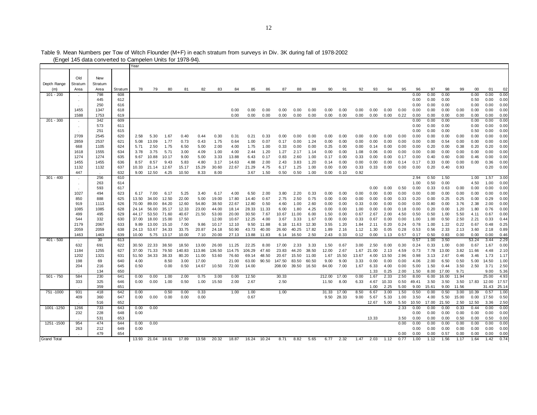|                    |         | <u>ILINGI 140 GAIA CONVENEU IO CAMPEICH OMIS TOL TUZIO-U41.</u> |         |       |       |       |        |        |        |        |        |       |        |       |       |        |            |       |       |       |      |       |       |       |       |       |       |       |
|--------------------|---------|-----------------------------------------------------------------|---------|-------|-------|-------|--------|--------|--------|--------|--------|-------|--------|-------|-------|--------|------------|-------|-------|-------|------|-------|-------|-------|-------|-------|-------|-------|
|                    |         |                                                                 |         | Year  |       |       |        |        |        |        |        |       |        |       |       |        |            |       |       |       |      |       |       |       |       |       |       |       |
|                    |         |                                                                 |         |       |       |       |        |        |        |        |        |       |        |       |       |        |            |       |       |       |      |       |       |       |       |       |       |       |
|                    | Old     | New                                                             |         |       |       |       |        |        |        |        |        |       |        |       |       |        |            |       |       |       |      |       |       |       |       |       |       |       |
| Depth Range        | Stratum | Stratum                                                         |         |       |       |       |        |        |        |        |        |       |        |       |       |        |            |       |       |       |      |       |       |       |       |       |       |       |
| (m)                | Area    | Area                                                            | Stratum | 78    | 79    | 80    | 81     | 82     | 83     | 84     | 85     | 86    | 87     | 88    | 89    | 90     | 91         | 92    | 93    | 94    | 95   | 96    | 97    | 98    | 99    | 00    | 01    | 02    |
| $101 - 200$        |         | 798                                                             | 608     |       |       |       |        |        |        |        |        |       |        |       |       |        |            |       |       |       |      | 0.00  | 0.00  | 0.00  |       | 0.00  | 0.00  | 0.00  |
|                    | $\sim$  |                                                                 |         |       |       |       |        |        |        |        |        |       |        |       |       |        |            |       |       |       |      |       |       |       |       |       |       |       |
|                    | $\cdot$ | 445                                                             | 612     |       |       |       |        |        |        |        |        |       |        |       |       |        |            |       |       |       |      | 0.00  | 0.00  | 0.00  |       | 0.50  | 0.00  | 0.00  |
|                    |         | 250                                                             | 616     |       |       |       |        |        |        |        |        |       |        |       |       |        |            |       |       |       |      | 0.00  | 0.00  | 0.00  |       | 0.00  | 0.00  | 0.00  |
|                    | 1455    | 1347                                                            | 618     |       |       |       |        |        |        | 0.00   | 0.00   | 0.00  | 0.00   | 0.00  | 0.00  | 0.00   | 0.00       | 0.00  | 0.00  | 0.00  | 0.00 | 0.00  | 0.00  | 0.00  | 0.00  | 0.00  | 0.00  | 0.00  |
|                    | 1588    | 1753                                                            | 619     |       |       |       |        |        |        | 0.00   | 0.00   | 0.00  | 0.00   | 0.00  | 0.00  | 0.00   | 0.00       | 0.00  | 0.00  | 0.00  | 0.22 | 0.00  | 0.00  | 0.00  | 0.00  | 0.00  | 0.00  | 0.00  |
| $201 - 300$        | $\sim$  | 342                                                             | 609     |       |       |       |        |        |        |        |        |       |        |       |       |        |            |       |       |       |      | 0.00  | 0.00  | 0.00  |       | 0.00  | 0.00  | 0.00  |
|                    | $\sim$  | 573                                                             | 611     |       |       |       |        |        |        |        |        |       |        |       |       |        |            |       |       |       |      | 0.00  | 0.00  | 0.00  |       | 0.00  | 0.00  | 0.00  |
|                    | $\sim$  | 251                                                             | 615     |       |       |       |        |        |        |        |        |       |        |       |       |        |            |       |       |       |      | 0.00  | 0.00  | 0.00  |       | 0.50  | 0.00  | 0.00  |
|                    | 2709    | 2545                                                            | 620     | 2.58  | 5.30  | 1.67  | 0.40   | 0.44   | 0.30   | 0.31   | 0.21   | 0.33  | 0.00   | 0.00  | 0.00  | 0.00   | 0.00       | 0.00  | 0.00  | 0.00  | 0.00 | 0.00  | 0.00  | 0.00  | 0.00  | 0.00  | 0.00  | 0.00  |
|                    | 2859    | 2537                                                            | 621     | 5.08  | 13.09 | 1.77  | 0.73   | 0.43   | 1.75   | 0.64   | 1.00   | 0.07  | 0.17   | 0.00  | 1.24  | 0.00   | 0.00       | 0.00  | 0.00  | 0.00  | 0.00 | 0.00  | 0.00  | 0.54  | 0.00  | 0.00  | 0.00  | 0.00  |
|                    | 668     | 1105                                                            | 624     | 5.71  | 2.50  | 1.75  | 6.50   | 5.00   | 2.00   | 4.00   | 1.75   | 1.00  | 0.33   | 0.00  | 0.00  | 0.25   | 0.00       | 0.00  | 0.14  | 0.00  | 0.00 | 0.00  | 0.20  | 0.00  | 0.38  | 0.20  | 0.20  | 0.00  |
|                    | 1618    | 1555                                                            | 634     | 3.78  | 3.75  | 5.71  | 3.00   | 4.09   | 1.00   | 4.00   | 2.44   | 1.20  | 1.27   | 2.17  | 1.14  | 0.00   | 0.00       | 1.08  | 0.06  | 0.00  | 0.00 | 0.00  | 0.00  | 0.00  | 0.00  | 0.00  | 0.00  | 0.00  |
|                    | 1274    | 1274                                                            | 635     | 9.67  | 10.88 | 10.17 | 9.00   | 5.00   | 3.33   | 13.88  | 6.43   | 0.17  | 0.83   | 2.60  | 1.00  | 0.17   | 0.00       | 0.33  | 0.00  | 0.00  | 0.17 | 0.00  | 0.40  | 0.60  | 0.00  | 0.46  | 0.00  | 0.00  |
|                    |         |                                                                 |         |       |       |       |        |        |        |        |        |       |        |       |       |        |            |       |       |       |      |       |       |       |       |       |       |       |
|                    | 1455    | 1455                                                            | 636     | 8.57  | 8.57  | 9.43  | 5.83   | 4.80   | 3.17   | 14.63  | 4.88   | 2.00  | 2.43   | 3.83  | 1.20  | 0.14   | 0.00       | 0.00  | 0.00  | 0.00  | 0.14 | 0.17  | 0.33  | 0.00  | 0.00  | 0.00  | 0.36  | 0.00  |
|                    | 1132    | 1132                                                            | 637     | 10.33 | 21.14 | 12.67 | 15.17  | 15.29  | 30.60  | 22.67  | 21.29  | 4.75  | 6.17   | 1.25  | 1.00  | 0.00   | 0.00       | 0.33  | 0.33  | 0.00  | 0.00 | 0.00  | 0.20  | 0.40  | 0.93  |       | 0.20  | 0.00  |
|                    | 447     |                                                                 | 632     | 9.00  | 12.50 | 4.25  | 10.50  | 8.33   | 8.00   |        | 3.67   | 1.50  | 0.50   | 0.50  | 1.00  | 0.00   | 0.10       | 0.92  |       |       |      |       |       |       |       |       |       |       |
| $301 - 400$        | $\sim$  | 256                                                             | 610     |       |       |       |        |        |        |        |        |       |        |       |       |        |            |       |       |       |      | 2.94  | 0.50  | 1.50  |       | 1.00  | 1.57  | 3.00  |
|                    | $\sim$  | 263                                                             | 614     |       |       |       |        |        |        |        |        |       |        |       |       |        |            |       |       |       |      | 1.00  | 0.50  | 0.00  |       | 4.50  | 1.00  | 0.00  |
|                    |         | 593                                                             | 617     |       |       |       |        |        |        |        |        |       |        |       |       |        |            |       | 0.00  | 0.00  | 0.50 | 0.00  | 0.33  | 0.63  | 0.00  | 0.00  | 0.00  | 0.00  |
|                    | 1027    | 494                                                             | 623     | 6.17  | 7.00  | 6.17  | 5.25   | 3.40   | 6.17   | 4.00   | 6.50   | 2.00  | 3.80   | 2.20  | 0.33  | 0.00   | 0.00       | 0.00  | 0.00  | 0.00  | 0.00 | 0.00  | 0.00  | 0.00  | 0.00  | 0.00  | 0.00  | 0.00  |
|                    | 850     | 888                                                             | 625     | 13.50 | 34.00 | 12.50 | 22.00  | 5.00   | 19.00  | 17.80  | 14.40  | 0.67  | 2.75   | 2.50  | 0.75  | 0.00   | 0.00       | 0.00  | 0.00  | 0.00  | 0.33 | 0.20  | 0.00  | 0.25  | 0.25  | 0.00  | 0.29  | 0.00  |
|                    | 919     | 1113                                                            | 626     | 70.00 | 89.00 | 84.20 | 12.60  | 54.80  | 38.50  | 22.67  | 12.80  | 0.50  | 4.60   | 1.00  | 2.60  | 0.00   | 0.00       | 0.33  | 0.00  | 0.00  | 0.00 | 0.00  | 0.80  | 0.00  | 3.76  | 2.38  | 2.00  | 0.00  |
|                    | 1085    | 1085                                                            | 628     | 24.14 | 56.00 | 35.17 | 12.33  | 23.00  | 44.00  | 18.14  | 28.33  | 11.33 | 6.00   | 1.80  | 4.25  | 0.00   | 0.00       | 1.00  | 0.00  | 0.00  | 0.18 | 0.00  | 0.20  | 0.00  | 1.20  | 1.80  | 0.76  | 0.00  |
|                    | 499     | 495                                                             | 629     | 44.17 | 53.50 | 71.60 | 40.67  | 21.50  | 53.00  | 20.00  | 30.50  | 7.67  | 10.67  | 11.00 | 6.00  | 1.50   | 0.00       | 0.67  | 2.67  | 2.00  | 4.50 | 0.50  | 0.50  | 1.00  | 5.50  | 4.11  | 0.67  | 0.00  |
|                    | 544     | 332                                                             | 630     | 37.00 | 18.00 | 15.00 | 17.50  |        | 12.00  | 10.67  | 12.25  | 4.00  | 3.67   | 3.33  | 1.67  | 0.00   | 0.00       | 0.33  | 0.67  | 0.00  | 0.00 | 1.00  | 1.00  | 0.50  | 2.50  | 2.21  | 0.33  | 0.44  |
|                    | 2179    | 2067                                                            | 633     | 9.89  | 13.00 | 15.10 | 7.00   | 9.86   | 10.17  | 12.10  | 9.50   | 11.88 | 6.18   | 11.63 | 12.30 | 3.55   | 1.20       | 1.84  | 2.11  | 0.20  | 0.24 | 0.78  | 1.00  | 1.22  | 0.22  | 0.67  | 0.48  | 0.25  |
|                    | 2059    | 2059                                                            | 638     | 24.13 | 53.67 | 34.33 | 33.75  | 20.87  | 24.18  | 50.90  | 43.73  | 40.00 | 26.60  | 40.25 | 17.82 | 1.89   | 2.16       | 1.12  | 1.30  | 0.05  | 0.28 | 0.53  | 0.56  | 2.33  | 2.13  | 3.60  | 2.18  | 0.89  |
|                    | 1463    | 1463                                                            |         |       |       |       |        |        | 20.00  | 27.13  | 13.88  |       |        |       | 2.50  | 2.43   | 0.33       |       | 0.00  |       | 0.57 |       |       | 0.83  | 0.00  | 0.00  | 0.00  | 0.46  |
|                    |         |                                                                 | 639     | 10.00 | 5.75  | 13.17 | 10.00  | 7.10   |        |        |        | 11.83 | 6.14   | 16.50 |       |        |            | 0.12  |       | 1.13  |      | 0.17  | 0.50  |       |       | 53.24 | 3.44  | 2.29  |
| $401 - 500$        | $\sim$  | 30                                                              | 613     |       |       |       |        |        |        |        |        |       |        |       |       |        |            |       |       |       |      | 0.57  | 1.00  | 3.50  |       |       |       |       |
|                    | 632     | 691                                                             | 622     | 30.50 | 22.33 | 38.50 | 18.50  | 13.00  | 26.00  | 11.25  | 22.25  | 8.00  | 17.00  | 2.33  | 3.33  | 1.50   | 0.67       | 3.00  | 2.50  | 0.00  | 0.30 | 0.24  | 0.33  | 1.00  | 0.00  | 0.67  | 1.67  | 0.00  |
|                    | 1184    | 1255                                                            | 627     | 37.00 | 71.33 | 79.50 | 140.83 | 113.86 | 136.50 | 114.75 | 106.29 | 47.60 | 23.83  | 44.20 | 38.50 | 12.00  | 2.67       | 1.67  | 21.00 | 2.13  | 4.59 | 0.73  | 7.78  | 13.00 | 3.82  | 11.66 | 4.48  | 2.10  |
|                    | 1202    | 1321                                                            | 631     | 51.50 | 34.33 | 38.33 | 80.20  | 11.00  | 53.60  | 76.60  | 69.14  | 48.50 | 20.67  | 15.50 | 11.00 | 1.67   | 15.50      | 13.67 | 4.00  | 13.50 | 2.96 | 0.98  | 3.13  | 2.67  | 0.46  | 3.46  | 1.73  | 1.17  |
|                    | 198     | 69                                                              | 640     | 4.00  |       | 8.50  | 3.00   | 17.00  |        | 21.00  | 63.00  | 90.50 | 147.50 | 83.50 | 60.50 | 9.00   | 9.00       | 3.33  | 0.00  | 0.00  | 0.00 | 4.06  | 2.00  | 6.50  | 0.50  | 5.00  | 14.50 | 1.00  |
|                    | 204     | 216                                                             | 645     | 0.50  |       | 0.00  | 0.50   | 14.67  | 10.50  | 72.00  | 14.00  |       | 208.00 | 39.50 | 16.50 | 84.00  | 7.00       | 1.67  | 6.33  | 4.00  | 0.00 | 5.00  | 1.50  | 0.44  | 3.50  | 2.50  | 3.71  | 2.50  |
|                    |         | 134                                                             | 650     |       |       |       |        |        |        |        |        |       |        |       |       |        |            |       | 1.33  | 0.25  | 2.00 | 1.50  | 8.00  | 17.00 | 9.71  |       | 9.00  | 5.36  |
| $501 - 750$        | 584     | 230                                                             | 641     | 0.00  | 0.00  | 1.00  | 2.00   | 0.75   | 3.00   | 0.00   | 12.50  |       | 30.33  |       |       | 212.00 | 17.00      | 0.00  | 1.67  | 2.33  | 2.50 | 8.00  | 6.00  | 16.00 | 11.94 |       | 25.00 | 4.93  |
|                    | 333     | 325                                                             | 646     | 0.00  | 0.00  | 1.00  | 0.50   | 1.00   | 15.50  | 2.00   | 2.67   |       | 2.50   |       |       | 11.50  | 8.00       | 6.33  | 4.67  | 10.33 | 0.50 | 49.41 | 3.50  | 3.50  | 3.50  | 17.83 | 12.00 | 17.57 |
|                    |         | 359                                                             | 651     |       |       |       |        |        |        |        |        |       |        |       |       |        |            |       | 1.00  | 2.25  | 5.00 | 9.00  | 15.61 | 9.00  | 11.56 |       | 31.43 | 25.14 |
| 751 - 1000         | 931     | 418                                                             | 642     | 0.00  |       | 0.50  | 0.00   | 0.33   |        | 1.00   | 1.00   |       | 1.00   |       |       | 31.33  | 17.00      | 8.50  | 6.67  | 3.00  | 1.50 | 0.50  | 0.00  | 0.50  | 3.00  | 10.39 | 0.57  | 1.00  |
|                    | 409     | 360                                                             | 647     | 0.00  | 0.00  | 0.00  | 0.00   | 0.00   |        |        | 0.67   |       |        |       |       |        | 9.50 28.33 | 9.00  | 5.67  | 5.33  | 1.00 | 3.50  | 4.00  | 5.50  | 15.00 | 0.00  | 17.50 | 0.50  |
|                    |         | 516                                                             | 652     |       |       |       |        |        |        |        |        |       |        |       |       |        |            |       | 12.67 | 5.00  | 5.50 |       |       | 21.50 | 2.50  | 12.50 | 3.36  |       |
|                    |         |                                                                 |         |       |       |       |        |        |        |        |        |       |        |       |       |        |            |       |       |       |      | 10.50 | 17.00 |       |       |       |       | 2.50  |
| 1001 - 1250        | 1266    | 733                                                             | 643     | 0.00  | 0.00  |       |        |        |        |        |        |       |        |       |       |        |            |       |       |       | 2.33 | 0.00  | 0.00  | 0.00  | 0.33  | 0.44  | 0.00  | 0.00  |
|                    | 232     | 228                                                             | 648     | 0.00  |       |       |        |        |        |        |        |       |        |       |       |        |            |       |       |       |      | 0.00  | 0.00  | 0.00  | 0.00  | 0.00  | 0.00  | 0.00  |
|                    |         | 531                                                             | 653     |       |       |       |        |        |        |        |        |       |        |       |       |        |            |       | 13.33 |       | 3.50 | 0.00  | 0.00  | 0.00  | 0.50  | 0.00  | 0.50  | 0.00  |
| 1251 - 1500        | 954     | 474                                                             | 644     | 0.00  | 0.00  |       |        |        |        |        |        |       |        |       |       |        |            |       |       |       | 0.00 | 0.00  | 0.00  | 0.00  | 0.00  | 0.00  | 0.00  | 0.00  |
|                    | 263     | 212                                                             | 649     | 0.00  |       |       |        |        |        |        |        |       |        |       |       |        |            |       |       |       |      | 0.00  | 0.00  | 0.00  | 0.00  | 0.00  | 0.00  | 0.00  |
|                    |         | 479                                                             | 654     |       |       |       |        |        |        |        |        |       |        |       |       |        |            |       |       |       | 0.00 | 0.00  | 0.00  | 0.57  | 0.00  | 0.00  | 0.00  | 0.00  |
| <b>Grand Total</b> |         |                                                                 |         | 13.93 | 21.04 | 18.61 | 17.89  | 13.58  | 20.32  | 18.87  | 16.24  | 10.24 | 8.71   | 8.82  | 5.65  | 6.77   | 2.32       | 1.47  | 2.03  | 1.12  | 0.77 | 1.00  | 1.12  | 1.56  | 1.17  | 1.64  | 1.42  | 0.74  |

Table 9. Mean Numbers per Tow of Witch Flounder (M+F) in each stratum from surveys in Div. 3K during fall of 1978-2002

(Engel 145 data converted to Campelen Units for 1978-94).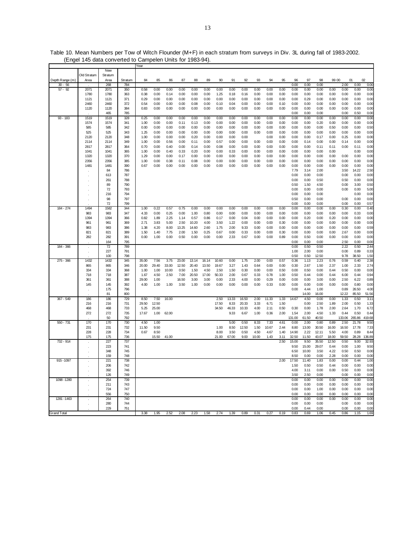|                    |             |            |            | Year          |               |       |       |       |       |       |               |               |              |               |              |              |               |               |               |               |                |                |
|--------------------|-------------|------------|------------|---------------|---------------|-------|-------|-------|-------|-------|---------------|---------------|--------------|---------------|--------------|--------------|---------------|---------------|---------------|---------------|----------------|----------------|
|                    |             | New        |            |               |               |       |       |       |       |       |               |               |              |               |              |              |               |               |               |               |                |                |
|                    | Old Stratum | Stratum    |            |               |               |       |       |       |       |       |               |               |              |               |              |              |               |               |               |               |                |                |
| Depth Range (m)    | Area        | Area       | Stratum    | 84            | 85            | 86    | 87    | 88    | 89    | 90    | 91            | 92            | 93           | 94            | 95           | 96           | 97            | 98            | 99 00         |               | 01             | 02             |
| $30 - 56$          |             | 268        | 784        |               |               |       |       |       |       |       |               |               |              |               |              | 0.00         | 0.00          | 0.00          |               | 2.00          | 0.00           | 0.00           |
| $57 - 92$          | 2071        | 2071       | 350        | 0.58          | 0.00          | 0.00  | 0.00  | 0.00  | 0.00  | 0.00  | 0.00          | 0.00          | 0.00         | 0.00          | 0.00         | 0.00         | 0.00          | 0.00          | 0.00          | 0.00          | 0.00           | 0.00           |
|                    | 1780        | 1780       | 363        | 0.38          | 0.00          | 0.14  | 0.00  | 0.00  | 0.00  | 1.25  | 0.18          | 0.16          | 0.00         | 0.00          | 0.00         | 0.00         | 0.00          | 0.00          | 0.00          | 0.00          | 0.00           | 0.00           |
|                    | 1121        | 1121       | 371        | 0.29          | 0.00          | 0.00  | 0.00  | 0.00  | 0.00  | 0.00  | 0.00          | 0.00          | 0.00         | 0.00          | 0.00         | 0.00         | 0.29          | 0.00          | 0.00          | 0.00          | 0.00           | 0.00           |
|                    | 2460        | 2460       | 372        | 0.54          | 0.00          | 0.00  | 0.00  | 0.08  | 0.00  | 0.10  | 0.04          | 0.00          | 0.00         | 0.00          | 0.10         | 0.00         | 0.00          | 0.00          | 0.00          | 0.00          | 0.00           | 0.00           |
|                    | 1120        | 1120       | 384        | 0.83          | 0.00          | 0.00  | 0.00  | 0.00  | 0.00  | 0.00  | 0.00          | 0.00          | 0.00         | 0.00          | 0.00         | 0.00         | 0.00          | 0.00          | 0.00          | 0.00          | 0.00           | 0.00           |
|                    |             | 465        | 785        |               |               |       |       |       |       |       |               |               |              |               |              | 0.00         | 0.00          | 0.00          |               | 0.00          | 0.50           | 0.00           |
| $93 - 183$         | 1519        | 1519       | 328        | 0.25          | 0.00          | 0.00  | 0.00  | 0.00  | 0.00  | 0.00  | 0.00          | 0.00          | 0.00         | 0.00          | 0.00         | 0.00         | 0.00          | 0.00          | 0.00          | 0.00          | 0.00           | 0.00           |
|                    | 1574        | 1574       | 341        | 1.00          | 0.00          | 0.00  | 0.11  | 0.13  | 0.00  | 0.00  | 0.00          | 0.00          | 0.00         | 0.00          | 0.00         | 0.00         | 0.00          | 0.20          | 0.00          | 0.00          | 0.00           | 0.00           |
|                    | 585         | 585        | 342        | 0.00          | 0.00          | 0.00  | 0.00  | 0.00  | 0.00  | 0.00  | 0.00          | 0.00          | 0.00         | 0.00          | 0.00         | 0.00         | 0.00          | 0.00          | 0.50          | 0.00          | 0.00           | 0.50           |
|                    | 525         | 525        | 343        | 1.25          | 0.00          | 0.00  | 0.00  | 0.00  | 0.00  | 0.00  | 0.00          | 0.00          | 0.00         | 0.00          | 0.00         | 0.00         | 0.00          | 0.00          | 0.00          | 0.00          | 0.00           | 0.00           |
|                    | 2120        | 2120       | 348        | 1.00          | 0.00          | 0.00  | 0.00  | 0.20  | 0.00  | 0.00  | 0.00          | 0.00          |              | 0.00          | 0.00         | 0.00         | 0.00          | 0.17          | 0.00          | 0.25          | 0.00           | 0.00           |
|                    | 2114        | 2114       | 349        | 1.00          | 0.00          | 0.56  | 0.00  | 0.11  | 0.00  | 0.57  | 0.00          | 0.00          | 0.00         | 0.00          | 0.00         | 0.00         | 0.14          | 0.00          | 0.00          | 0.14          | 0.00           | 0.00           |
|                    | 2817        | 2817       | 364        | 0.70          | 0.00          | 0.40  | 0.00  | 0.14  | 0.00  | 0.08  | 0.00          | 0.00          | 0.00         | 0.00          | 0.00         | 0.00         | 0.00          | 0.11          | 0.11          | 0.00          | 0.11           | 0.00           |
|                    | 1041        | 1041       | 365        | 1.00          | 0.00          | 0.40  | 0.33  | 0.20  | 0.00  | 0.00  | 0.33          | 0.00          | 0.00         | 0.00          | 0.00         | 0.00         | 0.00          | 0.00          | 0.00          |               | 0.00           | 0.00           |
|                    | 1320        | 1320       | 370        | 1.29          | 0.00          | 0.00  | 0.17  | 0.00  | 0.00  | 0.00  | 0.00          | 0.00          | 0.00         | 0.00          | 0.00         | 0.00         | 0.00          | 0.00          | 0.00          | 0.00          | 0.00           | 0.00           |
|                    | 2356        | 2356       | 385        | 1.00          | 0.00          | 0.38  | 0.11  | 0.08  | 0.00  | 0.00  | 0.00          | 0.00          | 0.00         | 0.00          | 0.00         | 0.00         | 0.00          | 0.00          | 0.00          | 0.00          | 0.00           | 0.00           |
|                    | 1481        | 1481       | 390        | 0.67          | 0.00          | 0.00  | 0.00  | 0.00  | 0.00  | 0.00  | 0.00          | 0.00          | 0.00         | 0.00          | 0.00         | 0.00         | 0.00          | 0.00          | 0.00          | 0.00          | 0.00           | 0.00           |
|                    |             | 84         | 786        |               |               |       |       |       |       |       |               |               |              |               |              | 7.79         | 3.14          | 2.00          |               | 3.50          | 14.22          | 2.50           |
|                    |             | 613        | 787        |               |               |       |       |       |       |       |               |               |              |               |              | 0.00         | 0.00          | 0.00          |               | 0.00          | 0.00           | 0.00           |
|                    |             | 261        | 788        |               |               |       |       |       |       |       |               |               |              |               |              | 0.00         | 0.00          | 0.50          |               | 0.50          | 0.00           | 0.00           |
|                    |             | 89         | 790        |               |               |       |       |       |       |       |               |               |              |               |              | 0.50         | 1.50          | 4.50          |               | 0.00          | 3.00           | 0.50           |
|                    |             | 72         | 793        |               |               |       |       |       |       |       |               |               |              |               |              | 0.00         | 0.00          | 0.00          |               | 0.00          | 0.00           | 5.00           |
|                    |             | 216        | 794        |               |               |       |       |       |       |       |               |               |              |               |              | 0.00         | 0.00          | 0.00          |               |               | 0.00           | 0.00           |
|                    |             | 98         | 797        |               |               |       |       |       |       |       |               |               |              |               |              | 0.50         | 0.00          | 0.00          |               | 0.00          | 0.00           | 0.00           |
|                    |             | 72         | 799        |               |               |       |       |       |       |       |               |               |              |               |              | 0.00         | 0.00          | 0.00          |               | 0.00          | 0.00           | 0.57           |
| 184 - 274          | 1494        | 1582       | 344        | 1.00          | 0.22          | 0.57  | 0.75  | 0.00  | 0.00  | 0.00  | 0.00          | 0.00          | 0.00         | 0.00          | 0.00         | 0.00         | 0.00          | 0.00          | 0.00          | 0.30          | 0.00           | 0.40           |
|                    | 983         | 983        | 347        | 4.33          | 0.00          | 0.25  | 0.00  | 1.00  | 0.80  | 0.00  | 0.00          | 0.00          | 0.00         | 0.00          | 0.00         | 0.00         | 0.00          | 0.00          | 0.00          | 0.00          | 0.33           | 0.00           |
|                    | 1394        | 1394       | 366        | 0.82          | 1.89          | 2.25  | 1.14  | 0.57  | 0.86  | 0.17  | 0.00          | 0.04          | 0.00         | 0.00          | 0.00         | 0.00         | 0.20          | 0.00          | 0.20          | 0.00          | 0.00           | 0.00           |
|                    | 961         | 961        | 369        | 2.71          | 3.83          | 5.00  | 2.50  | 10.20 | 4.00  | 3.50  | 1.22          | 0.00          | 0.00         | 0.00          | 0.30         | 0.00         | 0.00          | 0.00          | 0.00          | 0.00          | 0.00           | 0.00           |
|                    | 983         | 983        | 386        | 1.38          | 4.20          | 8.00  | 13.25 | 14.60 | 2.60  | 1.75  | 2.00          | 9.33          | 0.00         | 0.00          | 0.00         | 0.00         | 0.00          | 0.00          | 0.00          | 0.00          | 0.00           | 0.59           |
|                    | 821         | 821        | 389        | 1.50          | 1.40          | 7.75  | 2.00  | 1.50  | 0.25  | 0.67  | 0.00          | 0.33          | 0.00         | 0.00          | 0.30         | 0.00         | 0.00          | 0.00          | 0.00          | 2.67          | 0.00           | 0.00           |
|                    | 282         | 282        | 391        | 0.00          | 1.00          | 0.00  | 0.50  | 0.00  | 0.00  | 0.00  | 2.33          | 0.67          | 0.00         | 0.00          | 0.89         | 0.00         | 0.50          | 0.00          | 0.00          | 0.00          | 0.00           | 0.00           |
|                    |             | 164        | 795        |               |               |       |       |       |       |       |               |               |              |               |              | 0.00         | 0.00          | 0.00          |               | 2.50          | 0.00           | 0.00           |
| 184 - 366          |             | 72         | 789        |               |               |       |       |       |       |       |               |               |              |               |              | 0.00         | 0.50          | 0.50          |               | 2.22          | 0.50           | 2.44           |
|                    |             | 227        | 791        |               |               |       |       |       |       |       |               |               |              |               |              | 1.00         | 2.00          | 0.00          |               | 0.00          | 0.89           | 0.33           |
|                    |             | 100        | 798        |               |               |       |       |       |       |       |               |               |              |               |              | 0.50         | 0.50          | 12.50         |               | 9.78          | 38.50          | 1.50           |
| 275 - 366          | 1432        | 1432       | 345        | 35.00         | 7.56          | 3.75  | 23.00 | 13.14 | 16.14 | 10.60 | 0.00          | 1.75          | 2.00         | 0.00          | 0.57         | 0.36         | 1.13          | 2.23          | 0.76          | 0.59          | 0.40           | 2.38           |
|                    | 865         | 865        | 346        | 20.00         | 29.40         | 33.00 | 12.50 | 20.40 | 13.50 | 19.67 | 3.27          | 1.43          | 0.64         | 0.00          | 0.00         | 0.30         | 2.67          | 1.50          | 2.37          | 1.00          | 2.33           | 2.74           |
|                    | 334         | 334        | 368        | 1.00          | 1.00          | 10.00 | 0.50  | 1.50  | 4.50  | 2.50  | 1.50          | 0.30          | 0.00         | 0.00          | 0.50         | 0.00         | 0.50          | 0.00          | 0.44          | 0.50          | 0.00           | 0.00           |
|                    | 718         | 718        | 387        | 1.67          | 4.50          | 2.50  | 7.00  | 20.50 | 17.00 | 50.33 | 2.00          | 0.67          | 0.33         | 0.78          | 1.00         | 0.50         | 0.44          | 0.00          | 0.44          | 6.00          | 0.44           | 0.94           |
|                    | 361         | 361        | 388        | 29.00         | 1.00          |       | 16.50 | 3.00  | 3.00  | 0.00  | 2.33          | 4.00          | 0.00         | 0.29          | 0.00         | 0.00         | 0.00          | 3.00          | 0.00          | 2.50          | 6.22           | 0.89           |
|                    | 145         | 145        | 392        | 4.00          | 1.00          |       | 3.50  |       |       |       | 0.00          | 0.00          | 0.00         | 0.33          | 0.00         |              | 0.00          |               | 0.00          | 0.00          | 0.80           | 0.00           |
|                    |             |            |            |               |               | 1.00  |       | 1.00  | 0.00  | 0.00  |               |               |              |               |              | 0.00         |               | 0.00          |               |               |                |                |
|                    |             | 175        | 796        |               |               |       |       |       |       |       |               |               |              |               |              | 0.00         | 4.44          | 1.00          |               | 0.89<br>12.22 | 26.50          | 4.00           |
|                    |             | 81         | 800        |               |               |       |       |       |       |       |               |               |              |               |              |              | 14.00         | 16.00         |               |               | 85.50          | 51.56          |
| 367 - 549          | 186         | 186        | 729        | 8.50          | 7.50          | 16.00 |       |       |       | 2.50  | 13.33         | 16.50         | 2.00         | 11.33         | 1.33         | 14.67        | 4.50          | 0.00          | 0.00          | 1.33          | 0.50           | 3.11           |
|                    | 216         | 216        | 731        | 29.50         | 12.50         |       |       |       |       | 17.50 | 8.33          | 20.33         | 3.33         | 6.71          | 1.50         |              | 0.00          | 2.50          | 1.89          | 2.00          | 0.50           | 1.33           |
|                    | 468<br>272  | 468<br>272 | 733<br>735 | 5.25<br>17.67 | 25.00<br>1.00 | 62.00 |       |       |       | 34.50 | 46.33<br>9.33 | 10.33<br>6.67 | 4.00<br>1.00 | 2.11<br>0.36  | 0.50<br>2.00 | 0.30<br>1.54 | 0.00<br>2.00  | 1.78<br>4.50  | 2.00<br>1.33  | 2.64<br>0.44  | 1.70<br>0.50   | 6.72           |
|                    |             | 50         | 792        |               |               |       |       |       |       |       |               |               |              |               |              | 131.00       | 61.50         | 40.50         |               | 133.06        | 265.86         | 0.44<br>419.68 |
|                    |             |            |            |               |               |       |       |       |       |       |               |               |              |               |              |              |               |               |               |               |                |                |
| 550 - 731          | 170<br>231  | 170<br>231 | 730<br>732 | 4.50<br>11.50 | 1.00<br>9.50  |       |       |       |       | 1.00  | 5.00<br>8.50  | 0.50<br>12.50 | 8.33<br>1.50 | 7.33<br>10.67 | 4.61<br>2.44 | 0.00<br>8.80 | 2.00<br>13.00 | 0.80<br>30.50 | 0.89<br>16.00 | 2.50<br>16.50 | 21.78<br>17.78 | 9.5C<br>7.33   |
|                    | 228         | 228        | 734        | 0.67          | 8.50          |       |       |       |       | 8.00  | 3.50          | 0.50          | 4.50         | 4.67          | 1.40         | 14.90        | 2.22          | 12.11         | 5.50          | 4.00          | 0.89           | 8.44           |
|                    | 175         | 175        | 736        |               | 15.50         | 41.00 |       |       |       |       |               | 9.00          |              | 1.43          | 3.11         | 32.50        | 11.50         | 43.07         | 18.00         | 59.50         | 28.28          |                |
|                    |             |            |            |               |               |       |       |       |       | 21.00 | 67.00         |               | 10.00        |               |              |              |               |               |               |               |                | 136.89         |
| 732 - 914          |             | 227<br>223 | 737<br>741 |               |               |       |       |       |       |       |               |               |              |               | 2.50         | 15.00        | 9.50          | 35.50         | 12.50         | 0.50          | 9.00           | 32.93          |
|                    |             |            |            |               |               |       |       |       |       |       |               |               |              |               |              | 9.50         | 15.00         | 29.07         | 0.44          | 0.00          | 1.00           | 9.5C           |
|                    |             | 348        | 745        |               |               |       |       |       |       |       |               |               |              |               |              | 6.50         | 10.00         | 3.50          | 4.22          | 0.50          | 0.50           | 0.00           |
|                    |             | 159        | 748        |               |               |       |       |       |       |       |               |               |              |               |              | 8.50         | 0.00          | 0.00          | 2.28          | 0.00          | 0.00           | 0.00           |
| 915-1097           |             | 221        | 738        |               |               |       |       |       |       |       |               |               |              |               | 2.00         | 17.50        | 11.40         | 1.83          | 0.00          | 0.00          | 0.44           | 1.00           |
|                    |             | 206        | 742        |               |               |       |       |       |       |       |               |               |              |               |              | 1.50         | 0.50          | 0.50          | 0.44          | 0.00          | 0.00           | 0.00           |
|                    |             | 392        | 746        |               |               |       |       |       |       |       |               |               |              |               |              | 4.00         | 3.11          | 0.00          | 0.00          | 0.50          | 0.00           | 0.00           |
|                    |             | 126        | 749        |               |               |       |       |       |       |       |               |               |              |               |              | 3.50         | 2.50          | 0.00          |               | 0.00          | 0.00           | 0.00           |
| 1098 - 1280        |             | 254        | 739        |               |               |       |       |       |       |       |               |               |              |               |              | 0.00         | 0.00          | 0.00          | 0.00          | 0.00          | 0.00           | 0.00           |
|                    |             | 211        | 743        |               |               |       |       |       |       |       |               |               |              |               |              | 0.00         | 0.00          | 0.00          | 0.00          | 0.00          | 0.00           | 0.00           |
|                    |             | 724        | 747        |               |               |       |       |       |       |       |               |               |              |               |              | 0.00         | 0.00          | 1.00          | 0.00          | 0.00          | 0.00           | 0.00           |
|                    |             | 556        | 750        |               |               |       |       |       |       |       |               |               |              |               |              | 0.00         | 0.00          | 0.00          | 0.00          | 0.00          | 0.00           | 0.00           |
| 1281 - 1463        |             | 264        | 740        |               |               |       |       |       |       |       |               |               |              |               |              | 0.00         | 0.00          | 0.00          | 0.00          | 0.00          | 0.00           | 0.00           |
|                    |             | 280        | 744        |               |               |       |       |       |       |       |               |               |              |               |              | 0.00         | 0.00          | 0.00          |               | 0.00          | 0.00           | 0.00           |
|                    |             | 229        | 751        |               |               |       |       |       |       |       |               |               |              |               |              | 0.00         | 0.44          | 0.00          |               | 0.00          | 0.00           | 0.00           |
| <b>Grand Total</b> |             |            |            | 3.38          | 1.95          | 2.52  | 2.08  | 2.23  | 1.58  | 2.74  | 1.39          | 0.89          | 0.31         | 0.27          | 0.19         | 0.83         | 0.69          | 1.06          | 0.45          | 0.86          | 1.15           | 1.69           |

Table 10. Mean Numbers per Tow of Witch Flounder (M+F) in each stratum from surveys in Div. 3L during fall of 1983-2002. (Engel 145 data converted to Campelen Units for 1983-94).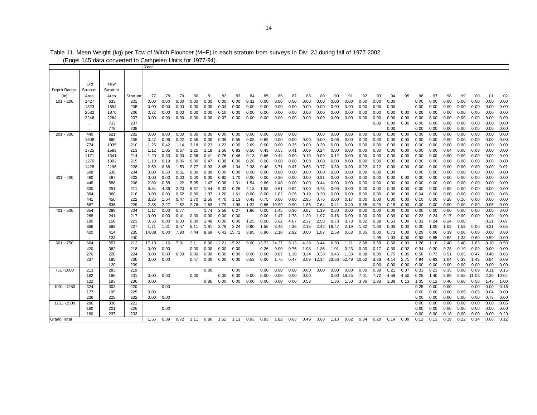|                    |            |            |            | Year         |              |              |              |              |               |                       |              |              |              |              |              |              |              |              |              |              |              |              |              |              |              |              |              |              |              |
|--------------------|------------|------------|------------|--------------|--------------|--------------|--------------|--------------|---------------|-----------------------|--------------|--------------|--------------|--------------|--------------|--------------|--------------|--------------|--------------|--------------|--------------|--------------|--------------|--------------|--------------|--------------|--------------|--------------|--------------|
|                    |            |            |            |              |              |              |              |              |               |                       |              |              |              |              |              |              |              |              |              |              |              |              |              |              |              |              |              |              |              |
|                    |            |            |            |              |              |              |              |              |               |                       |              |              |              |              |              |              |              |              |              |              |              |              |              |              |              |              |              |              |              |
|                    | Old        | New        |            |              |              |              |              |              |               |                       |              |              |              |              |              |              |              |              |              |              |              |              |              |              |              |              |              |              |              |
| Depth Range        | Stratum    | Stratum    |            |              |              |              |              |              |               |                       |              |              |              |              |              |              |              |              |              |              |              |              |              |              |              |              |              |              |              |
| (m)                | Area       | Area       | Stratum    | 77           | 78           | 79           | 80           | 81           | 82            | 83                    | 84           | 85           | 86           | 87           | 88           | 89           | 90           | 91           | 92           | 93           | 94           | 95           | 96           | 97           | 98           | 99           | 00           | 01           | 02           |
| 101 - 200          | 1427       | 633        | 201        | 0.00         | 0.00         | 0.00         | 0.00         | 0.00         | 0.00          | 0.00                  | 0.31         | 0.00         | 0.00         | 0.00         | 0.00         | 0.00         | 0.00         | 0.00         | 0.00         | 0.00         | 0.00         |              | 0.00         | 0.00         | 0.00         | 0.00         | 0.00         | 0.00         | 0.00         |
|                    | 1823       | 1594       | 205        | 0.00         | 0.00         | 0.00         | 0.00         | 0.00         | 0.04          | 0.00                  | 0.00         | 0.00         | 0.00         | 0.00         | 0.00         | 0.00         | 0.00         | 0.00         | 0.00         | 0.00         | 0.00         |              | 0.00         | 0.00         | 0.00         | 0.00         | 0.00         | 0.00         | 0.00         |
|                    | 2582       | 1870       | 206        | 0.32         | 0.00         | 0.00         | 0.00         | 0.00         | 0.10          | 0.00                  | 0.00         | 0.00         | 0.00         | 0.00         | 0.00         | 0.00         | 0.00         | 0.00         | 0.00         | 0.00         | 0.00         | 0.00         | 0.00         | 0.00         | 0.00         | 0.00         | 0.00         | 0.00         | 0.00         |
|                    | 2246       | 2264       | 207        | 0.00         | 0.00         | 0.00         | 0.00         | 0.00         | 0.07          | 0.00                  | 0.00         | 0.00         | 0.00         | 0.00         | 0.00         | 0.00         | 0.00         | 0.00         | 0.00         | 0.00         | 0.00         | 0.00         | 0.00         | 0.00         | 0.00         | 0.00         | 0.00         | 0.00         | 0.00         |
|                    | $\sim$     | 733        | 237        |              |              |              |              |              |               |                       |              |              |              |              |              |              |              |              |              | 0.00         | 0.00         | 0.00         | 0.00         | 0.00         | 0.00         | 0.00         | 0.00         | 0.00         | 0.00         |
|                    |            | 778        | 238        |              |              |              |              |              |               |                       |              |              |              |              |              |              |              |              |              |              | 0.00         |              | 0.00         | 0.00         | 0.00         | 0.00         | 0.00         | 0.00         | 0.00         |
| $201 - 300$        | 440        | 621        | 202        | 0.00         | 0.00         | 0.00         | 0.00         | 0.00         | 0.00          | 0.00                  | 0.00         | 0.00         | 0.00         | 0.00         |              | 0.00         | 0.00         | 0.00         | 0.00         | 0.00         | 0.00         | 0.00         | 0.00         | 0.00         | 0.00         | 0.00         | 0.00         | 0.00         | 0.00         |
|                    | 1608       | 680        | 209        | 0.47         | 0.06         | 0.22         | 0.55         | 0.00         | 0.38          | 0.55                  | 0.08         | 0.69         | 0.00         | 0.00         | 0.00         | 0.00         | 0.06         | 0.00         | 0.00         | 0.00         | 0.00         | 0.00         | 0.00         | 0.00         | 0.00         | 0.00         | 0.00         | 0.00         | 0.00         |
|                    | 774        | 1035       | 210        | 1.25         | 0.42         | 1.14         | 3.18         | 0.23         | 1.22          | 0.00                  | 2.69         | 0.00         | 0.00         | 0.35         | 0.00         | 0.20         | 0.00         | 0.00         | 0.00         | 0.00         | 0.00         | 0.00         | 0.00         | 0.00         | 0.00         | 0.00         | 0.00         | 0.00         | 0.00         |
|                    | 1725       | 1583       | 213        | 1.12         | 1.05         | 0.67         | 1.25         | 1.18         | 1.56          | 0.83                  | 0.50         | 0.43         | 0.55         | 0.41         | 0.09         | 0.24         | 0.00         | 0.00         | 0.00         | 0.00         | 0.00         | 0.00         | 0.00         | 0.00         | 0.04         | 0.00         | 0.00         | 0.00         | 0.00         |
|                    | 1171       | 1341       | 214        | 1.20         | 0.33         | 0.00         | 0.36         | 0.41         | 0.76          | 0.46                  | 0.13         | 0.66         | 0.44         | 0.00         | 0.10         | 0.09         | 0.12         | 0.00         | 0.00         | 0.00         | 0.00         | 0.00         | 0.00         | 0.00         | 0.00         | 0.00         | 0.00         | 0.00         | 0.00         |
|                    | 1270       | 1302       | 215        | 1.10         | 0.19         | 0.06         | 0.00         | 0.47         | 0.38          | 0.00                  | 0.26         | 0.00         | 0.00         | 0.00         | 0.00         | 0.00         | 0.00         | 0.00         | 0.00         | 0.00         | 0.00         | 0.00         | 0.00         | 0.00         | 0.00         | 0.00         | 0.00         | 0.00         | 0.00         |
|                    | 1428       | 2196       | 228        | 2.59         | 0.68         | 1.53         | 2.77         | 0.93         | 3.45          | 1.34                  | 2.38         | 0.40         | 3.71         | 0.47         | 0.63         | 0.77         | 0.39         | 0.00         | 0.22         | 0.12         | 0.00         | 0.00         | 0.00         | 0.00         | 0.00         | 0.00         | 0.00         | 0.00         | 0.01         |
|                    | 508        | 530        | 234        | 0.00         | 0.50         | 0.51         | 0.00         | 0.00         | 0.00          | 0.00                  | 0.00         | 0.00         | 0.00         | 0.00         | 0.00         | 0.00         | 0.00         | 0.00         | 0.00         | 0.00         | 0.00         |              | 0.00         | 0.00         | 0.00         | 0.00         | 0.00         | 0.00         | 0.00         |
| $301 - 400$        | 480<br>448 | 487<br>588 | 203<br>208 | 0.00<br>2.89 | 0.00<br>0.58 | 0.00<br>1.22 | 0.00<br>5.95 | 0.00<br>1.47 | 0.82<br>10.36 | 1.70<br>1.31          | 0.00<br>1.54 | 0.00<br>9.86 | 0.30<br>1.48 | 0.00<br>0.00 | 0.00<br>0.00 | 0.31         | 0.00<br>0.00 | 0.00<br>0.00 | 0.00<br>0.00 | 0.00<br>0.00 | 0.00<br>0.00 | 0.00<br>0.00 | 0.00<br>0.00 | 0.00<br>0.00 | 0.00<br>0.00 | 0.00<br>0.00 | 0.00<br>0.00 | 0.00<br>0.00 | 0.00<br>0.00 |
|                    |            | 251        |            |              | 4.36         | 2.20         | 6.37         | 1.54         |               |                       | 2.18         |              | 0.61         |              | 0.00         | 0.44<br>0.75 | 0.00         |              | 0.00         | 0.00         | 0.00         | 0.00         | 0.00         | 0.00         | 0.00         | 0.00         | 0.00         | 0.00         | 0.00         |
|                    | 330<br>384 | 360        | 211<br>216 | 9.84<br>0.00 | 0.00         | 0.52         | 0.80         | 1.07         | 5.32<br>1.20  | 0.26<br>$1.6^{\circ}$ | 0.00         | 1.58<br>0.00 | 1.02         | 0.84<br>0.26 | 0.19         | 0.30         | 0.00         | 0.00<br>0.00 | 0.00         | 0.00         | 0.00         | 0.00         | 0.04         | 0.00         | 0.00         | 0.00         | 0.00         | 0.00         | 0.06         |
|                    | 441        | 450        | 222        | 3.26         | 1.64         | 0.47         | 1.70         | 2.56         | 4.70          | 1.13                  | 0.43         | 0.75         | 0.00         | 0.00         | 2.85         | 0.76         | 0.00         | 0.17         | 0.00         | 0.00         | 0.00         | 0.00         | 0.10         | 0.00         | 0.28         | 0.16         | 0.00         | 0.00         | 0.00         |
|                    | 567        | 536        | 229        | 2.35         | 2.27         | 1.52         | 2.76         | 1.63         | 1.79          | 1.99                  | 1.32         | 0.66         | 10.99        | 0.90         | 1.86         | 7.64         | 0.41         | 0.40         | 0.35         | 0.20         | 0.18         | 0.00         | 0.00         | 0.00         | 0.00         | 0.00         | 0.09         | 0.05         | 0.00         |
| $401 - 500$        | 354        | 288        | 204        | 1.17         | 0.00         | 0.77         |              | 1.74         | 2.56          | 0.27                  | 1.86         | 0.00         | 1.45         | 0.30         | 0.87         | 1.19         | 0.30         | 0.00         | 0.00         | 0.00         | 0.00         | 0.00         | 0.00         | 0.00         | 0.00         | 0.00         | 0.00         | 0.00         | 0.00         |
|                    | 268        | 241        | 217        | 0.00         | 0.00         | 0.41         | 0.00         | 0.00         | 0.00          | 0.00                  |              | 0.00         | 1.47         | 1.73         | 1.20         | 1.97         | 0.16         | 0.00         | 0.00         | 0.00         | 0.39         | 0.00         | 0.23         | 0.24         | 0.17         | 0.00         | 0.00         | 0.00         | 0.00         |
|                    | 180        | 158        | 223        | 0.53         | 0.00         | 0.00         | 0.00         | 1.48         | 0.00          | 0.00                  | 1.25         | 0.00         | 5.62         | 4.67         | 2.37         | 2.58         | 0.73         | 0.73         | 0.32         | 0.38         | 0.63         | 0.00         | 0.31         | 0.24         | 0.24         | 0.00         |              | 0.21         | 0.07         |
|                    | 686        | 598        | 227        | 1.71         | 1.31         | 0.47         | 5.11         | 1.91         | 3.79          | 2.24                  | 0.90         | 1.56         | 3.48         | 4.36         | 2.15         | 2.42         | 19.47        | 2.19         | 1.32         | 1.60         | 0.00         | 0.00         | 0.00         | 1.05         | 1.03         | 1.52         | 0.00         | 0.31         | 0.05         |
|                    | 420        | 414        | 235        | 14.08        | 0.00         | 7.90         | 7.44         | 8.69         | 6.43          | 15.71                 | 8.95         | 6.90         | 2.10         | 2.92         | 0.00         | 1.07         | 2.58         | 0.63         | 0.35         | 0.00         | 0.73         | 0.00         | 0.29         | 0.06         | 0.39         | 0.00         | 0.00         | 0.00         | 0.80         |
|                    |            | 133        | 240        |              |              |              |              |              |               |                       |              |              |              |              |              |              |              |              |              | 1.98         | 1.03         | 0.00         | 0.93         | 0.85         | 0.62         | 1.33         | 0.60         | 0.50         | 0.00         |
| $501 - 750$        | 664        | 557        | 212        | 17.13        | 1.16         | 7.01         | 2.11         | 6.90         | 12.21         | 15.22                 | 9.00         | 13.72        | 34.37        | 9.13         | 4.29         | 6.44         | 6.99         | 1.21         | 2.98         | 0.58         | 0.68         | 0.93         | 1.26         | 1.18         | 2.40         | 3.40         | 1.63         | 0.10         | 0.50         |
|                    | 420        | 362        | 218        | 0.00         | 0.00         |              | 0.00         | 0.00         | 0.00          | 0.00                  |              | 0.26         | 0.00         | 0.76         | 1.98         | 1.36         | 1.01         | 0.23         | 0.00         | 0.17         | 0.39         | 0.02         | 0.34         | 0.20         | 0.23         | 0.19         | 0.09         | 0.00         | 0.00         |
|                    | 270        | 228        | 224        | 0.00         | 0.00         | 0.00         | 0.00         | 0.00         | 0.00          | 0.00                  | 0.00         | 0.00         | 0.87         | 1.30         | 3.24         | 3.38         | 0.45         | 1.33         | 0.88         | 0.00         | 0.75         | 0.05         | 0.58         | 0.73         | 0.51         | 0.05         | 0.47         | 0.40         | 0.05         |
|                    | 237        | 185        | 230        | 0.00         | 0.00         |              | 0.47         | 0.00         | 0.00          | 0.00                  | 0.53         | 0.00         | 1.75         | 0.47         | 3.09         | 12.14        | 23.66        | 52.49        | 10.62        | 3.33         | 4.14         | 2.71         | 4.94         | 6.93         | 1.04         | 6.33         | 1.43         | 0.84         | 0.09         |
|                    |            | 120        | 239        |              |              |              |              |              |               |                       |              |              |              |              |              |              |              |              |              | 0.00         | 0.00         | 0.00         | 0.00         | 0.00         | 0.00         | 0.00         | 0.00         | 0.00         | 0.00         |
| 751 - 1000         | 213        | 283        | 219        |              |              |              |              | 0.00         |               | 0.00                  |              | 0.00         | 0.00         | 0.00         | 0.00         | 0.00         | 0.00         | 0.00         | 0.00         | 0.39         | 0.21         | 0.07         | 0.33         | 0.23         | 0.35         | 0.00         | 0.09         | 0.11         | 0.15         |
|                    | 182        | 186        | 231        | 0.00         | 0.00         |              | 0.00         |              | 0.00          | 0.00                  | 0.00         | 0.00         | 0.00         | 0.00         | 0.00         |              | 0.00         | 18.25        | 7.01         | 7.72         | 4.59         | 4.50         | 0.25         | 1.40         | 8.89         | 5.58         | 11.05        | 2.30         | 10.04        |
|                    | 122        | 193        | 236        | 0.00         |              |              |              | 0.86         | 0.00          | 0.00                  | 0.00         | 0.00         | 0.00         | 0.00         | 0.53         |              | 1.36         | 1.50         | 3.06         | 1.93         | 1.38         | 0.13         | 1.05         | 0.12         | 0.40         | 0.60         | 0.50         | 1.43         | 1.00         |
| 1001 -1250         | 324        | 303        | 220        |              | 0.00         |              |              |              |               |                       |              |              |              |              |              |              |              |              |              |              |              |              | 0.25         | 0.00         | 0.00         |              | 0.00         | 0.00         | 0.16         |
|                    | 177        | 195        | 225        | 0.00         |              |              |              |              |               |                       |              |              |              |              |              |              |              |              |              |              |              |              | 0.00         | 0.00         | 0.00         | 0.09         | 0.05         | 0.04         | 0.00         |
|                    | 236        | 228        | 232        | 0.00         | 0.00         |              |              |              |               |                       |              |              |              |              |              |              |              |              |              |              |              |              | 0.00         | 0.00         | 0.00         | 0.00         | 0.00         | 0.73         | 0.00         |
| 1251 - 1500        | 286        | 330        | 221        |              |              |              |              |              |               |                       |              |              |              |              |              |              |              |              |              |              |              |              | 0.00         | 0.00         | 0.00         | 0.00         | 0.00         | 0.00         | 0.06         |
|                    | 180        | 201        | 226        |              | 0.00         |              |              |              |               |                       |              |              |              |              |              |              |              |              |              |              |              |              | 0.00         | 0.00         | 0.00         | 0.00         | 0.00         | 0.00         | 0.00         |
|                    | 180        | 237        | 233        |              |              |              |              |              |               |                       |              |              |              |              |              |              |              |              |              |              |              |              | 0.00         | 0.00         | 0.18         | 0.00         | 0.00         | 0.00         | 0.20         |
| <b>Grand Total</b> |            |            |            | 1.56         | 0.39         | 0.72         | 1.11         | 0.80         | 1.52          | 1.13                  | 0.93         | 0.93         | 1.82         | 0.63         | 0.49         | 0.83         | 1.13         | 0.82         | 0.34         | 0.20         | 0.14         | 0.09         | 0.11         | 0.13         | 0.19         | 0.22         | 0.14         | 0.06         | 0.12         |

Table 11. Mean Weight (kg) per Tow of Witch Flounder (M+F) in each stratum from surveys in Div. 2J during fall of 1977-2002.

(Engel 145 data converted to Campelen Units for 1977-94).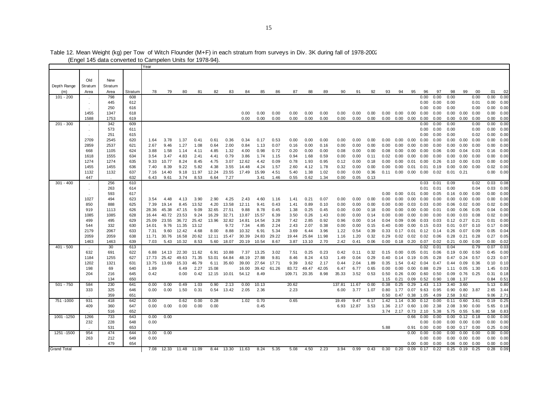|                    |            | (Engel 145 data converted to Campelen Units for 1978-94) |            |               |              |                |               |       |               |               |              |              |              |              |              |              |              |              |              |                      |                          |      |              |              |                      |              |              |               |
|--------------------|------------|----------------------------------------------------------|------------|---------------|--------------|----------------|---------------|-------|---------------|---------------|--------------|--------------|--------------|--------------|--------------|--------------|--------------|--------------|--------------|----------------------|--------------------------|------|--------------|--------------|----------------------|--------------|--------------|---------------|
|                    |            |                                                          |            | Year          |              |                |               |       |               |               |              |              |              |              |              |              |              |              |              |                      |                          |      |              |              |                      |              |              |               |
|                    |            |                                                          |            |               |              |                |               |       |               |               |              |              |              |              |              |              |              |              |              |                      |                          |      |              |              |                      |              |              |               |
|                    | Old        | New                                                      |            |               |              |                |               |       |               |               |              |              |              |              |              |              |              |              |              |                      |                          |      |              |              |                      |              |              |               |
| Depth Range        | Stratum    | Stratum                                                  |            |               |              |                |               |       |               |               |              |              |              |              |              |              |              |              |              |                      |                          |      |              |              |                      |              |              |               |
| (m)                | Area       | Area                                                     | Stratum    | 78            | 79           | 80             | 81            | 82    | 83            | 84            | 85           | 86           | 87           | 88           | 89           | 90           | 91           | 92           | 93           | 94                   | 95                       | 96   | 97           | 98           | 99                   | 00           | 01           | 02            |
| $101 - 200$        |            | 798                                                      | 608        |               |              |                |               |       |               |               |              |              |              |              |              |              |              |              |              |                      |                          | 0.00 | 0.00         | 0.00         |                      | 0.00         | 0.00         | 0.00          |
|                    |            | 445                                                      | 612        |               |              |                |               |       |               |               |              |              |              |              |              |              |              |              |              |                      |                          | 0.00 | 0.00         | 0.00         |                      | 0.01         | 0.00         | 0.00          |
|                    |            | 250                                                      | 616        |               |              |                |               |       |               |               |              |              |              |              |              |              |              |              |              |                      |                          | 0.00 | 0.00         | 0.00         |                      | 0.00         | 0.00         | 0.00          |
|                    | 1455       | 1347                                                     | 618        |               |              |                |               |       |               | 0.00          | 0.00         | 0.00         | 0.00         | 0.00         | 0.00         | 0.00         | 0.00         | 0.00         |              | $0.00$ $0.00$ $0.00$ |                          | 0.00 | 0.00         |              | $0.00 \quad 0.00$    | 0.00         |              | 0.00 0.00     |
|                    | 1588       | 1753                                                     | 619        |               |              |                |               |       |               | 0.00          | 0.00         | 0.00         | 0.00         | 0.00         | 0.00         | 0.00         | 0.00         | 0.00         |              | $0.00$ $0.00$ $0.00$ |                          | 0.00 | 0.00         | 0.00         | 0.00                 | 0.00         | 0.00         | 0.00          |
| $201 - 300$        |            | 342                                                      | 609        |               |              |                |               |       |               |               |              |              |              |              |              |              |              |              |              |                      |                          | 0.00 | 0.00         | 0.00         |                      | 0.00         | 0.00         | 0.00          |
|                    |            | 573                                                      | 611        |               |              |                |               |       |               |               |              |              |              |              |              |              |              |              |              |                      |                          | 0.00 | 0.00         | 0.00         |                      | 0.00         | 0.00         | 0.00          |
|                    |            | 251                                                      | 615        |               |              |                |               |       |               |               |              |              |              |              |              |              |              |              |              |                      |                          | 0.00 | 0.00         | 0.00         |                      | 0.02         | 0.00         | 0.00          |
|                    | 2709       | 2545                                                     | 620        | 1.64          | 3.78         | 1.37           | 0.41          | 0.61  | 0.36          | 0.34          | 0.17         | 0.53         | 0.00         | 0.00         | 0.00         | 0.00         | 0.00         | 0.00         | 0.00         | 0.00                 | 0.00                     | 0.00 | 0.00         | 0.00         | 0.00                 | 0.00         | 0.00         | 0.00          |
|                    | 2859       | 2537                                                     | 621        | 2.67          | 9.46         | 1.27           | 1.08          | 0.64  | 2.00          | 0.84          | 1.13         | 0.07         | 0.16         | 0.00         | 0.16         | 0.00         | 0.00         | 0.00         | 0.00         | 0.00                 | 0.00                     | 0.00 | 0.00         | 0.00         | 0.00                 | 0.00         | 0.00         | 0.00          |
|                    | 668        | 1105                                                     | 624        | 3.88          | 1.58         | 1.14           | 4.11          | 4.85  | 1.32          | 4.00          | 0.98         | 0.72         | 0.20         | 0.00         | 0.00         | 0.08         | 0.00         | 0.00         | 0.08         | 0.00                 | 0.00                     | 0.00 | 0.06         | 0.00         | 0.04                 | 0.03         | 0.16         | 0.00          |
|                    | 1618       | 1555                                                     | 634        | 3.54          | 3.47         | 4.83           | 2.41          | 4.41  | 0.79          | 3.86          | 1.74         | 1.15         | 0.94         | 1.68         | 0.59         | 0.00         | 0.00         | 0.11         | 0.02         | 0.00                 | 0.00                     | 0.00 | 0.00         | 0.00         | 0.00                 | 0.00         | 0.00         | 0.00          |
|                    | 1274       | 1274                                                     | 635        | 9.33          | 10.77        | 8.24           | 8.45          | 4.75  | 3.07          | 12.62         | 4.42         | 0.09         | 0.78         | 1.93         | 0.95         | 0.12         | 0.00         | 0.18         | 0.00         | 0.00                 | 0.01                     | 0.00 | 0.26         | 0.10         | 0.00                 | 0.03         | 0.00         | 0.00          |
|                    | 1455       | 1455                                                     | 636        | 7.40          | 8.39         | 9.22           | 5.82          | 4.38  | 3.55          | 14.48         | 4.24         | 1.57         | 2.60         | 4.12         | 1.78         | 0.32         | 0.00         | 0.00         | 0.00         | 0.00                 | 0.01                     | 0.01 | 0.19         | 0.00         | 0.00                 | 0.00         | 0.02         | 0.00          |
|                    | 1132       | 1132                                                     | 637        | 7.16          | 14.40        | 9.18           | 11.97         | 12.24 | 23.55         | 17.49         | 15.99        | 4.51         | 5.40         | 1.38         | 1.02         | 0.00         | 0.00         | 0.36         |              | $0.11 \quad 0.00$    | 0.00                     | 0.00 | 0.02         | $0.01$ 0.21  |                      |              | 0.00         | 0.00          |
|                    | 447        |                                                          | 632        | 6.43          | 9.61         | 3.74           | 8.53          | 6.64  | 7.27          |               | 3.41         | 1.46         | 0.55         | 0.62         | 1.34         | 0.00         | 0.05         | 0.13         |              |                      |                          |      |              |              |                      |              |              |               |
| $301 - 400$        |            | 256                                                      | 610        |               |              |                |               |       |               |               |              |              |              |              |              |              |              |              |              |                      |                          | 0.03 | 0.01         | 0.09         |                      | 0.02         | 0.03         | 0.08          |
|                    |            | 263                                                      | 614        |               |              |                |               |       |               |               |              |              |              |              |              |              |              |              |              |                      |                          | 0.01 | 0.01         | 0.00         |                      | 0.04         | 0.03         | 0.00          |
|                    |            | 593                                                      | 617        |               |              |                |               |       |               |               |              |              |              |              |              |              |              |              | 0.00         | 0.00                 | 0.01                     | 0.00 | 0.05         | 0.16         | 0.00                 | 0.00         |              | 0.00 0.00     |
|                    | 1027       | 494                                                      | 623        | 3.54          | 4.48         | 4.13           | 3.90          | 2.90  | 4.25          | 2.43          | 4.60         | 1.16         | 1.41         | 0.21         | 0.07         | 0.00         | 0.00         | 0.00         | 0.00         | 0.00                 | 0.00                     | 0.00 | 0.00         | 0.00         | 0.00                 | 0.00         | 0.00         | 0.00          |
|                    | 850        | 888                                                      | 625        | 7.39          | 19.14        | 8.45           | 13.52         | 4.20  | 13.58         | 12.11         | 9.41         | 0.43         | 1.41         | 0.89         | 0.10         | 0.00         | 0.00         | 0.00         | 0.00         | 0.00                 | 0.03                     | 0.03 | 0.00         | 0.06         | 0.02                 | 0.00         | 0.02         | 0.00          |
|                    | 919        | 1113                                                     | 626        | 28.36         | 45.38        | 47.15          | 9.09          | 32.65 | 27.51         | 9.88          | 8.78         | 0.45         | 1.38         | 0.25         | 0.45         | 0.00         | 0.00         | 0.18         | 0.00         | 0.00                 | 0.00                     | 0.00 | 0.01         | 0.00         | 0.06                 | 0.05         | 0.04         | 0.00          |
|                    | 1085       | 1085                                                     | 628        | 16.44         | 40.72        | 23.53          | 9.24          | 16.29 | 32.71         | 13.87         | 15.57        | 6.39         | 3.50         | 0.26         | 1.43         | 0.00         | 0.00         | 0.14         | 0.00         | 0.00                 | 0.00                     | 0.00 | 0.00         | 0.00         | 0.03                 | 0.08         | 0.02         | 0.00          |
|                    | 499<br>544 | 495<br>332                                               | 629        | 25.09         | 23.55        | 36.72          | 25.42         | 13.96 | 32.82<br>9.72 | 14.81<br>7.34 | 14.54        | 3.28<br>2.24 | 7.42<br>2.43 | 2.85         | 0.92         | 0.96         | 0.00         | 0.14         | 0.04         | 0.09                 | 0.06                     | 0.03 | 0.03         | 0.12         | 0.27                 | 0.21<br>0.10 | 0.01<br>0.17 | 0.00          |
|                    | 2179       | 2067                                                     | 630<br>633 | 14.01<br>7.31 | 9.76<br>9.60 | 11.35<br>12.42 | 13.12<br>4.68 | 8.00  | 8.88          | 10.32         | 4.85<br>6.91 | 5.34         | 3.69         | 2.07<br>6.44 | 0.38<br>3.96 | 0.00<br>1.22 | 0.00<br>0.54 | 0.15<br>0.39 | 0.40<br>0.33 | 0.00                 | 0.00<br>$0.17$ 0.01 0.12 | 0.15 | 0.03         | 0.01<br>0.26 | 0.07<br>0.07         | 0.09         | 0.05         | 0.00<br>0.04  |
|                    | 2059       | 2059                                                     | 638        | 11.71         | 30.76        | 16.58          | 20.62         | 12.11 | 15.47         | 30.39         | 24.83        | 29.22        | 19.44        | 25.84        | 11.98        | 1.16         | 1.20         | 0.32         | 0.29         | 0.02                 | $0.02$ 0.02              |      | 0.14<br>0.06 | 0.28         | 0.21                 | 0.28         | 0.27         | 0.05          |
|                    | 1463       | 1463                                                     | 639        | 7.03          | 5.43         | 10.32          | 8.53          | 5.60  | 18.07         | 20.19         | 10.54        | 8.67         | 3.87         | 13.10        | 2.70         | 2.42         | 0.41         | 0.06         | 0.00         | 0.18                 | 0.20                     | 0.07 | 0.02         | 0.21         | 0.00                 | 0.00         | 0.00         | 0.02          |
| $401 - 500$        |            | 30                                                       | 613        |               |              |                |               |       |               |               |              |              |              |              |              |              |              |              |              |                      |                          | 0.02 | 0.01         | 0.04         |                      | 0.79         | 0.07         | 0.03          |
|                    | 632        | 691                                                      | 622        | 6.88          | 14.13        | 22.30          | 11.62         | 6.91  | 10.88         | 7.37          | 13.25        | 3.02         | 7.51         | 0.25         | 0.23         | 0.42         | 0.11         | 0.32         | 0.15         | $0.00 \quad 0.05$    |                          | 0.01 | 0.06         |              | $0.19$ $0.00$ $0.50$ |              | 0.45         | 0.00          |
|                    | 1184       | 1255                                                     | 627        | 17.73         | 25.42        | 49.63          | 71.35         | 53.01 | 64.84         | 48.19         | 27.88        | 9.81         | 8.46         | 8.24         | 4.53         | 1.49         | 0.04         | 0.29         | 0.40         | 0.14                 | 0.19                     | 0.05 | 0.28         | 0.47         | 0.24                 | 0.57         | 0.23         | 0.07          |
|                    | 1202       | 1321                                                     | 631        | 13.75         | 13.69        | 15.33          | 46.79         | 6.11  | 35.60         | 39.00         | 27.64        | 17.71        | 9.39         | 3.62         | 2.17         | 0.44         | 2.04         | 1.89         | 0.35         | 1.54                 | 0.42                     | 0.04 | 0.47         | 0.44         | 0.09                 | 0.36         |              | $0.10$ $0.10$ |
|                    | 198        | 69                                                       | 640        | 1.89          |              | 6.49           | 2.27          | 15.08 |               | 16.00         | 39.42        | 61.26        | 83.72        | 49.47        | 42.05        | 6.47         | 6.77         | 0.65         | 0.00         | 0.00                 | 0.00                     | 0.88 | 0.29         | 1.11         | 0.05                 | 1.30         | 1.45         | 0.03          |
|                    | 204        | 216                                                      | 645        | 0.42          |              | 0.00           | 0.42          | 12.15 | 10.01         | 54.12         | 8.49         |              | 109.71       | 20.35        | 8.98         | 35.33        | 3.52         | 0.53         | 0.50         | 0.26                 | 0.00                     | 0.60 | 0.50         | 0.09         | 0.76                 | 0.25         | 0.31         | 0.18          |
|                    |            | 134                                                      | 650        |               |              |                |               |       |               |               |              |              |              |              |              |              |              |              | 1.15         | 0.21                 | 0.09                     | 0.52 | 0.90         | 1.08         | 1.37                 |              | 0.84         | 0.51          |
| $501 - 750$        | 584        | 230                                                      | 641        | 0.00          | 0.00         | 0.49           | 1.03          | 0.90  | 2.13          | 0.00          | 10.13        |              | 20.62        |              |              | 137.81       | 11.67        | 0.00         | 0.38         | 0.25                 | 0.29                     | 1.43 | 1.13         | 3.40         | 3.60                 |              | 5.13         | 0.80          |
|                    | 333        | 325                                                      | 646        | 0.00          | 0.00         | 1.50           | 0.31          | 0.54  | 13.42         | 2.05          | 2.36         |              | 2.23         |              |              | 6.00         | 3.77         | 1.07         | 0.80         | 1.77                 | 0.07                     | 9.63 | 0.95         | 0.90         | 0.80                 | 3.87         | 2.65         | 3.44          |
|                    |            | 359                                                      | 651        |               |              |                |               |       |               |               |              |              |              |              |              |              |              |              | 0.50         | 0.47                 | 0.38                     | 1.05 | 4.09         | 2.58         | 3.62                 |              | 9.06         | 2.71          |
| 751 - 1000         | 931        | 418                                                      | 642        | 0.00          |              | 0.62           | 0.00          | 0.28  |               | 1.02          | 0.70         |              | 0.65         |              |              | 19.49        | 9.47         | 6.17         | 1.42         | 1.14                 | 0.30                     | 0.12 | 0.00         | 0.11         | 0.60                 | 3.61         | 0.19         | 0.25          |
|                    | 409        | 360                                                      | 647        | 0.00          | 0.00         | 0.00           | 0.00          | 0.00  |               |               | 0.45         |              |              |              |              | 6.93         | 12.87        | 3.53         |              | 1.36 2.17            | 0.60                     | 1.00 | 2.38         | 2.08         | 3.90                 | 0.00         | 5.65         | 0.18          |
|                    |            | 516                                                      | 652        |               |              |                |               |       |               |               |              |              |              |              |              |              |              |              |              | 3.74 2.17 0.73 2.10  |                          |      | 5.38         |              | 5.75  0.55  5.80     |              | 1.58         | 0.83          |
| 1001 - 1250        | 1266       | 733                                                      | 643        | 0.00          | 0.00         |                |               |       |               |               |              |              |              |              |              |              |              |              |              |                      | 0.66                     | 0.00 | 0.00         | 0.00         | 0.12                 | 0.18         | 0.00         | 0.00          |
|                    | 232        | 228                                                      | 648        | 0.00          |              |                |               |       |               |               |              |              |              |              |              |              |              |              |              |                      |                          | 0.00 | 0.00         | 0.00         | $0.00 \quad 0.00$    |              |              | 0.00 0.00     |
|                    |            | 531                                                      | 653        |               |              |                |               |       |               |               |              |              |              |              |              |              |              |              | 5.88         |                      | 0.91                     | 0.00 | 0.00         | 0.00         | 0.17                 | 0.00         | 0.25         | 0.00          |
| 1251 - 1500        | 954        | 474                                                      | 644        | 0.00          | 0.00         |                |               |       |               |               |              |              |              |              |              |              |              |              |              |                      | 0.00                     | 0.00 | 0.00         | 0.00         | 0.00                 | 0.00         | 0.00         | 0.00          |
|                    | 263        | 212                                                      | 649        | 0.00          |              |                |               |       |               |               |              |              |              |              |              |              |              |              |              |                      |                          | 0.00 | 0.00         | 0.00         | 0.00                 | 0.00         | 0.00         | 0.00          |
|                    |            | 479                                                      | 654        |               |              |                |               |       |               |               |              |              |              |              |              |              |              |              |              |                      | 0.00                     | 0.00 | 0.00         | 0.06         | 0.00                 | 0.00         | 0.00         | 0.00          |
| <b>Grand Total</b> |            |                                                          |            | 7.08          | 12.33        | 11.48          | 11.09         | 8.44  | 13.30         | 11.63         | 8.24         | 5.35         | 5.08         | 4.50         | 2.23         | 3.94         | 0.99         | 0.43         | 0.30         | 0.20                 | 0.09                     | 0.17 | 0.22         | 0.25         | 0.19                 | 0.25         | 0.28         | 0.09          |

Table 12. Mean Weight (kg) per Tow of Witch Flounder (M+F) in each stratum from surveys in Div. 3K during fall of 1978-2002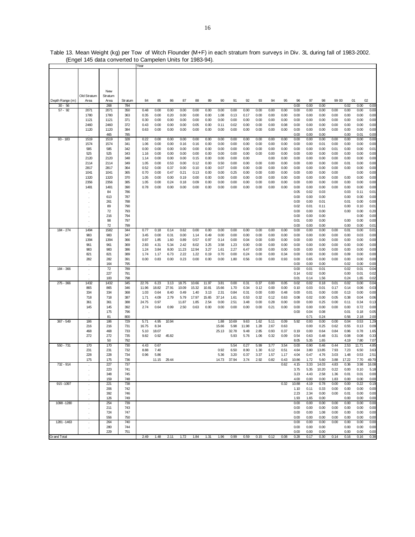|                    |             |            |            | Year  |       |       |       |       |       |       |       |       |      |      |      |              |              |              |       |              |              |              |
|--------------------|-------------|------------|------------|-------|-------|-------|-------|-------|-------|-------|-------|-------|------|------|------|--------------|--------------|--------------|-------|--------------|--------------|--------------|
|                    |             |            |            |       |       |       |       |       |       |       |       |       |      |      |      |              |              |              |       |              |              |              |
|                    |             |            |            |       |       |       |       |       |       |       |       |       |      |      |      |              |              |              |       |              |              |              |
|                    |             |            |            |       |       |       |       |       |       |       |       |       |      |      |      |              |              |              |       |              |              |              |
|                    |             |            |            |       |       |       |       |       |       |       |       |       |      |      |      |              |              |              |       |              |              |              |
|                    |             | New        |            |       |       |       |       |       |       |       |       |       |      |      |      |              |              |              |       |              |              |              |
|                    | Old Stratum | Stratum    |            |       |       |       |       |       |       |       |       |       |      |      |      |              |              |              |       |              |              |              |
| Depth Range (m)    | Area        | Area       | Stratum    | 84    | 85    | 86    | 87    | 88    | 89    | 90    | 91    | 92    | 93   | 94   | 95   | 96           | 97           | 98           | 99 00 | 01           | 02           |              |
| $30 - 56$          |             | 268        | 784        |       |       |       |       |       |       |       |       |       |      |      |      | 0.00         | 0.00         | 0.00         |       | 0.02         | 0.00         | 0.00         |
| $57 - 92$          | 2071        | 2071       | 350        | 0.48  | 0.00  | 0.00  | 0.00  | 0.00  | 0.00  | 0.00  | 0.00  | 0.00  | 0.00 | 0.00 | 0.00 | 0.00         | 0.00         | 0.00         | 0.00  | 0.00         | 0.00         | 0.00         |
|                    | 1780        | 1780       | 363        | 0.35  | 0.00  | 0.20  | 0.00  | 0.00  | 0.00  | 1.08  | 0.13  | 0.17  | 0.00 | 0.00 | 0.00 | 0.00         | 0.00         | 0.00         | 0.00  | 0.00         | 0.00         | 0.00         |
|                    | 1121        | 1121       | 371        | 0.30  | 0.00  | 0.00  | 0.00  | 0.00  | 0.00  | 0.00  | 0.00  | 0.00  | 0.00 | 0.00 | 0.00 | 0.00         | 0.00         | 0.00         | 0.00  | 0.00         | 0.00         | 0.00         |
|                    | 2460        | 2460       | 372        | 0.43  | 0.00  | 0.00  | 0.00  | 0.05  | 0.00  | 0.11  | 0.02  | 0.00  | 0.00 | 0.00 | 0.08 | 0.00         | 0.00         | 0.00         | 0.00  | 0.00         | 0.00         | 0.00         |
|                    | 1120        | 1120       | 384        | 0.63  | 0.00  | 0.00  | 0.00  | 0.00  | 0.00  | 0.00  | 0.00  | 0.00  | 0.00 | 0.00 | 0.00 | 0.00         | 0.00         | 0.00         | 0.00  | 0.00         | 0.00         | 0.00         |
|                    |             | 465        | 785        |       |       |       |       |       |       |       |       |       |      |      |      | 0.00         | 0.00         | 0.00         |       | 0.00         | 0.01         | 0.00         |
| $93 - 183$         | 1519        | 1519       | 328        | 0.22  | 0.00  | 0.00  | 0.00  | 0.00  | 0.00  | 0.00  | 0.00  | 0.00  | 0.00 | 0.00 | 0.00 | 0.00         | 0.00         | 0.00         | 0.00  | 0.00         | 0.00         | 0.00         |
|                    | 1574        | 1574       | 341        | 1.06  | 0.00  | 0.00  | 0.16  | 0.16  | 0.00  | 0.00  | 0.00  | 0.00  | 0.00 | 0.00 | 0.00 | 0.00         | 0.00         | 0.01         | 0.00  | 0.00         | 0.00         | 0.00         |
|                    | 585         | 585        | 342        | 0.00  | 0.00  | 0.00  | 0.00  | 0.00  | 0.00  | 0.00  | 0.00  | 0.00  | 0.00 | 0.00 | 0.00 | 0.00         | 0.00         | 0.00         | 0.01  | 0.00         | 0.00         | 0.01         |
|                    | 525         | 525        | 343        | 1.16  | 0.00  | 0.00  | 0.00  | 0.00  | 0.00  | 0.00  | 0.00  | 0.00  | 0.00 | 0.00 | 0.00 | 0.00         | 0.00         | 0.00         | 0.00  | 0.00         | 0.00         | 0.00         |
|                    | 2120        | 2120       | 348        | 1.14  | 0.00  | 0.00  | 0.00  | 0.15  | 0.00  | 0.00  | 0.00  | 0.00  |      | 0.00 | 0.00 | 0.00         | 0.00         | 0.00         | 0.00  | 0.00         | 0.00         | 0.00         |
|                    | 2114        | 2114       | 349        | 1.05  | 0.00  | 0.53  | 0.00  | 0.12  | 0.00  | 0.50  | 0.00  | 0.00  | 0.00 | 0.00 | 0.00 | 0.00         | 0.00         | 0.00         | 0.00  | 0.01         | 0.00         | 0.00         |
|                    | 2817        | 2817       | 364        | 0.52  | 0.00  | 0.37  | 0.00  | 0.10  | 0.00  | 0.07  | 0.00  | 0.00  | 0.00 | 0.00 | 0.00 | 0.00         | 0.00         | 0.00         | 0.00  | 0.00         | 0.00         | 0.00         |
|                    | 1041        | 1041       | 365        | 0.70  | 0.00  | 0.47  | 0.21  | 0.13  | 0.00  | 0.00  | 0.25  | 0.00  | 0.00 | 0.00 | 0.00 | 0.00         | 0.00         | 0.00         | 0.00  |              | 0.00         | 0.00         |
|                    | 1320        | 1320       | 370        | 1.05  | 0.00  | 0.00  | 0.19  | 0.00  | 0.00  | 0.00  | 0.00  | 0.00  | 0.00 | 0.00 | 0.00 | 0.00         | 0.00         | 0.00         | 0.00  | 0.00         | 0.00         | 0.00         |
|                    | 2356        | 2356       | 385        | 1.05  | 0.00  | 0.24  | 0.18  | 0.09  | 0.00  | 0.00  | 0.00  | 0.00  | 0.00 | 0.00 | 0.00 | 0.00         | 0.00         | 0.00         | 0.00  | 0.00         | 0.00         | 0.00         |
|                    | 1481        | 1481       | 390        | 0.78  | 0.00  | 0.00  | 0.00  | 0.00  | 0.00  | 0.00  | 0.00  | 0.00  | 0.00 | 0.00 | 0.00 | 0.00         | 0.00         | 0.00         | 0.00  | 0.00         | 0.00         | 0.00         |
|                    |             | 84         | 786        |       |       |       |       |       |       |       |       |       |      |      |      | 0.05         | 0.02         | 0.03         |       | 0.03         | 0.11         | 0.01         |
|                    |             | 613        | 787        |       |       |       |       |       |       |       |       |       |      |      |      | 0.00         | 0.00         | 0.00         |       | 0.00         | 0.00         | 0.00         |
|                    |             | 261        | 788        |       |       |       |       |       |       |       |       |       |      |      |      | 0.00         | 0.00         | 0.01         |       | 0.01         | 0.00         | 0.00         |
|                    |             | 89         | 790        |       |       |       |       |       |       |       |       |       |      |      |      | 0.02         | 0.01         | 0.11         |       | 0.00         | 0.10         | 0.01         |
|                    |             | 72         | 793        |       |       |       |       |       |       |       |       |       |      |      |      | 0.00         | 0.00         | 0.00         |       | 0.00         | 0.00         | 0.20         |
|                    |             | 216        | 794        |       |       |       |       |       |       |       |       |       |      |      |      | 0.00         | 0.00         | 0.00         |       |              | 0.00         | 0.00         |
|                    |             | 98         | 797        |       |       |       |       |       |       |       |       |       |      |      |      | 0.01         | 0.00         | 0.00         |       | 0.00         | 0.00         | 0.00         |
|                    |             | 72         | 799        |       |       |       |       |       |       |       |       |       |      |      |      | 0.00         | 0.00         | 0.00         |       | 0.00         | 0.00         | 0.01         |
| 184 - 274          | 1494        | 1582       | 344        | 0.77  | 0.18  | 0.14  | 0.62  | 0.00  | 0.00  | 0.00  | 0.00  | 0.00  | 0.00 | 0.00 | 0.00 | 0.00         | 0.00         | 0.00         | 0.00  | 0.01         | 0.00         | 0.01         |
|                    | 983         | 983        | 347        | 3.45  | 0.00  | 0.31  | 0.00  | 1.14  | 0.49  | 0.00  | 0.00  | 0.00  | 0.00 | 0.00 | 0.00 | 0.00         | 0.00         | 0.00         | 0.00  | 0.00         | 0.03         | 0.00         |
|                    | 1394        | 1394       | 366        | 0.97  | 1.85  | 1.60  | 0.89  | 0.57  | 0.97  | 0.14  | 0.00  | 0.04  | 0.00 | 0.00 | 0.00 | 0.00         | 0.00         | 0.00         | 0.00  | 0.00         | 0.00         | 0.00         |
|                    | 961         | 961        | 369        | 2.83  | 4.31  | 5.34  | 2.42  | 8.02  | 3.25  | 3.58  | 1.23  | 0.00  | 0.00 | 0.00 | 0.00 | 0.00         | 0.00         | 0.00         | 0.00  | 0.00         | 0.00         | 0.00         |
|                    | 983         | 983        | 386        | 1.24  | 3.84  | 8.00  | 11.23 | 12.94 | 3.27  | 1.61  | 2.27  | 6.47  | 0.00 | 0.00 | 0.00 | 0.00         | 0.00         | 0.00         | 0.00  | 0.00         | 0.00         | 0.00         |
|                    | 821         | 821        | 389        | 1.74  | 1.17  | 6.73  | 2.22  | 1.22  | 0.19  | 0.70  | 0.00  | 0.24  | 0.00 | 0.00 | 0.34 | 0.00         | 0.00         | 0.00         | 0.00  | 0.09         | 0.00         | 0.00         |
|                    | 282         | 282        | 391        | 0.00  | 0.83  | 0.00  | 0.23  | 0.00  | 0.00  | 0.00  | 1.80  | 0.56  | 0.00 | 0.00 | 0.93 | 0.00         | 0.65         | 0.00         | 0.00  | 0.00         | 0.00         | 0.00         |
|                    |             | 164        | 795        |       |       |       |       |       |       |       |       |       |      |      |      | 0.00         | 0.00         | 0.00         |       | 0.02         | 0.00         | 0.00         |
| 184 - 366          | $\cdot$     | 72         | 789        |       |       |       |       |       |       |       |       |       |      |      |      | 0.00         | 0.01         | 0.01         |       | 0.02         | 0.01         | 0.04         |
|                    |             | 227        | 791        |       |       |       |       |       |       |       |       |       |      |      |      | 0.14         | 0.02         | 0.00         |       | 0.00         | 0.01         | 0.02         |
|                    |             | 100        | 798        |       |       |       |       |       |       |       |       |       |      |      |      | 0.01         | 0.14         | 1.56         |       | 0.24         | 1.65         | 0.02         |
| 275 - 366          | 1432        | 1432       | 345        | 22.76 | 6.23  | 3.13  | 18.75 | 10.66 | 11.97 | 3.81  | 0.00  | 0.31  | 0.37 | 0.00 | 0.05 | 0.02         | 0.02         | 0.18         | 0.01  | 0.02         | 0.00         | 0.04         |
|                    | 865         | 865        | 346        | 11.96 | 18.82 | 27.91 | 10.09 | 15.32 | 10.81 | 15.66 | 1.70  | 0.34  | 0.12 | 0.00 | 0.00 | 0.10         | 0.03         | 0.01         | 0.17  | 0.14         | 0.06         | 0.03         |
|                    | 334         | 334        | 368        | 1.03  | 0.64  | 8.40  | 0.49  | 1.40  | 3.13  | 2.31  | 0.84  | 0.31  | 0.00 | 0.00 | 0.48 | 0.00         | 0.01         | 0.00         | 0.00  | 0.13         | 0.00         | 0.00         |
|                    | 718         | 718        | 387        | 1.71  | 4.09  | 2.79  | 5.79  | 17.97 | 15.65 | 37.14 | 1.61  | 0.53  | 0.32 | 0.12 | 0.63 | 0.08         | 0.02         | 0.00         | 0.05  | 0.38         | 0.04         | 0.06         |
|                    | 361         | 361        | 388        | 24.75 | 0.97  |       | 11.87 | 1.85  | 2.54  | 0.00  | 2.51  | 3.48  | 0.00 | 0.28 | 0.00 | 0.00         | 0.00         | 0.25         | 0.00  | 0.11         | 0.34         | 0.13         |
|                    | 145         | 145<br>175 | 392<br>796 | 2.74  | 0.64  | 0.99  | 2.50  | 0.63  | 0.00  | 0.00  | 0.00  | 0.00  | 0.00 | 0.21 | 0.00 | 0.00<br>0.00 | 0.00<br>0.04 | 0.00<br>0.08 | 0.00  | 0.00<br>0.01 | 0.72<br>0.18 | 0.00<br>0.05 |
|                    |             | 81         | 800        |       |       |       |       |       |       |       |       |       |      |      |      |              | 0.71         | 0.24         |       | 0.56         | 2.18         | 2.00         |
| 367 - 549          | 186         | 186        | 729        | 5.71  | 4.95  | 10.94 |       |       |       | 1.88  | 10.69 | 9.63  | 1.62 | 5.11 | 0.09 | 5.92         | 0.93         | 0.00         | 0.00  | 0.04         | 0.53         | 1.29         |
|                    | 216         | 216        | 731        | 16.75 | 8.34  |       |       |       |       | 15.66 | 5.98  | 11.98 | 1.28 | 2.67 | 0.63 |              | 0.00         | 0.25         | 0.62  | 0.55         | 0.13         | 0.09         |
|                    | 468         | 468        | 733        | 5.10  | 18.07 |       |       |       |       | 25.13 | 32.78 | 9.48  | 2.85 | 0.93 | 0.37 | 0.19         | 0.00         | 0.64         | 0.84  | 0.96         | 0.78         | 1.65         |
|                    | 272         | 272        | 735        | 9.82  | 0.92  | 45.82 |       |       |       |       | 5.93  | 5.76  | 1.06 | 0.32 | 0.09 | 0.54         | 0.63         | 0.48         | 0.31  | 0.08         | 0.08         | 0.33         |
|                    |             | 50         | 792        |       |       |       |       |       |       |       |       |       |      |      |      | 8.05         | 5.35         | 1.65         |       | 4.19         | 7.80         | 7.07         |
| 550 - 731          | 170         | 170        | 730        | 4.43  | 0.67  |       |       |       |       |       | 5.54  | 0.27  | 5.99 | 3.77 | 3.54 | 0.00         | 0.90         | 0.46         | 0.44  | 2.53         | 11.71        | 4.85         |
|                    | 231         | 231        | 732        | 8.88  | 7.40  |       |       |       |       | 0.92  | 6.50  | 8.90  | 1.30 | 6.12 | 0.51 | 4.64         | 3.80         | 13.85        | 7.93  | 7.23         | 6.50         | 3.63         |
|                    | 228         | 228        | 734        | 0.96  | 5.86  |       |       |       |       | 5.36  | 3.20  | 0.37  | 3.37 | 1.57 | 1.17 | 4.04         | 0.47         | 4.76         | 3.03  | 1.48         | 0.53         | 2.51         |
|                    | 175         | 175        | 736        |       | 11.15 | 29.44 |       |       |       | 14.73 | 37.94 | 3.74  | 2.92 | 0.82 | 0.43 | 10.86        | 1.72         | 5.60         | 3.88  | 17.22        | 7.70         | 49.70        |
| 732 - 914          |             | 227        | 737        |       |       |       |       |       |       |       |       |       |      |      | 0.62 | 4.15         | 3.33         | 14.03        | 4.83  | 0.36         | 3.98         | 16.08        |
|                    |             | 223        | 741        |       |       |       |       |       |       |       |       |       |      |      |      | 3.75         | 5.35         | 10.20        | 0.22  | 0.00         | 0.10         | 5.18         |
|                    |             | 348        | 745        |       |       |       |       |       |       |       |       |       |      |      |      | 3.23         | 4.43         | 2.58         | 1.36  | 0.01         | 0.01         | 0.00         |
|                    |             | 159        | 748        |       |       |       |       |       |       |       |       |       |      |      |      | 4.00         | 0.00         | 0.00         | 1.83  | 0.00         | 0.00         | 0.00         |
| 915-1097           |             | 221        | 738        |       |       |       |       |       |       |       |       |       |      |      | 0.32 | 10.88        | 4.19         | 0.78         | 0.00  | 0.00         | 0.22         | 0.19         |
|                    |             | 206        | 742        |       |       |       |       |       |       |       |       |       |      |      |      | 1.10         | 0.11         | 0.33         | 0.00  | 0.00         | 0.00         | 0.00         |
|                    |             | 392        | 746        |       |       |       |       |       |       |       |       |       |      |      |      | 2.23         | 2.34         | 0.00         | 0.00  | 0.01         | 0.00         | 0.00         |
|                    |             | 126        | 749        |       |       |       |       |       |       |       |       |       |      |      |      | 1.93         | 1.65         | 0.00         |       | 0.00         | 0.00         | 0.00         |
| 1098-1280          |             | 254        | 739        |       |       |       |       |       |       |       |       |       |      |      |      | 0.00         | 0.00         | 0.00         | 0.00  | 0.00         | 0.00         | 0.00         |
|                    |             | 211        | 743        |       |       |       |       |       |       |       |       |       |      |      |      | 0.00         | 0.00         | 0.00         | 0.00  | 0.00         | 0.00         | 0.00         |
|                    |             | 724        | 747        |       |       |       |       |       |       |       |       |       |      |      |      | 0.00         | 0.00         | 1.08         | 0.00  | 0.00         | 0.00         | 0.00         |
|                    |             | 556        | 750        |       |       |       |       |       |       |       |       |       |      |      |      | 0.00         | 0.00         | 0.00         | 0.00  | 0.00         | 0.00         | 0.00         |
| 1281-1463          |             | 264        | 740        |       |       |       |       |       |       |       |       |       |      |      |      | 0.00         | 0.00         | 0.00         | 0.00  | 0.00         | 0.00         | 0.00         |
|                    |             | 280        | 744        |       |       |       |       |       |       |       |       |       |      |      |      | 0.00         | 0.00         | 0.00         |       | 0.00         | 0.00         | 0.00         |
|                    |             | 229        | 751        |       |       |       |       |       |       |       |       |       |      |      |      | 0.00         | 0.00         | 0.00         |       | 0.00         | 0.00         | 0.00         |
| <b>Grand Total</b> |             |            |            | 2.49  | 1.48  | 2.11  | 1.72  | 1.84  | 1.31  | 1.96  | 0.99  | 0.59  | 0.15 | 0.12 | 0.08 | 0.28         | 0.17         | 0.30         | 0.14  | 0.16         | 0.16         | 0.38         |

Table 13. Mean Weight (kg) per Tow of Witch Flounder (M+F) in each stratum from surveys in Div. 3L during fall of 1983-2002. (Engel 145 data converted to Campelen Units for 1983-94).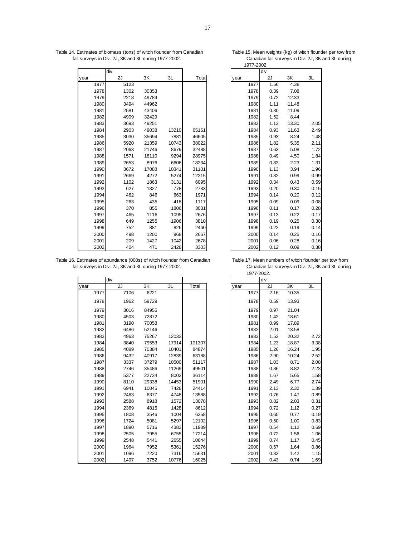| Table 14. Estimates of biomass (tons) of witch flounder from Canadian | Table 15. Mean weights (kg) of witch flounder per tow from |
|-----------------------------------------------------------------------|------------------------------------------------------------|
| fall surveys in Div. 2J, 3K and 3L during 1977-2002.                  | Canadian fall surveys in Div. 2J, 3K and 3L during         |

|      | div  |       |       |       |      | div  |       |      |
|------|------|-------|-------|-------|------|------|-------|------|
| year | 2J   | 3K    | 3L    | Total | year | 2J   | 3K    | 3L   |
| 1977 | 5123 |       |       |       | 1977 | 1.56 | 4.38  |      |
| 1978 | 1302 | 30353 |       |       | 1978 | 0.39 | 7.08  |      |
| 1979 | 2218 | 49789 |       |       | 1979 | 0.72 | 12.33 |      |
| 1980 | 3494 | 44962 |       |       | 1980 | 1.11 | 11.48 |      |
| 1981 | 2581 | 43406 |       |       | 1981 | 0.80 | 11.09 |      |
| 1982 | 4909 | 32429 |       |       | 1982 | 1.52 | 8.44  |      |
| 1983 | 3693 | 49251 |       |       | 1983 | 1.13 | 13.30 | 2.05 |
| 1984 | 2903 | 49038 | 13210 | 65151 | 1984 | 0.93 | 11.63 | 2.49 |
| 1985 | 3030 | 35694 | 7881  | 46605 | 1985 | 0.93 | 8.24  | 1.48 |
| 1986 | 5920 | 21359 | 10743 | 38022 | 1986 | 1.82 | 5.35  | 2.11 |
| 1987 | 2063 | 21746 | 8679  | 32488 | 1987 | 0.63 | 5.08  | 1.72 |
| 1988 | 1571 | 18110 | 9294  | 28975 | 1988 | 0.49 | 4.50  | 1.84 |
| 1989 | 2653 | 8976  | 6606  | 18234 | 1989 | 0.83 | 2.23  | 1.31 |
| 1990 | 3672 | 17088 | 10341 | 31101 | 1990 | 1.13 | 3.94  | 1.96 |
| 1991 | 2669 | 4272  | 5274  | 12215 | 1991 | 0.82 | 0.99  | 0.99 |
| 1992 | 1102 | 1863  | 3131  | 6095  | 1992 | 0.34 | 0.43  | 0.59 |
| 1993 | 627  | 1327  | 778   | 2733  | 1993 | 0.20 | 0.30  | 0.15 |
| 1994 | 462  | 846   | 663   | 1971  | 1994 | 0.14 | 0.20  | 0.12 |
| 1995 | 263  | 435   | 418   | 1117  | 1995 | 0.09 | 0.09  | 0.08 |
| 1996 | 370  | 855   | 1806  | 3031  | 1996 | 0.11 | 0.17  | 0.28 |
| 1997 | 465  | 1116  | 1095  | 2676  | 1997 | 0.13 | 0.22  | 0.17 |
| 1998 | 649  | 1255  | 1906  | 3810  | 1998 | 0.19 | 0.25  | 0.30 |
| 1999 | 752  | 881   | 826   | 2460  | 1999 | 0.22 | 0.19  | 0.14 |
| 2000 | 498  | 1200  | 968   | 2667  | 2000 | 0.14 | 0.25  | 0.16 |
| 2001 | 209  | 1427  | 1042  | 2678  | 2001 | 0.06 | 0.28  | 0.16 |
| 2002 | 404  | 471   | 2428  | 3303  | 2002 | 0.12 | 0.09  | 0.38 |

|      | div  |       |      |
|------|------|-------|------|
| ear  | 2J   | 3K    | 3L   |
| 1977 | 1.56 | 4.38  |      |
| 1978 | 0.39 | 7.08  |      |
| 1979 | 0.72 | 12.33 |      |
| 1980 | 1.11 | 11.48 |      |
| 1981 | 0.80 | 11.09 |      |
| 1982 | 1.52 | 8.44  |      |
| 1983 | 1.13 | 13.30 | 2.05 |
| 1984 | 0.93 | 11.63 | 2.49 |
| 1985 | 0.93 | 8.24  | 1.48 |
| 1986 | 1.82 | 5.35  | 2.11 |
| 1987 | 0.63 | 5.08  | 1.72 |
| 1988 | 0.49 | 4.50  | 1.84 |
| 1989 | 0.83 | 2.23  | 1.31 |
| 1990 | 1.13 | 3.94  | 1.96 |
| 1991 | 0.82 | 0.99  | 0.99 |
| 1992 | 0.34 | 0.43  | 0.59 |
| 1993 | 0.20 | 0.30  | 0.15 |
| 1994 | 0.14 | 0.20  | 0.12 |
| 1995 | 0.09 | 0.09  | 0.08 |
| 1996 | 0.11 | 0.17  | 0.28 |
| 1997 | 0.13 | 0.22  | 0.17 |
| 1998 | 0.19 | 0.25  | 0.30 |
| 1999 | 0.22 | 0.19  | 0.14 |
| 2000 | 0.14 | 0.25  | 0.16 |
| 2001 | 0.06 | 0.28  | 0.16 |
| 2002 | 0.12 | 0.09  | 0.38 |

Table 16. Estimates of abundance (000s) of witch flounder from Canadian Table 17. Mean numbers of witch flounder per tow from . fall surveys in Div. 2J, 3K and 3L during 1977-2002. Canadian fall surveys in Div. 2J, 3K and 3L during .

|      | div  |       |       |        |      | div  |       |      |
|------|------|-------|-------|--------|------|------|-------|------|
| year | 2J   | 3K    | 3L    | Total  | year | 2J   | 3K    | 3L   |
| 1977 | 7106 | 6221  |       |        | 1977 | 2.16 | 10.35 |      |
| 1978 | 1962 | 59729 |       |        | 1978 | 0.59 | 13.93 |      |
| 1979 | 3016 | 84955 |       |        | 1979 | 0.97 | 21.04 |      |
| 1980 | 4503 | 72872 |       |        | 1980 | 1.42 | 18.61 |      |
| 1981 | 3190 | 70058 |       |        | 1981 | 0.99 | 17.89 |      |
| 1982 | 6486 | 52146 |       |        | 1982 | 2.01 | 13.58 |      |
| 1983 | 4963 | 75267 | 12033 |        | 1983 | 1.52 | 20.32 | 2.72 |
| 1984 | 3840 | 79553 | 17914 | 101307 | 1984 | 1.23 | 18.87 | 3.38 |
| 1985 | 4089 | 70384 | 10401 | 84874  | 1985 | 1.26 | 16.24 | 1.95 |
| 1986 | 9432 | 40917 | 12839 | 63188  | 1986 | 2.90 | 10.24 | 2.52 |
| 1987 | 3337 | 37279 | 10500 | 51117  | 1987 | 1.03 | 8.71  | 2.08 |
| 1988 | 2746 | 35486 | 11269 | 49501  | 1988 | 0.86 | 8.82  | 2.23 |
| 1989 | 5377 | 22734 | 8002  | 36114  | 1989 | 1.67 | 5.65  | 1.58 |
| 1990 | 8110 | 29338 | 14453 | 51901  | 1990 | 2.49 | 6.77  | 2.74 |
| 1991 | 6941 | 10045 | 7428  | 24414  | 1991 | 2.13 | 2.32  | 1.39 |
| 1992 | 2463 | 6377  | 4748  | 13588  | 1992 | 0.76 | 1.47  | 0.89 |
| 1993 | 2588 | 8918  | 1572  | 13078  | 1993 | 0.82 | 2.03  | 0.31 |
| 1994 | 2369 | 4815  | 1428  | 8612   | 1994 | 0.72 | 1.12  | 0.27 |
| 1995 | 1808 | 3546  | 1004  | 6358   | 1995 | 0.65 | 0.77  | 0.19 |
| 1996 | 1724 | 5081  | 5297  | 12102  | 1996 | 0.50 | 1.00  | 0.83 |
| 1997 | 1890 | 5716  | 4383  | 11989  | 1997 | 0.54 | 1.12  | 0.69 |
| 1998 | 2505 | 7955  | 6755  | 17214  | 1998 | 0.72 | 1.56  | 1.06 |
| 1999 | 2548 | 5441  | 2655  | 10644  | 1999 | 0.74 | 1.17  | 0.45 |
| 2000 | 1964 | 7952  | 5361  | 15276  | 2000 | 0.57 | 1.64  | 0.86 |
| 2001 | 1096 | 7220  | 7316  | 15631  | 2001 | 0.32 | 1.42  | 1.15 |
| 2002 | 1497 | 3752  | 10776 | 16025  | 2002 | 0.43 | 0.74  | 1.69 |

|      |      |       |       |        | 1977-2002. |      |       |      |
|------|------|-------|-------|--------|------------|------|-------|------|
|      | div  |       |       |        |            | div  |       |      |
|      | 2J   | 3K    | 3L    | Total  | year       | 2J   | 3K    | 3L   |
| 1977 | 7106 | 6221  |       |        | 1977       | 2.16 | 10.35 |      |
| 1978 | 1962 | 59729 |       |        | 1978       | 0.59 | 13.93 |      |
| 1979 | 3016 | 84955 |       |        | 1979       | 0.97 | 21.04 |      |
| 1980 | 4503 | 72872 |       |        | 1980       | 1.42 | 18.61 |      |
| 1981 | 3190 | 70058 |       |        | 1981       | 0.99 | 17.89 |      |
| 1982 | 6486 | 52146 |       |        | 1982       | 2.01 | 13.58 |      |
| 1983 | 4963 | 75267 | 12033 |        | 1983       | 1.52 | 20.32 | 2.72 |
| 1984 | 3840 | 79553 | 17914 | 101307 | 1984       | 1.23 | 18.87 | 3.38 |
| 1985 | 4089 | 70384 | 10401 | 84874  | 1985       | 1.26 | 16.24 | 1.95 |
| 1986 | 9432 | 40917 | 12839 | 63188  | 1986       | 2.90 | 10.24 | 2.52 |
| 1987 | 3337 | 37279 | 10500 | 51117  | 1987       | 1.03 | 8.71  | 2.08 |
| 1988 | 2746 | 35486 | 11269 | 49501  | 1988       | 0.86 | 8.82  | 2.23 |
| 1989 | 5377 | 22734 | 8002  | 36114  | 1989       | 1.67 | 5.65  | 1.58 |
| 1990 | 8110 | 29338 | 14453 | 51901  | 1990       | 2.49 | 6.77  | 2.74 |
| 1991 | 6941 | 10045 | 7428  | 24414  | 1991       | 2.13 | 2.32  | 1.39 |
| 1992 | 2463 | 6377  | 4748  | 13588  | 1992       | 0.76 | 1.47  | 0.89 |
| 1993 | 2588 | 8918  | 1572  | 13078  | 1993       | 0.82 | 2.03  | 0.31 |
| 1994 | 2369 | 4815  | 1428  | 8612   | 1994       | 0.72 | 1.12  | 0.27 |
| 1995 | 1808 | 3546  | 1004  | 6358   | 1995       | 0.65 | 0.77  | 0.19 |
| 1996 | 1724 | 5081  | 5297  | 12102  | 1996       | 0.50 | 1.00  | 0.83 |
| 1997 | 1890 | 5716  | 4383  | 11989  | 1997       | 0.54 | 1.12  | 0.69 |
| 1998 | 2505 | 7955  | 6755  | 17214  | 1998       | 0.72 | 1.56  | 1.06 |
| 1999 | 2548 | 5441  | 2655  | 10644  | 1999       | 0.74 | 1.17  | 0.45 |
| 2000 | 1964 | 7952  | 5361  | 15276  | 2000       | 0.57 | 1.64  | 0.86 |
| 2001 | 1096 | 7220  | 7316  | 15631  | 2001       | 0.32 | 1.42  | 1.15 |
| 2002 | 1497 | 3752  | 10776 | 16025  | 2002       | 0.43 | 0.74  | 1.69 |

1977-2002.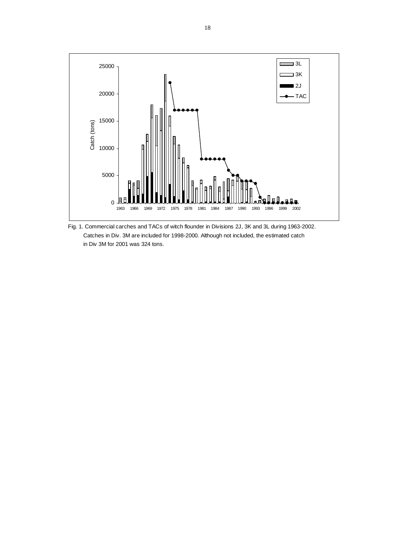

Fig. 1. Commercial carches and TACs of witch flounder in Divisions 2J, 3K and 3L during 1963-2002. Catches in Div. 3M are included for 1998-2000. Although not included, the estimated catch in Div 3M for 2001 was 324 tons.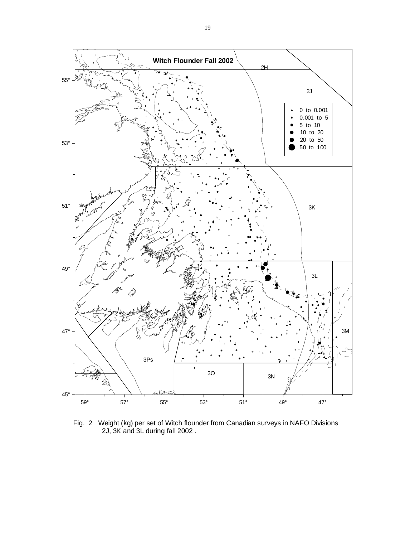

Fig. 2 Weight (kg) per set of Witch flounder from Canadian surveys in NAFO Divisions 2J, 3K and 3L during fall 2002 .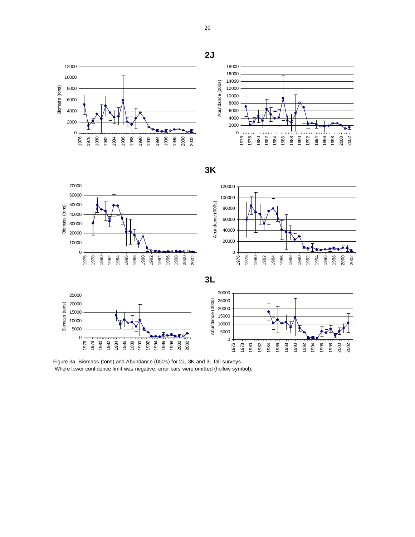

Figure 3a. Biomass (tons) and Abundance (000's) for 2J, 3K and 3L fall surveys. Where lower confidence limit was negative, error bars were omitted (hollow symbol).

**2J**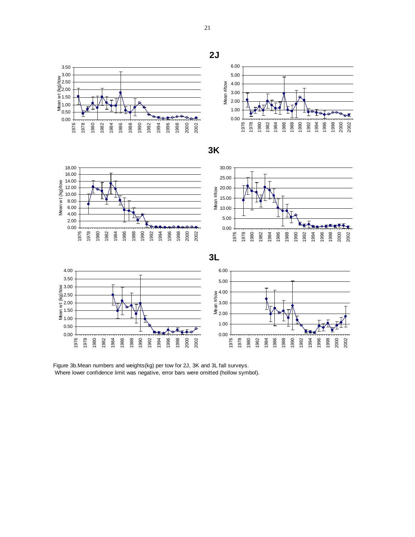

Figure 3b.Mean numbers and weights(kg) per tow for 2J, 3K and 3L fall surveys. Where lower confidence limit was negative, error bars were omitted (hollow symbol).

**2J**